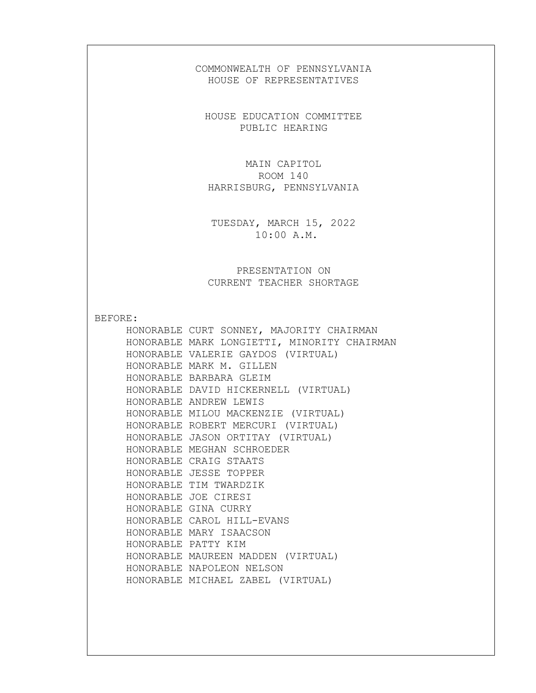## COMMONWEALTH OF PENNSYLVANIA HOUSE OF REPRESENTATIVES

HOUSE EDUCATION COMMITTEE PUBLIC HEARING

MAIN CAPITOL ROOM 140 HARRISBURG, PENNSYLVANIA

TUESDAY, MARCH 15, 2022 10:00 A.M.

PRESENTATION ON CURRENT TEACHER SHORTAGE

BEFORE:

HONORABLE CURT SONNEY, MAJORITY CHAIRMAN HONORABLE MARK LONGIETTI, MINORITY CHAIRMAN HONORABLE VALERIE GAYDOS (VIRTUAL) HONORABLE MARK M. GILLEN HONORABLE BARBARA GLEIM HONORABLE DAVID HICKERNELL (VIRTUAL) HONORABLE ANDREW LEWIS HONORABLE MILOU MACKENZIE (VIRTUAL) HONORABLE ROBERT MERCURI (VIRTUAL) HONORABLE JASON ORTITAY (VIRTUAL) HONORABLE MEGHAN SCHROEDER HONORABLE CRAIG STAATS HONORABLE JESSE TOPPER HONORABLE TIM TWARDZIK HONORABLE JOE CIRESI HONORABLE GINA CURRY HONORABLE CAROL HILL-EVANS HONORABLE MARY ISAACSON HONORABLE PATTY KIM HONORABLE MAUREEN MADDEN (VIRTUAL) HONORABLE NAPOLEON NELSON HONORABLE MICHAEL ZABEL (VIRTUAL)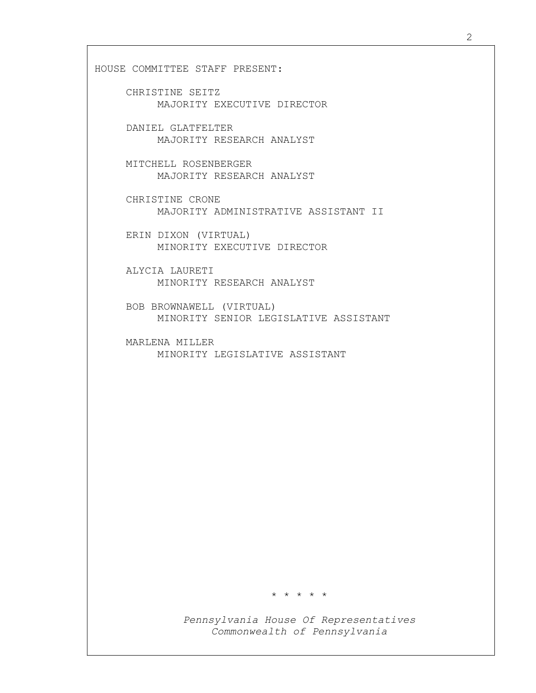HOUSE COMMITTEE STAFF PRESENT:

- CHRISTINE SEITZ MAJORITY EXECUTIVE DIRECTOR
- DANIEL GLATFELTER MAJORITY RESEARCH ANALYST
- MITCHELL ROSENBERGER MAJORITY RESEARCH ANALYST
- CHRISTINE CRONE MAJORITY ADMINISTRATIVE ASSISTANT II
- ERIN DIXON (VIRTUAL) MINORITY EXECUTIVE DIRECTOR
- ALYCIA LAURETI MINORITY RESEARCH ANALYST
- BOB BROWNAWELL (VIRTUAL) MINORITY SENIOR LEGISLATIVE ASSISTANT
- MARLENA MILLER MINORITY LEGISLATIVE ASSISTANT

\* \* \* \* \*

Pennsylvania House Of Representatives Commonwealth of Pennsylvania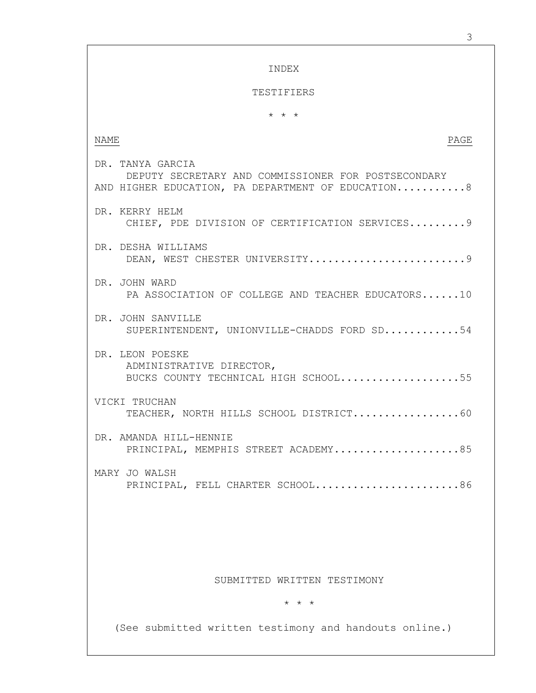INDEX TESTIFIERS \* \* \* NAME PAGE DR. TANYA GARCIA DEPUTY SECRETARY AND COMMISSIONER FOR POSTSECONDARY AND HIGHER EDUCATION, PA DEPARTMENT OF EDUCATION...........8 DR. KERRY HELM CHIEF, PDE DIVISION OF CERTIFICATION SERVICES.........9 DR. DESHA WILLIAMS DEAN, WEST CHESTER UNIVERSITY................................9 DR. JOHN WARD PA ASSOCIATION OF COLLEGE AND TEACHER EDUCATORS......10 DR. JOHN SANVILLE SUPERINTENDENT, UNIONVILLE-CHADDS FORD SD............54 DR. LEON POESKE ADMINISTRATIVE DIRECTOR, BUCKS COUNTY TECHNICAL HIGH SCHOOL...................55 VICKI TRUCHAN TEACHER, NORTH HILLS SCHOOL DISTRICT.................60 DR. AMANDA HILL-HENNIE PRINCIPAL, MEMPHIS STREET ACADEMY....................85 MARY JO WALSH PRINCIPAL, FELL CHARTER SCHOOL........................86 SUBMITTED WRITTEN TESTIMONY \* \* \* (See submitted written testimony and handouts online.)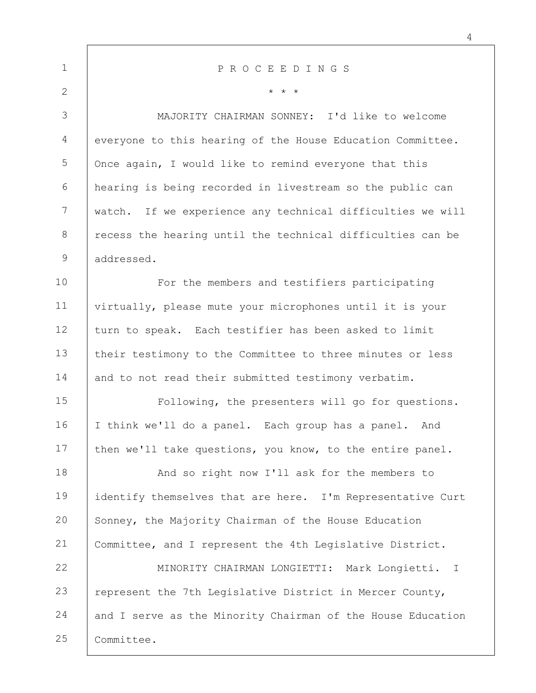| $\mathbf 1$    | PROCEEDINGS                                                 |
|----------------|-------------------------------------------------------------|
| $\overline{2}$ | $\star$ $\star$ $\star$                                     |
| 3              | MAJORITY CHAIRMAN SONNEY: I'd like to welcome               |
| 4              | everyone to this hearing of the House Education Committee.  |
| 5              | Once again, I would like to remind everyone that this       |
| 6              | hearing is being recorded in livestream so the public can   |
| $7\phantom{.}$ | watch. If we experience any technical difficulties we will  |
| 8              | recess the hearing until the technical difficulties can be  |
| $\mathcal{G}$  | addressed.                                                  |
| 10             | For the members and testifiers participating                |
| 11             | virtually, please mute your microphones until it is your    |
| 12             | turn to speak. Each testifier has been asked to limit       |
| 13             | their testimony to the Committee to three minutes or less   |
| 14             | and to not read their submitted testimony verbatim.         |
| 15             | Following, the presenters will go for questions.            |
| 16             | I think we'll do a panel. Each group has a panel. And       |
| 17             | then we'll take questions, you know, to the entire panel.   |
| 18             | And so right now I'll ask for the members to                |
| 19             | identify themselves that are here. I'm Representative Curt  |
| 20             | Sonney, the Majority Chairman of the House Education        |
| 21             | Committee, and I represent the 4th Legislative District.    |
| 22             | MINORITY CHAIRMAN LONGIETTI: Mark Longietti. I              |
| 23             | represent the 7th Legislative District in Mercer County,    |
| 24             | and I serve as the Minority Chairman of the House Education |
| 25             | Committee.                                                  |

4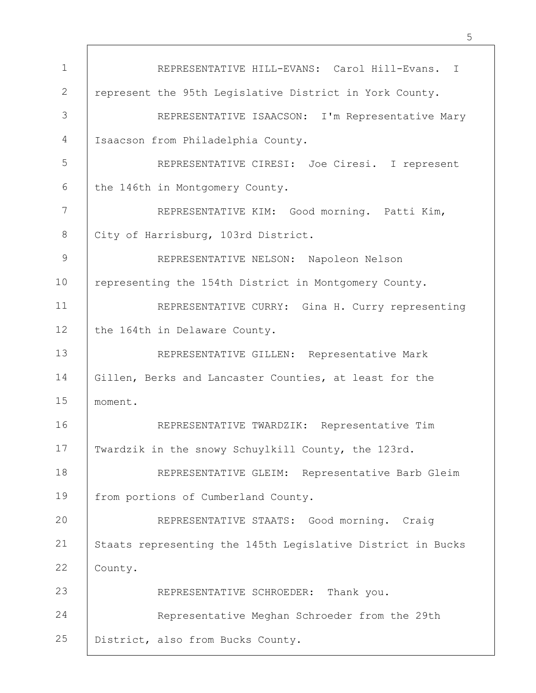1 2 3 4 5 6 7 8 9 10 11 12 13 14 15 16 17 18 19 20 21 22 23 24 25 REPRESENTATIVE HILL-EVANS: Carol Hill-Evans. I represent the 95th Legislative District in York County. REPRESENTATIVE ISAACSON: I'm Representative Mary Isaacson from Philadelphia County. REPRESENTATIVE CIRESI: Joe Ciresi. I represent the 146th in Montgomery County. REPRESENTATIVE KIM: Good morning. Patti Kim, City of Harrisburg, 103rd District. REPRESENTATIVE NELSON: Napoleon Nelson representing the 154th District in Montgomery County. REPRESENTATIVE CURRY: Gina H. Curry representing the 164th in Delaware County. REPRESENTATIVE GILLEN: Representative Mark Gillen, Berks and Lancaster Counties, at least for the moment. REPRESENTATIVE TWARDZIK: Representative Tim Twardzik in the snowy Schuylkill County, the 123rd. REPRESENTATIVE GLEIM: Representative Barb Gleim from portions of Cumberland County. REPRESENTATIVE STAATS: Good morning. Craig Staats representing the 145th Legislative District in Bucks County. REPRESENTATIVE SCHROEDER: Thank you. Representative Meghan Schroeder from the 29th District, also from Bucks County.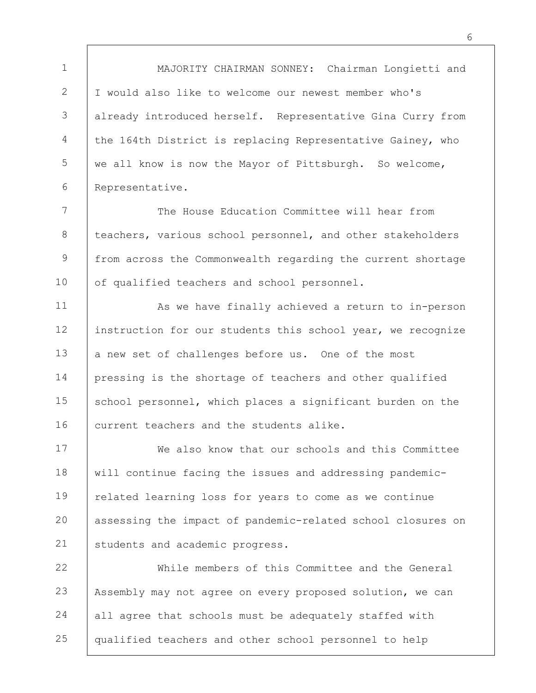1 2 3 4 5 6 7 8 9 10 11 12 13 14 15 16 17 18 19 20 21 22 23 24 25 MAJORITY CHAIRMAN SONNEY: Chairman Longietti and I would also like to welcome our newest member who's already introduced herself. Representative Gina Curry from the 164th District is replacing Representative Gainey, who we all know is now the Mayor of Pittsburgh. So welcome, Representative. The House Education Committee will hear from teachers, various school personnel, and other stakeholders from across the Commonwealth regarding the current shortage of qualified teachers and school personnel. As we have finally achieved a return to in-person instruction for our students this school year, we recognize a new set of challenges before us. One of the most pressing is the shortage of teachers and other qualified school personnel, which places a significant burden on the current teachers and the students alike. We also know that our schools and this Committee will continue facing the issues and addressing pandemicrelated learning loss for years to come as we continue assessing the impact of pandemic-related school closures on students and academic progress. While members of this Committee and the General Assembly may not agree on every proposed solution, we can all agree that schools must be adequately staffed with qualified teachers and other school personnel to help

6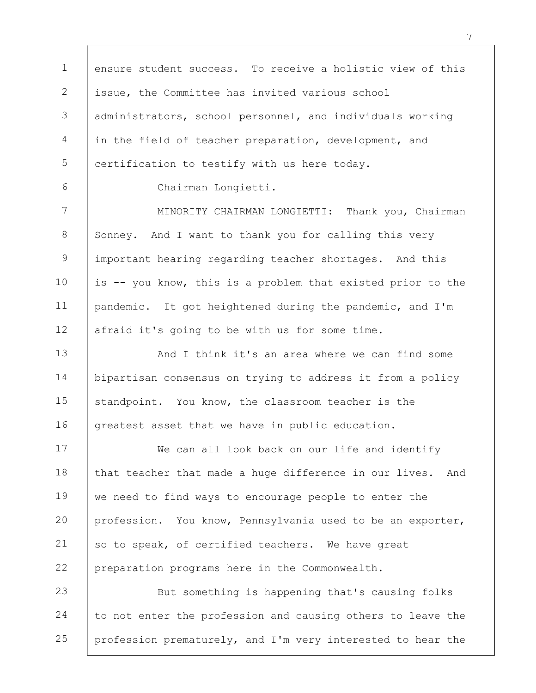1 2 3 4 5 ensure student success. To receive a holistic view of this issue, the Committee has invited various school administrators, school personnel, and individuals working in the field of teacher preparation, development, and certification to testify with us here today.

6

Chairman Longietti.

7 8 9 10 11 12 MINORITY CHAIRMAN LONGIETTI: Thank you, Chairman Sonney. And I want to thank you for calling this very important hearing regarding teacher shortages. And this is -- you know, this is a problem that existed prior to the pandemic. It got heightened during the pandemic, and I'm afraid it's going to be with us for some time.

13 14 15 16 And I think it's an area where we can find some bipartisan consensus on trying to address it from a policy standpoint. You know, the classroom teacher is the greatest asset that we have in public education.

17 18 19 20 21 22 We can all look back on our life and identify that teacher that made a huge difference in our lives. And we need to find ways to encourage people to enter the profession. You know, Pennsylvania used to be an exporter, so to speak, of certified teachers. We have great preparation programs here in the Commonwealth.

23 24 25 But something is happening that's causing folks to not enter the profession and causing others to leave the profession prematurely, and I'm very interested to hear the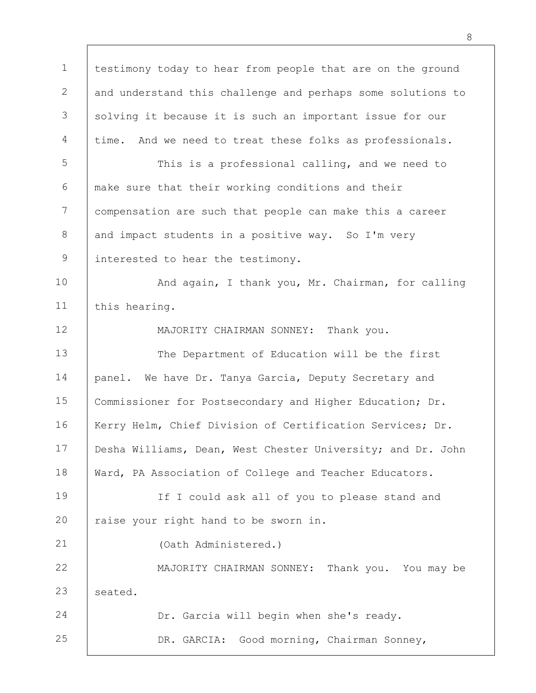1 2 3 4 5 6 7 8 9 10 11 12 13 14 15 16 17 18 19 20 21 22 23 24 25 testimony today to hear from people that are on the ground and understand this challenge and perhaps some solutions to solving it because it is such an important issue for our time. And we need to treat these folks as professionals. This is a professional calling, and we need to make sure that their working conditions and their compensation are such that people can make this a career and impact students in a positive way. So I'm very interested to hear the testimony. And again, I thank you, Mr. Chairman, for calling this hearing. MAJORITY CHAIRMAN SONNEY: Thank you. The Department of Education will be the first panel. We have Dr. Tanya Garcia, Deputy Secretary and Commissioner for Postsecondary and Higher Education; Dr. Kerry Helm, Chief Division of Certification Services; Dr. Desha Williams, Dean, West Chester University; and Dr. John Ward, PA Association of College and Teacher Educators. If I could ask all of you to please stand and raise your right hand to be sworn in. (Oath Administered.) MAJORITY CHAIRMAN SONNEY: Thank you. You may be seated. Dr. Garcia will begin when she's ready. DR. GARCIA: Good morning, Chairman Sonney,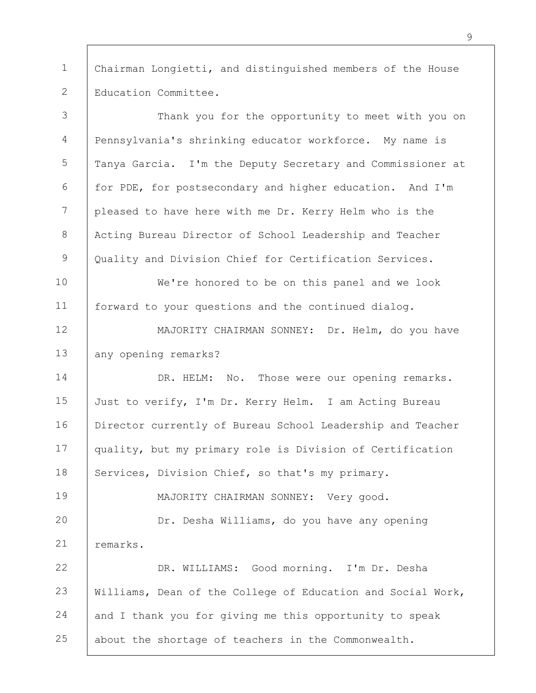1 2 Chairman Longietti, and distinguished members of the House Education Committee.

3 4 5 6 7 8 9 10 11 12 13 14 15 16 17 18 19 20 21 22 23 24 25 Thank you for the opportunity to meet with you on Pennsylvania's shrinking educator workforce. My name is Tanya Garcia. I'm the Deputy Secretary and Commissioner at for PDE, for postsecondary and higher education. And I'm pleased to have here with me Dr. Kerry Helm who is the Acting Bureau Director of School Leadership and Teacher Quality and Division Chief for Certification Services. We're honored to be on this panel and we look forward to your questions and the continued dialog. MAJORITY CHAIRMAN SONNEY: Dr. Helm, do you have any opening remarks? DR. HELM: No. Those were our opening remarks. Just to verify, I'm Dr. Kerry Helm. I am Acting Bureau Director currently of Bureau School Leadership and Teacher quality, but my primary role is Division of Certification Services, Division Chief, so that's my primary. MAJORITY CHAIRMAN SONNEY: Very good. Dr. Desha Williams, do you have any opening remarks. DR. WILLIAMS: Good morning. I'm Dr. Desha Williams, Dean of the College of Education and Social Work, and I thank you for giving me this opportunity to speak about the shortage of teachers in the Commonwealth.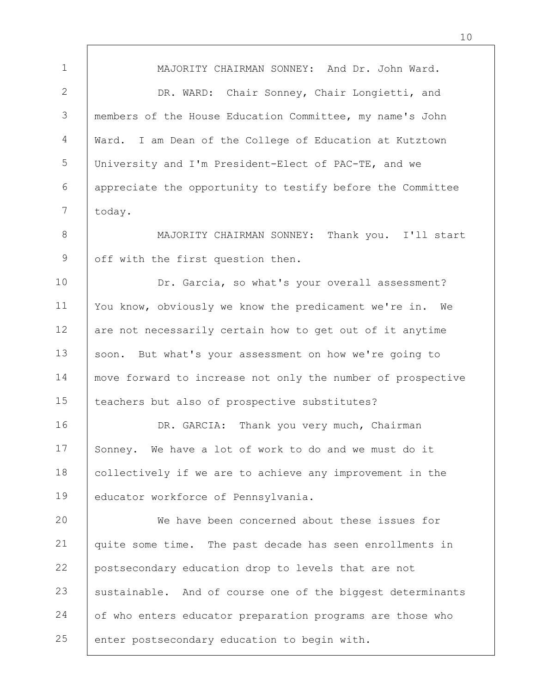1 2 3 4 5 6 7 8 9 10 11 12 13 14 15 16 17 18 19 20 21 22 23 24 25 MAJORITY CHAIRMAN SONNEY: And Dr. John Ward. DR. WARD: Chair Sonney, Chair Longietti, and members of the House Education Committee, my name's John Ward. I am Dean of the College of Education at Kutztown University and I'm President-Elect of PAC-TE, and we appreciate the opportunity to testify before the Committee today. MAJORITY CHAIRMAN SONNEY: Thank you. I'll start off with the first question then. Dr. Garcia, so what's your overall assessment? You know, obviously we know the predicament we're in. We are not necessarily certain how to get out of it anytime soon. But what's your assessment on how we're going to move forward to increase not only the number of prospective teachers but also of prospective substitutes? DR. GARCIA: Thank you very much, Chairman Sonney. We have a lot of work to do and we must do it collectively if we are to achieve any improvement in the educator workforce of Pennsylvania. We have been concerned about these issues for quite some time. The past decade has seen enrollments in postsecondary education drop to levels that are not sustainable. And of course one of the biggest determinants of who enters educator preparation programs are those who enter postsecondary education to begin with.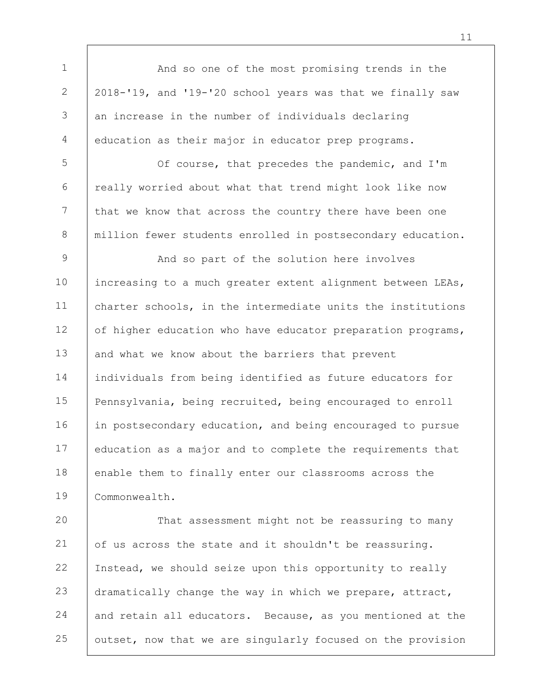1 2 3 4 5 And so one of the most promising trends in the 2018-'19, and '19-'20 school years was that we finally saw an increase in the number of individuals declaring education as their major in educator prep programs. Of course, that precedes the pandemic, and I'm

6 7 8 really worried about what that trend might look like now that we know that across the country there have been one million fewer students enrolled in postsecondary education.

9 10 11 12 13 14 15 16 17 18 19 And so part of the solution here involves increasing to a much greater extent alignment between LEAs, charter schools, in the intermediate units the institutions of higher education who have educator preparation programs, and what we know about the barriers that prevent individuals from being identified as future educators for Pennsylvania, being recruited, being encouraged to enroll in postsecondary education, and being encouraged to pursue education as a major and to complete the requirements that enable them to finally enter our classrooms across the Commonwealth.

20 21 22 23 24 25 That assessment might not be reassuring to many of us across the state and it shouldn't be reassuring. Instead, we should seize upon this opportunity to really dramatically change the way in which we prepare, attract, and retain all educators. Because, as you mentioned at the outset, now that we are singularly focused on the provision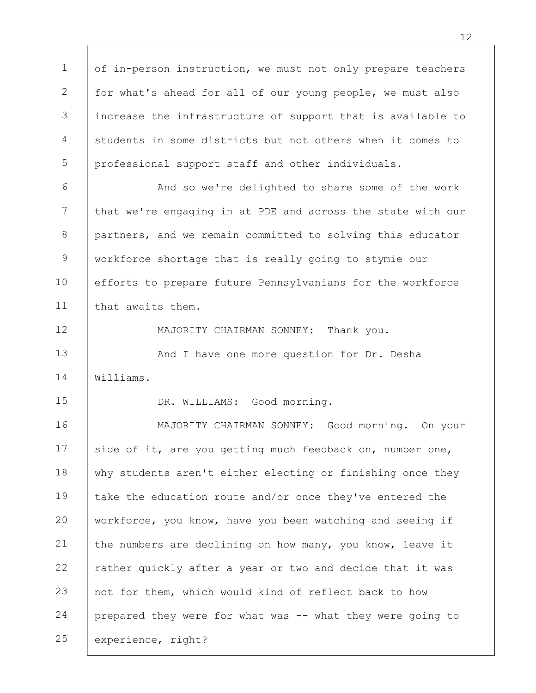1 2 3 4 5 6 7 8 9 10 11 12 13 14 15 16 17 18 19 20 21 22 23 of in-person instruction, we must not only prepare teachers for what's ahead for all of our young people, we must also increase the infrastructure of support that is available to students in some districts but not others when it comes to professional support staff and other individuals. And so we're delighted to share some of the work that we're engaging in at PDE and across the state with our partners, and we remain committed to solving this educator workforce shortage that is really going to stymie our efforts to prepare future Pennsylvanians for the workforce that awaits them. MAJORITY CHAIRMAN SONNEY: Thank you. And I have one more question for Dr. Desha Williams. DR. WILLIAMS: Good morning. MAJORITY CHAIRMAN SONNEY: Good morning. On your side of it, are you getting much feedback on, number one, why students aren't either electing or finishing once they take the education route and/or once they've entered the workforce, you know, have you been watching and seeing if the numbers are declining on how many, you know, leave it rather quickly after a year or two and decide that it was not for them, which would kind of reflect back to how

24 prepared they were for what was -- what they were going to

25 experience, right?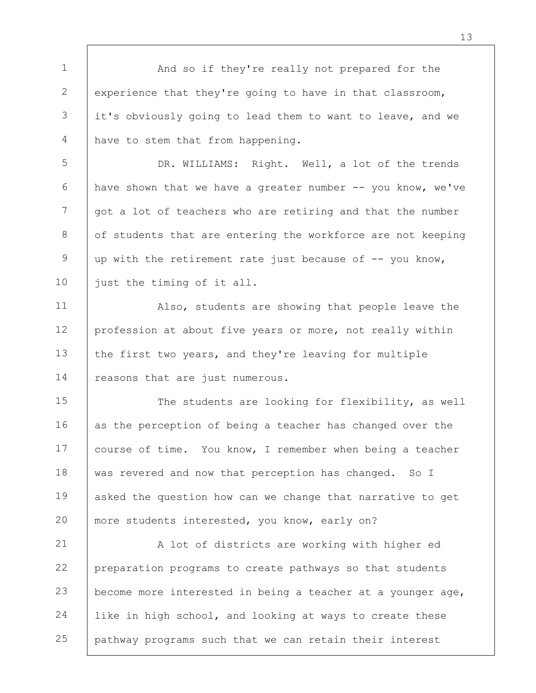1 2 3 4 And so if they're really not prepared for the experience that they're going to have in that classroom, it's obviously going to lead them to want to leave, and we have to stem that from happening.

5 6 7 8 9 10 DR. WILLIAMS: Right. Well, a lot of the trends have shown that we have a greater number -- you know, we've got a lot of teachers who are retiring and that the number of students that are entering the workforce are not keeping up with the retirement rate just because of -- you know, just the timing of it all.

11 12 13 14 Also, students are showing that people leave the profession at about five years or more, not really within the first two years, and they're leaving for multiple reasons that are just numerous.

15 16 17 18 19 20 The students are looking for flexibility, as well as the perception of being a teacher has changed over the course of time. You know, I remember when being a teacher was revered and now that perception has changed. So I asked the question how can we change that narrative to get more students interested, you know, early on?

21 22 23 24 25 A lot of districts are working with higher ed preparation programs to create pathways so that students become more interested in being a teacher at a younger age, like in high school, and looking at ways to create these pathway programs such that we can retain their interest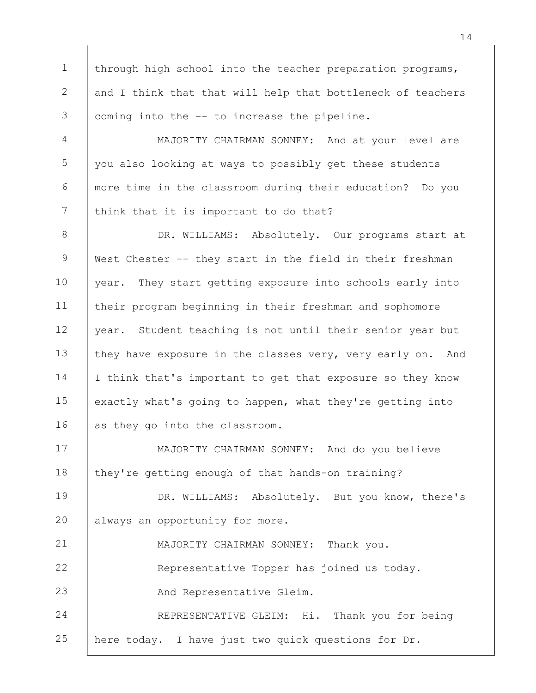1 2 3 through high school into the teacher preparation programs, and I think that that will help that bottleneck of teachers coming into the -- to increase the pipeline.

4 5 6 7 MAJORITY CHAIRMAN SONNEY: And at your level are you also looking at ways to possibly get these students more time in the classroom during their education? Do you think that it is important to do that?

8 9 10 11 12 13 14 15 16 DR. WILLIAMS: Absolutely. Our programs start at West Chester -- they start in the field in their freshman year. They start getting exposure into schools early into their program beginning in their freshman and sophomore year. Student teaching is not until their senior year but they have exposure in the classes very, very early on. And I think that's important to get that exposure so they know exactly what's going to happen, what they're getting into as they go into the classroom.

17 18 MAJORITY CHAIRMAN SONNEY: And do you believe they're getting enough of that hands-on training?

19 20 DR. WILLIAMS: Absolutely. But you know, there's always an opportunity for more.

21 22 23 24 25 MAJORITY CHAIRMAN SONNEY: Thank you. Representative Topper has joined us today. And Representative Gleim. REPRESENTATIVE GLEIM: Hi. Thank you for being here today. I have just two quick questions for Dr.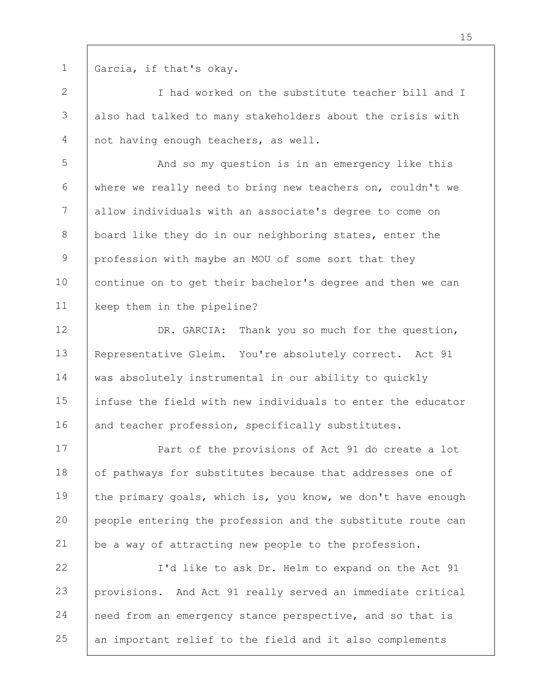1

Garcia, if that's okay.

2 3 4 I had worked on the substitute teacher bill and I also had talked to many stakeholders about the crisis with not having enough teachers, as well.

5 6 7 8 9 10 11 And so my question is in an emergency like this where we really need to bring new teachers on, couldn't we allow individuals with an associate's degree to come on board like they do in our neighboring states, enter the profession with maybe an MOU of some sort that they continue on to get their bachelor's degree and then we can keep them in the pipeline?

12 13 14 15 16 DR. GARCIA: Thank you so much for the question, Representative Gleim. You're absolutely correct. Act 91 was absolutely instrumental in our ability to quickly infuse the field with new individuals to enter the educator and teacher profession, specifically substitutes.

17 18 19 20 21 Part of the provisions of Act 91 do create a lot of pathways for substitutes because that addresses one of the primary goals, which is, you know, we don't have enough people entering the profession and the substitute route can be a way of attracting new people to the profession.

22 23 24 25 I'd like to ask Dr. Helm to expand on the Act 91 provisions. And Act 91 really served an immediate critical need from an emergency stance perspective, and so that is an important relief to the field and it also complements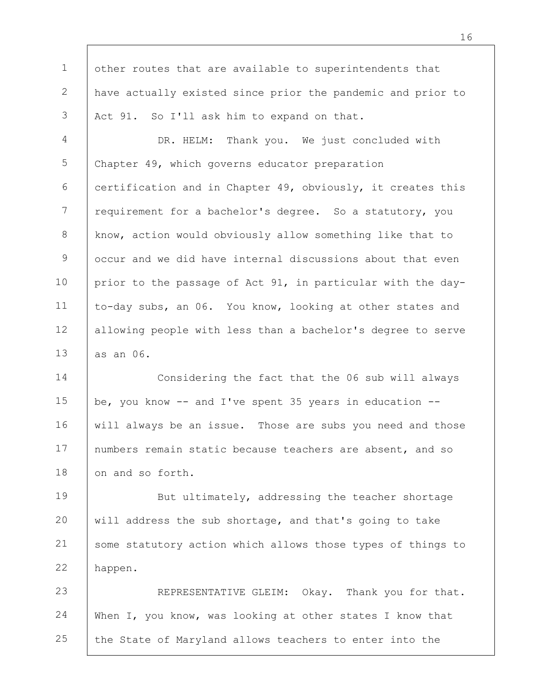1 2 3 other routes that are available to superintendents that have actually existed since prior the pandemic and prior to Act 91. So I'll ask him to expand on that.

4 5 6 7 8 9 10 11 12 13 DR. HELM: Thank you. We just concluded with Chapter 49, which governs educator preparation certification and in Chapter 49, obviously, it creates this requirement for a bachelor's degree. So a statutory, you know, action would obviously allow something like that to occur and we did have internal discussions about that even prior to the passage of Act 91, in particular with the dayto-day subs, an 06. You know, looking at other states and allowing people with less than a bachelor's degree to serve as an 06.

14 15 16 17 18 Considering the fact that the 06 sub will always be, you know -- and I've spent 35 years in education - will always be an issue. Those are subs you need and those numbers remain static because teachers are absent, and so on and so forth.

19 20 21 22 But ultimately, addressing the teacher shortage will address the sub shortage, and that's going to take some statutory action which allows those types of things to happen.

23 24 25 REPRESENTATIVE GLEIM: Okay. Thank you for that. When I, you know, was looking at other states I know that the State of Maryland allows teachers to enter into the

16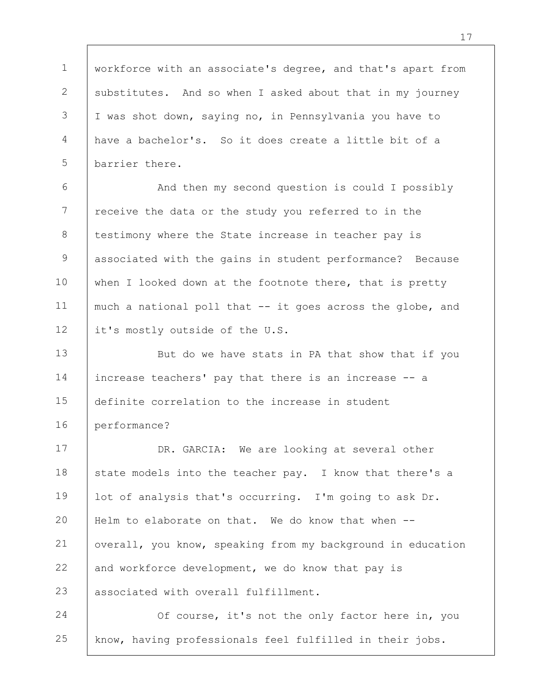1 2 3 4 5 workforce with an associate's degree, and that's apart from substitutes. And so when I asked about that in my journey I was shot down, saying no, in Pennsylvania you have to have a bachelor's. So it does create a little bit of a barrier there.

6 7 8 9 10 11 12 And then my second question is could I possibly receive the data or the study you referred to in the testimony where the State increase in teacher pay is associated with the gains in student performance? Because when I looked down at the footnote there, that is pretty much a national poll that -- it goes across the globe, and it's mostly outside of the U.S.

13 14 15 16 But do we have stats in PA that show that if you increase teachers' pay that there is an increase -- a definite correlation to the increase in student performance?

17 18 19 20 21 22 23 DR. GARCIA: We are looking at several other state models into the teacher pay. I know that there's a lot of analysis that's occurring. I'm going to ask Dr. Helm to elaborate on that. We do know that when -overall, you know, speaking from my background in education and workforce development, we do know that pay is associated with overall fulfillment.

24 25 Of course, it's not the only factor here in, you know, having professionals feel fulfilled in their jobs.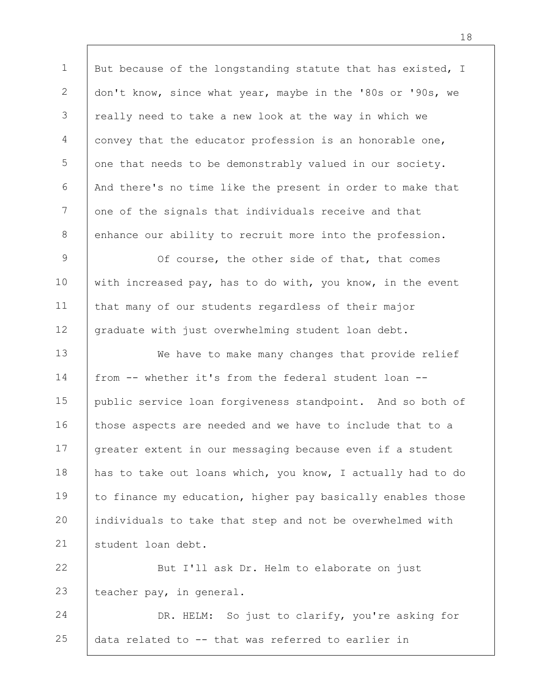1 2 3 4 5 6 7 8 But because of the longstanding statute that has existed, I don't know, since what year, maybe in the '80s or '90s, we really need to take a new look at the way in which we convey that the educator profession is an honorable one, one that needs to be demonstrably valued in our society. And there's no time like the present in order to make that one of the signals that individuals receive and that enhance our ability to recruit more into the profession.

9 10 11 12 Of course, the other side of that, that comes with increased pay, has to do with, you know, in the event that many of our students regardless of their major graduate with just overwhelming student loan debt.

13 14 15 16 17 18 19 20 21 We have to make many changes that provide relief from -- whether it's from the federal student loan - public service loan forgiveness standpoint. And so both of those aspects are needed and we have to include that to a greater extent in our messaging because even if a student has to take out loans which, you know, I actually had to do to finance my education, higher pay basically enables those individuals to take that step and not be overwhelmed with student loan debt.

22 23 But I'll ask Dr. Helm to elaborate on just teacher pay, in general.

24 25 DR. HELM: So just to clarify, you're asking for data related to -- that was referred to earlier in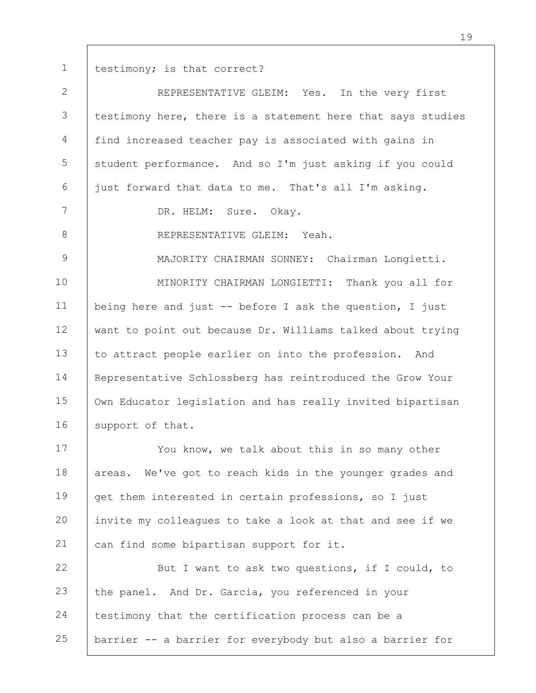1 testimony; is that correct?

| $\overline{2}$ | REPRESENTATIVE GLEIM: Yes. In the very first                |
|----------------|-------------------------------------------------------------|
| 3              | testimony here, there is a statement here that says studies |
| $\overline{4}$ | find increased teacher pay is associated with gains in      |
| 5              | student performance. And so I'm just asking if you could    |
| 6              | just forward that data to me. That's all I'm asking.        |
| 7              | DR. HELM: Sure. Okay.                                       |
| $8\,$          | REPRESENTATIVE GLEIM: Yeah.                                 |
| $\mathsf 9$    | MAJORITY CHAIRMAN SONNEY: Chairman Longietti.               |
| 10             | MINORITY CHAIRMAN LONGIETTI: Thank you all for              |
| 11             | being here and just -- before I ask the question, I just    |
| 12             | want to point out because Dr. Williams talked about trying  |
| 13             | to attract people earlier on into the profession. And       |
| 14             | Representative Schlossberg has reintroduced the Grow Your   |
| 15             | Own Educator legislation and has really invited bipartisan  |
| 16             | support of that.                                            |
| 17             | You know, we talk about this in so many other               |
| 18             | We've got to reach kids in the younger grades and<br>areas. |
| 19             | get them interested in certain professions, so I just       |
| 20             | invite my colleagues to take a look at that and see if we   |
| 21             | can find some bipartisan support for it.                    |
| 22             | But I want to ask two questions, if I could, to             |
| 23             | the panel. And Dr. Garcia, you referenced in your           |
| 24             | testimony that the certification process can be a           |
| 25             | barrier -- a barrier for everybody but also a barrier for   |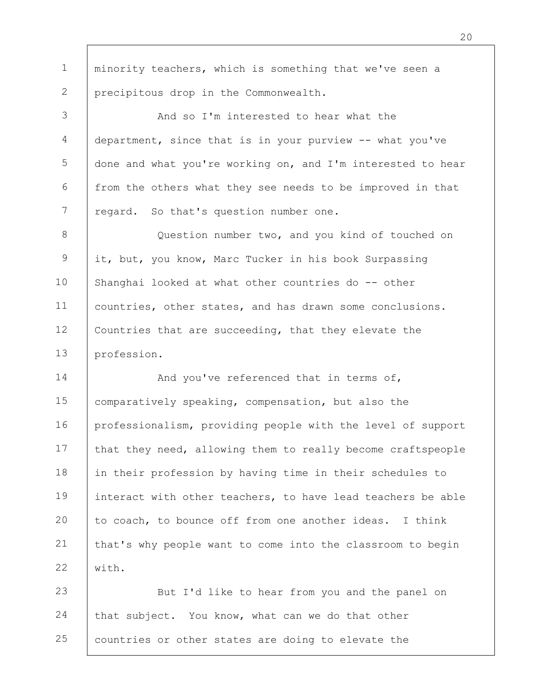1 2 minority teachers, which is something that we've seen a precipitous drop in the Commonwealth.

3 4 5 6 7 And so I'm interested to hear what the department, since that is in your purview -- what you've done and what you're working on, and I'm interested to hear from the others what they see needs to be improved in that regard. So that's question number one.

8 9 10 11 12 13 Question number two, and you kind of touched on it, but, you know, Marc Tucker in his book Surpassing Shanghai looked at what other countries do -- other countries, other states, and has drawn some conclusions. Countries that are succeeding, that they elevate the profession.

14 15 16 17 18 19 20 21 22 And you've referenced that in terms of, comparatively speaking, compensation, but also the professionalism, providing people with the level of support that they need, allowing them to really become craftspeople in their profession by having time in their schedules to interact with other teachers, to have lead teachers be able to coach, to bounce off from one another ideas. I think that's why people want to come into the classroom to begin with.

23 24 25 But I'd like to hear from you and the panel on that subject. You know, what can we do that other countries or other states are doing to elevate the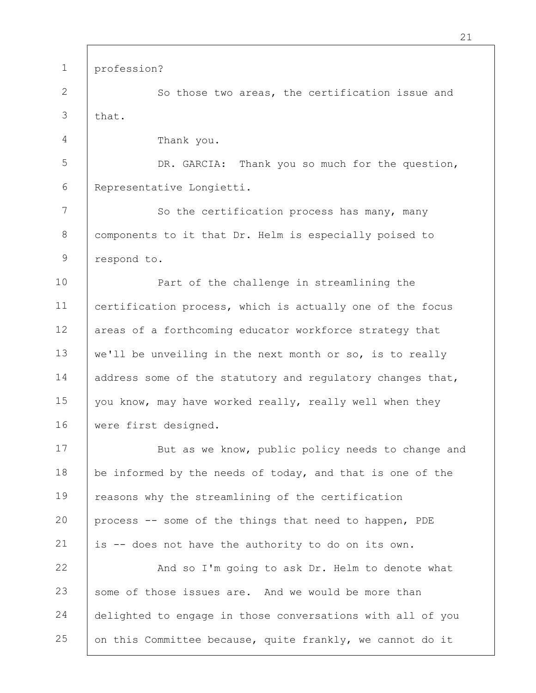1 2 3 4 5 6 7 8 9 10 11 12 13 14 15 16 17 18 19 20 21 22 23 24 25 profession? So those two areas, the certification issue and that. Thank you. DR. GARCIA: Thank you so much for the question, Representative Longietti. So the certification process has many, many components to it that Dr. Helm is especially poised to respond to. Part of the challenge in streamlining the certification process, which is actually one of the focus areas of a forthcoming educator workforce strategy that we'll be unveiling in the next month or so, is to really address some of the statutory and regulatory changes that, you know, may have worked really, really well when they were first designed. But as we know, public policy needs to change and be informed by the needs of today, and that is one of the reasons why the streamlining of the certification process -- some of the things that need to happen, PDE is -- does not have the authority to do on its own. And so I'm going to ask Dr. Helm to denote what some of those issues are. And we would be more than delighted to engage in those conversations with all of you on this Committee because, quite frankly, we cannot do it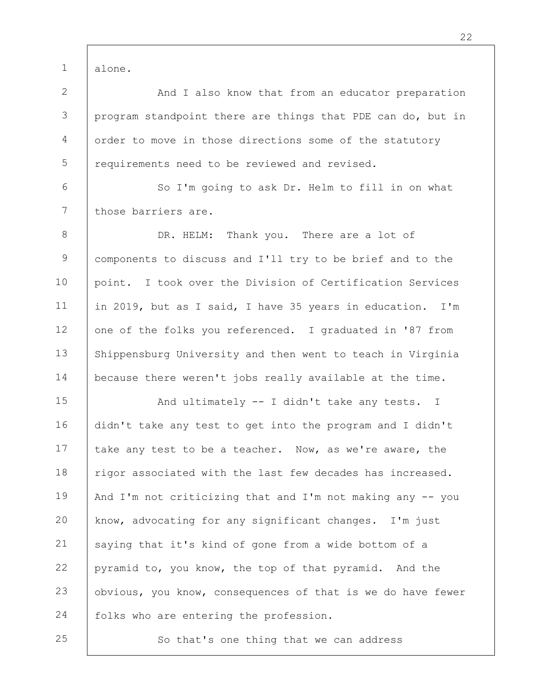alone.

1

25

2 3 4 5 And I also know that from an educator preparation program standpoint there are things that PDE can do, but in order to move in those directions some of the statutory requirements need to be reviewed and revised.

6 7 So I'm going to ask Dr. Helm to fill in on what those barriers are.

8 9 10 11 12 13 14 DR. HELM: Thank you. There are a lot of components to discuss and I'll try to be brief and to the point. I took over the Division of Certification Services in 2019, but as I said, I have 35 years in education. I'm one of the folks you referenced. I graduated in '87 from Shippensburg University and then went to teach in Virginia because there weren't jobs really available at the time.

15 16 17 18 19 20 21 22 23 24 And ultimately -- I didn't take any tests. I didn't take any test to get into the program and I didn't take any test to be a teacher. Now, as we're aware, the rigor associated with the last few decades has increased. And I'm not criticizing that and I'm not making any -- you know, advocating for any significant changes. I'm just saying that it's kind of gone from a wide bottom of a pyramid to, you know, the top of that pyramid. And the obvious, you know, consequences of that is we do have fewer folks who are entering the profession.

So that's one thing that we can address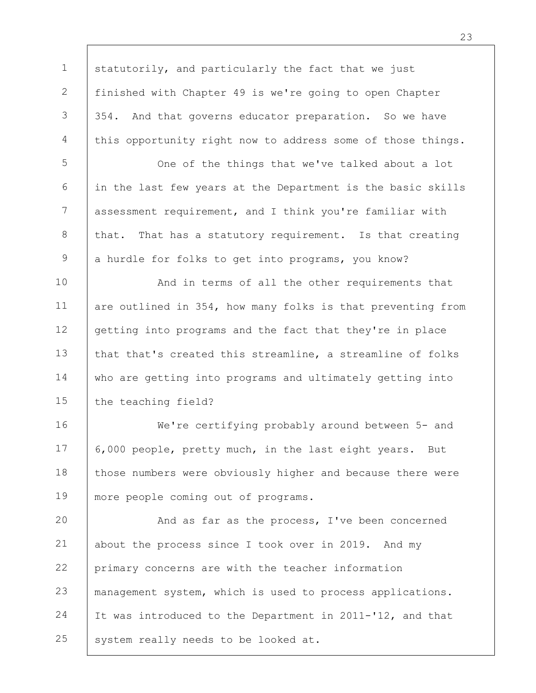1 2 3 4 statutorily, and particularly the fact that we just finished with Chapter 49 is we're going to open Chapter 354. And that governs educator preparation. So we have this opportunity right now to address some of those things.

5 6 7 8 9 One of the things that we've talked about a lot in the last few years at the Department is the basic skills assessment requirement, and I think you're familiar with that. That has a statutory requirement. Is that creating a hurdle for folks to get into programs, you know?

10 11 12 13 14 15 And in terms of all the other requirements that are outlined in 354, how many folks is that preventing from getting into programs and the fact that they're in place that that's created this streamline, a streamline of folks who are getting into programs and ultimately getting into the teaching field?

16 17 18 19 We're certifying probably around between 5- and 6,000 people, pretty much, in the last eight years. But those numbers were obviously higher and because there were more people coming out of programs.

20 21 22 23 24 25 And as far as the process, I've been concerned about the process since I took over in 2019. And my primary concerns are with the teacher information management system, which is used to process applications. It was introduced to the Department in 2011-'12, and that system really needs to be looked at.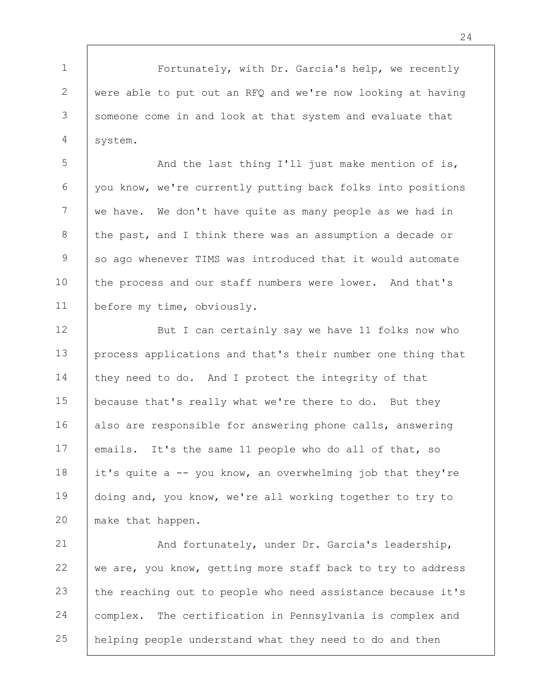1 2 3 4 Fortunately, with Dr. Garcia's help, we recently were able to put out an RFQ and we're now looking at having someone come in and look at that system and evaluate that system.

5 6 7 8 9 10 11 And the last thing I'll just make mention of is, you know, we're currently putting back folks into positions we have. We don't have quite as many people as we had in the past, and I think there was an assumption a decade or so ago whenever TIMS was introduced that it would automate the process and our staff numbers were lower. And that's before my time, obviously.

12 13 14 15 16 17 18 19 20 But I can certainly say we have 11 folks now who process applications and that's their number one thing that they need to do. And I protect the integrity of that because that's really what we're there to do. But they also are responsible for answering phone calls, answering emails. It's the same 11 people who do all of that, so it's quite a -- you know, an overwhelming job that they're doing and, you know, we're all working together to try to make that happen.

21 22 23 24 25 And fortunately, under Dr. Garcia's leadership, we are, you know, getting more staff back to try to address the reaching out to people who need assistance because it's complex. The certification in Pennsylvania is complex and helping people understand what they need to do and then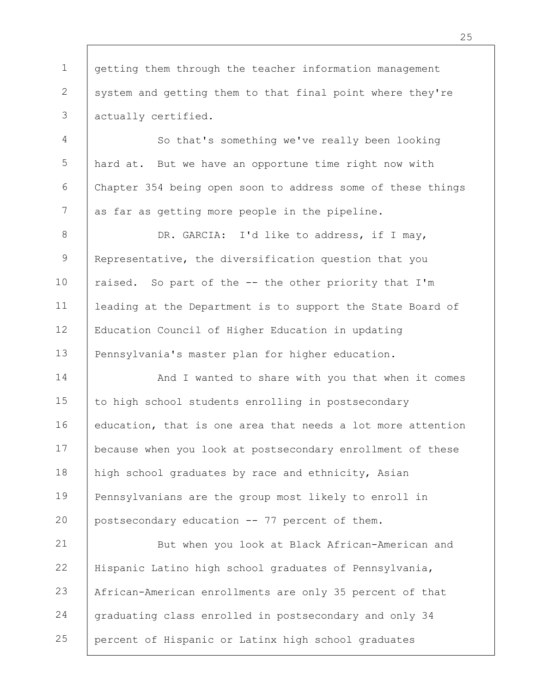1 2 3 getting them through the teacher information management system and getting them to that final point where they're actually certified.

4 5 6 7 So that's something we've really been looking hard at. But we have an opportune time right now with Chapter 354 being open soon to address some of these things as far as getting more people in the pipeline.

8 9 10 11 12 13 DR. GARCIA: I'd like to address, if I may, Representative, the diversification question that you raised. So part of the -- the other priority that I'm leading at the Department is to support the State Board of Education Council of Higher Education in updating Pennsylvania's master plan for higher education.

14 15 16 17 18 19 20 And I wanted to share with you that when it comes to high school students enrolling in postsecondary education, that is one area that needs a lot more attention because when you look at postsecondary enrollment of these high school graduates by race and ethnicity, Asian Pennsylvanians are the group most likely to enroll in postsecondary education -- 77 percent of them.

21 22 23 24 25 But when you look at Black African-American and Hispanic Latino high school graduates of Pennsylvania, African-American enrollments are only 35 percent of that graduating class enrolled in postsecondary and only 34 percent of Hispanic or Latinx high school graduates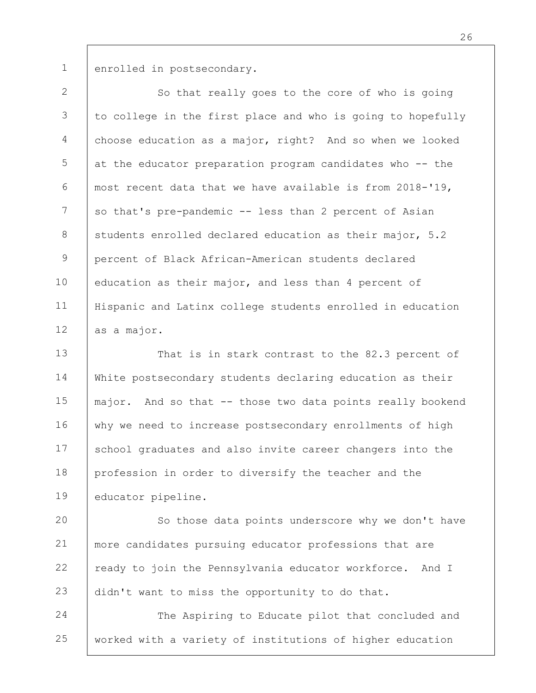1

enrolled in postsecondary.

2 3 4 5 6 7 8 9 10 11 12 So that really goes to the core of who is going to college in the first place and who is going to hopefully choose education as a major, right? And so when we looked at the educator preparation program candidates who -- the most recent data that we have available is from 2018-'19, so that's pre-pandemic -- less than 2 percent of Asian students enrolled declared education as their major, 5.2 percent of Black African-American students declared education as their major, and less than 4 percent of Hispanic and Latinx college students enrolled in education as a major.

13 14 15 16 17 18 19 That is in stark contrast to the 82.3 percent of White postsecondary students declaring education as their major. And so that -- those two data points really bookend why we need to increase postsecondary enrollments of high school graduates and also invite career changers into the profession in order to diversify the teacher and the educator pipeline.

20 21 22 23 So those data points underscore why we don't have more candidates pursuing educator professions that are ready to join the Pennsylvania educator workforce. And I didn't want to miss the opportunity to do that.

24 25 The Aspiring to Educate pilot that concluded and worked with a variety of institutions of higher education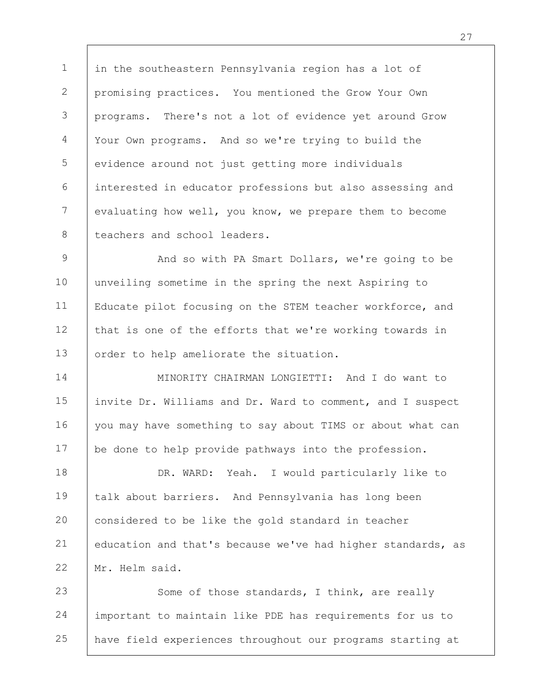1 2 3 4 5 6 7 8 in the southeastern Pennsylvania region has a lot of promising practices. You mentioned the Grow Your Own programs. There's not a lot of evidence yet around Grow Your Own programs. And so we're trying to build the evidence around not just getting more individuals interested in educator professions but also assessing and evaluating how well, you know, we prepare them to become teachers and school leaders.

9 10 11 12 13 And so with PA Smart Dollars, we're going to be unveiling sometime in the spring the next Aspiring to Educate pilot focusing on the STEM teacher workforce, and that is one of the efforts that we're working towards in order to help ameliorate the situation.

14 15 16 17 MINORITY CHAIRMAN LONGIETTI: And I do want to invite Dr. Williams and Dr. Ward to comment, and I suspect you may have something to say about TIMS or about what can be done to help provide pathways into the profession.

18 19 20 21 22 DR. WARD: Yeah. I would particularly like to talk about barriers. And Pennsylvania has long been considered to be like the gold standard in teacher education and that's because we've had higher standards, as Mr. Helm said.

23 24 25 Some of those standards, I think, are really important to maintain like PDE has requirements for us to have field experiences throughout our programs starting at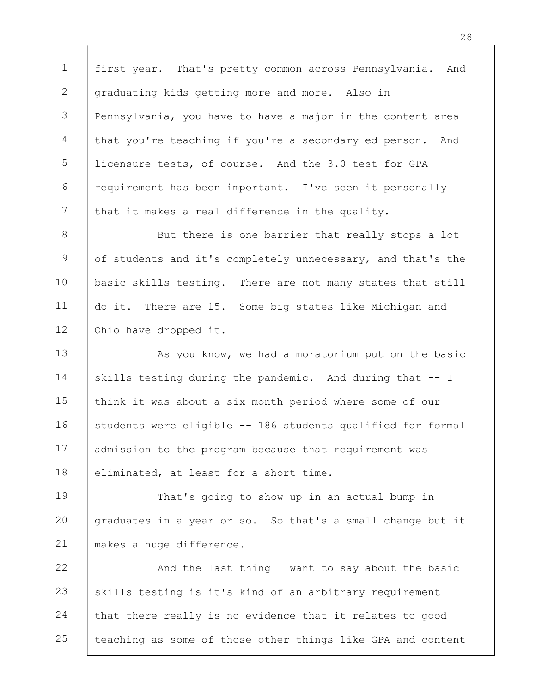1 2 3 4 5 6 7 first year. That's pretty common across Pennsylvania. And graduating kids getting more and more. Also in Pennsylvania, you have to have a major in the content area that you're teaching if you're a secondary ed person. And licensure tests, of course. And the 3.0 test for GPA requirement has been important. I've seen it personally that it makes a real difference in the quality.

8 9 10 11 12 But there is one barrier that really stops a lot of students and it's completely unnecessary, and that's the basic skills testing. There are not many states that still do it. There are 15. Some big states like Michigan and Ohio have dropped it.

13 14 15 16 17 18 As you know, we had a moratorium put on the basic skills testing during the pandemic. And during that -- I think it was about a six month period where some of our students were eligible -- 186 students qualified for formal admission to the program because that requirement was eliminated, at least for a short time.

19 20 21 That's going to show up in an actual bump in graduates in a year or so. So that's a small change but it makes a huge difference.

22 23 24 25 And the last thing I want to say about the basic skills testing is it's kind of an arbitrary requirement that there really is no evidence that it relates to good teaching as some of those other things like GPA and content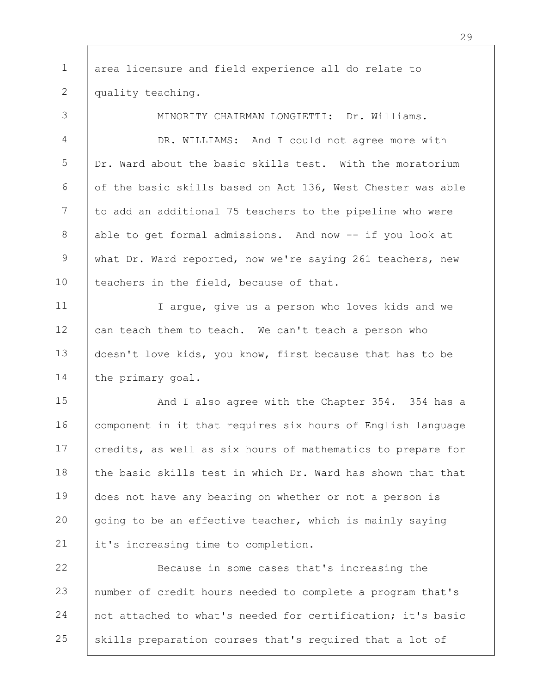1 2 area licensure and field experience all do relate to quality teaching.

3 4 5 6 7 8 9 10 11 12 13 14 15 16 MINORITY CHAIRMAN LONGIETTI: Dr. Williams. DR. WILLIAMS: And I could not agree more with Dr. Ward about the basic skills test. With the moratorium of the basic skills based on Act 136, West Chester was able to add an additional 75 teachers to the pipeline who were able to get formal admissions. And now -- if you look at what Dr. Ward reported, now we're saying 261 teachers, new teachers in the field, because of that. I argue, give us a person who loves kids and we can teach them to teach. We can't teach a person who doesn't love kids, you know, first because that has to be the primary goal. And I also agree with the Chapter 354. 354 has a component in it that requires six hours of English language

17 18 19 20 21 credits, as well as six hours of mathematics to prepare for the basic skills test in which Dr. Ward has shown that that does not have any bearing on whether or not a person is going to be an effective teacher, which is mainly saying it's increasing time to completion.

22 23 24 25 Because in some cases that's increasing the number of credit hours needed to complete a program that's not attached to what's needed for certification; it's basic skills preparation courses that's required that a lot of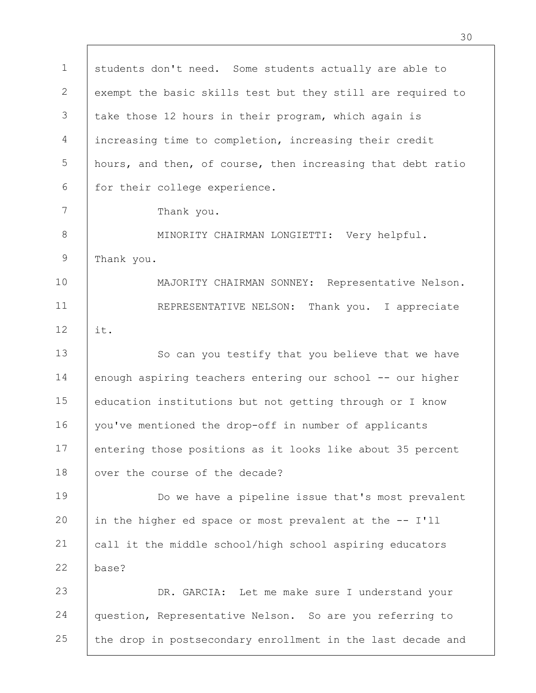1 2 3 4 5 6 7 8 9 10 11 12 13 14 15 16 17 18 19 20 21 22 23 24 25 students don't need. Some students actually are able to exempt the basic skills test but they still are required to take those 12 hours in their program, which again is increasing time to completion, increasing their credit hours, and then, of course, then increasing that debt ratio for their college experience. Thank you. MINORITY CHAIRMAN LONGIETTI: Very helpful. Thank you. MAJORITY CHAIRMAN SONNEY: Representative Nelson. REPRESENTATIVE NELSON: Thank you. I appreciate it. So can you testify that you believe that we have enough aspiring teachers entering our school -- our higher education institutions but not getting through or I know you've mentioned the drop-off in number of applicants entering those positions as it looks like about 35 percent over the course of the decade? Do we have a pipeline issue that's most prevalent in the higher ed space or most prevalent at the -- I'll call it the middle school/high school aspiring educators base? DR. GARCIA: Let me make sure I understand your question, Representative Nelson. So are you referring to the drop in postsecondary enrollment in the last decade and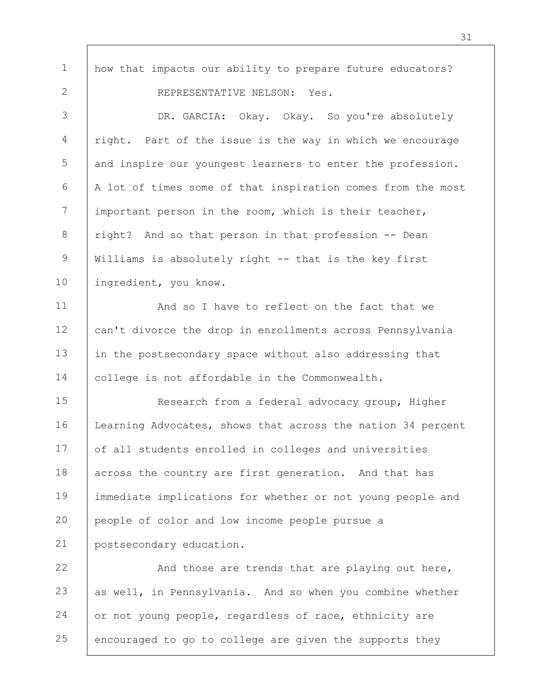how that impacts our ability to prepare future educators? REPRESENTATIVE NELSON: Yes.

1

2

3 4 5 6 7 8 9 10 DR. GARCIA: Okay. Okay. So you're absolutely right. Part of the issue is the way in which we encourage and inspire our youngest learners to enter the profession. A lot of times some of that inspiration comes from the most important person in the room, which is their teacher, right? And so that person in that profession -- Dean Williams is absolutely right -- that is the key first ingredient, you know.

11 12 13 14 And so I have to reflect on the fact that we can't divorce the drop in enrollments across Pennsylvania in the postsecondary space without also addressing that college is not affordable in the Commonwealth.

15 16 17 18 19 20 21 Research from a federal advocacy group, Higher Learning Advocates, shows that across the nation 34 percent of all students enrolled in colleges and universities across the country are first generation. And that has immediate implications for whether or not young people and people of color and low income people pursue a postsecondary education.

22 23 24 25 And those are trends that are playing out here, as well, in Pennsylvania. And so when you combine whether or not young people, regardless of race, ethnicity are encouraged to go to college are given the supports they

31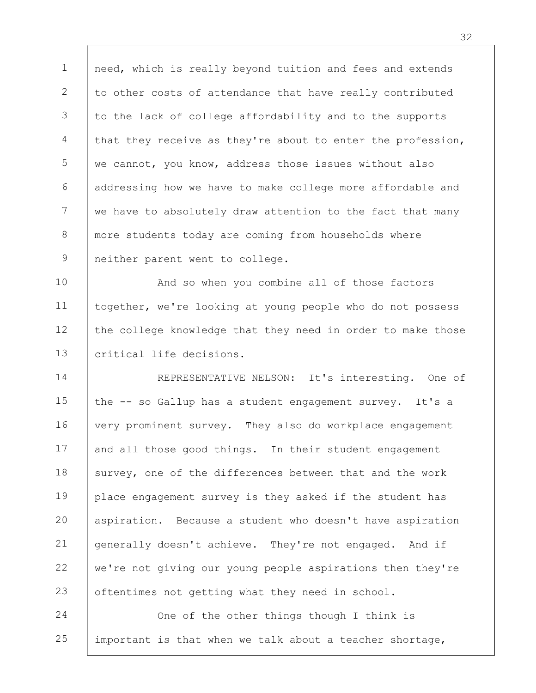1 2 3 4 5 6 7 8 9 need, which is really beyond tuition and fees and extends to other costs of attendance that have really contributed to the lack of college affordability and to the supports that they receive as they're about to enter the profession, we cannot, you know, address those issues without also addressing how we have to make college more affordable and we have to absolutely draw attention to the fact that many more students today are coming from households where neither parent went to college.

10 11 12 13 And so when you combine all of those factors together, we're looking at young people who do not possess the college knowledge that they need in order to make those critical life decisions.

14 15 16 17 18 19 20 21 22 23 REPRESENTATIVE NELSON: It's interesting. One of the -- so Gallup has a student engagement survey. It's a very prominent survey. They also do workplace engagement and all those good things. In their student engagement survey, one of the differences between that and the work place engagement survey is they asked if the student has aspiration. Because a student who doesn't have aspiration generally doesn't achieve. They're not engaged. And if we're not giving our young people aspirations then they're oftentimes not getting what they need in school.

24 25 One of the other things though I think is important is that when we talk about a teacher shortage, 32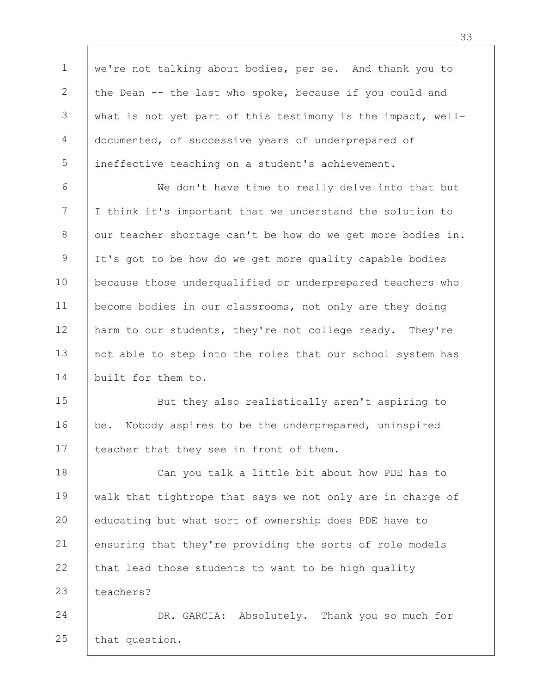1 2 3 4 5 6 7 8 9 we're not talking about bodies, per se. And thank you to the Dean -- the last who spoke, because if you could and what is not yet part of this testimony is the impact, welldocumented, of successive years of underprepared of ineffective teaching on a student's achievement. We don't have time to really delve into that but I think it's important that we understand the solution to our teacher shortage can't be how do we get more bodies in. It's got to be how do we get more quality capable bodies because those underqualified or underprepared teachers who

10 11 12 13 14 become bodies in our classrooms, not only are they doing harm to our students, they're not college ready. They're not able to step into the roles that our school system has built for them to.

15 16 17 But they also realistically aren't aspiring to be. Nobody aspires to be the underprepared, uninspired teacher that they see in front of them.

18 19 20 21 22 23 Can you talk a little bit about how PDE has to walk that tightrope that says we not only are in charge of educating but what sort of ownership does PDE have to ensuring that they're providing the sorts of role models that lead those students to want to be high quality teachers?

24 25 DR. GARCIA: Absolutely. Thank you so much for that question.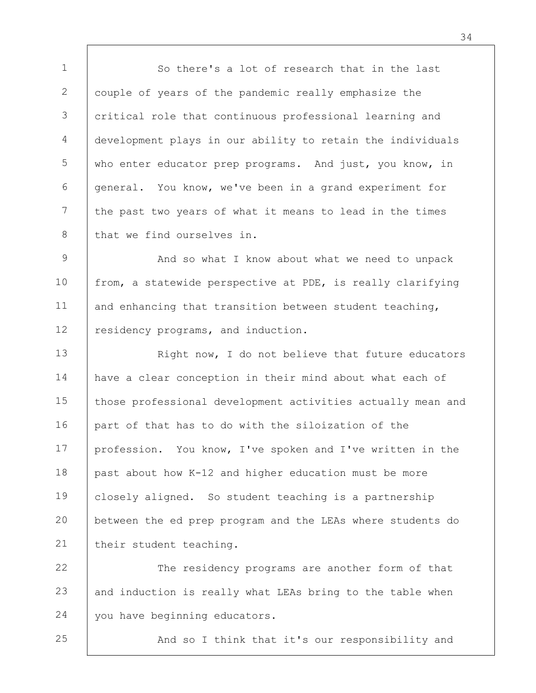1 2 3 4 5 6 7 8 So there's a lot of research that in the last couple of years of the pandemic really emphasize the critical role that continuous professional learning and development plays in our ability to retain the individuals who enter educator prep programs. And just, you know, in general. You know, we've been in a grand experiment for the past two years of what it means to lead in the times that we find ourselves in.

9 10 11 12 And so what I know about what we need to unpack from, a statewide perspective at PDE, is really clarifying and enhancing that transition between student teaching, residency programs, and induction.

13 14 15 16 17 18 19 20 21 Right now, I do not believe that future educators have a clear conception in their mind about what each of those professional development activities actually mean and part of that has to do with the siloization of the profession. You know, I've spoken and I've written in the past about how K-12 and higher education must be more closely aligned. So student teaching is a partnership between the ed prep program and the LEAs where students do their student teaching.

22 23 24 The residency programs are another form of that and induction is really what LEAs bring to the table when you have beginning educators.

25

And so I think that it's our responsibility and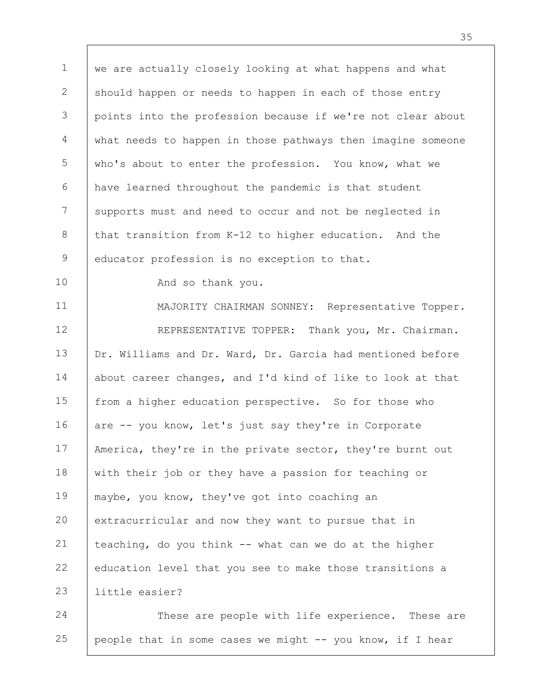1 2 3 4 5 6 7 8 9 10 11 12 13 14 15 16 17 18 19 20 21 22 23 24 we are actually closely looking at what happens and what should happen or needs to happen in each of those entry points into the profession because if we're not clear about what needs to happen in those pathways then imagine someone who's about to enter the profession. You know, what we have learned throughout the pandemic is that student supports must and need to occur and not be neglected in that transition from K-12 to higher education. And the educator profession is no exception to that. And so thank you. MAJORITY CHAIRMAN SONNEY: Representative Topper. REPRESENTATIVE TOPPER: Thank you, Mr. Chairman. Dr. Williams and Dr. Ward, Dr. Garcia had mentioned before about career changes, and I'd kind of like to look at that from a higher education perspective. So for those who are -- you know, let's just say they're in Corporate America, they're in the private sector, they're burnt out with their job or they have a passion for teaching or maybe, you know, they've got into coaching an extracurricular and now they want to pursue that in teaching, do you think -- what can we do at the higher education level that you see to make those transitions a little easier? These are people with life experience. These are

25 people that in some cases we might -- you know, if I hear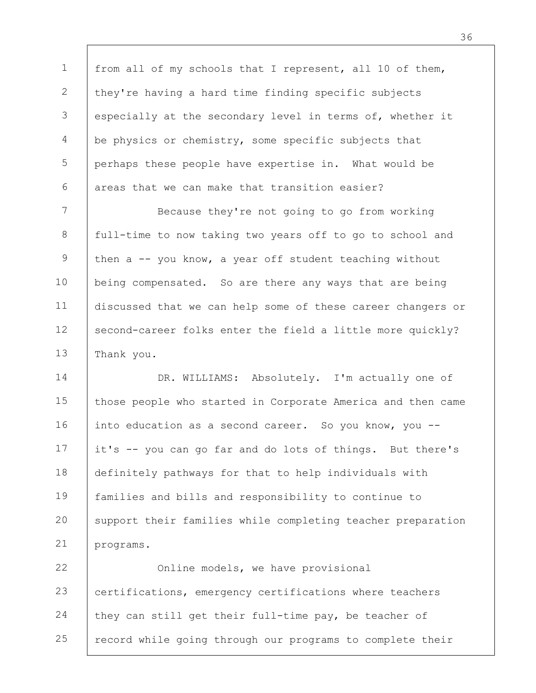1 2 3 4 5 6 from all of my schools that I represent, all 10 of them, they're having a hard time finding specific subjects especially at the secondary level in terms of, whether it be physics or chemistry, some specific subjects that perhaps these people have expertise in. What would be areas that we can make that transition easier?

7 8 9 10 11 12 13 Because they're not going to go from working full-time to now taking two years off to go to school and then a -- you know, a year off student teaching without being compensated. So are there any ways that are being discussed that we can help some of these career changers or second-career folks enter the field a little more quickly? Thank you.

14 15 16 17 18 19 20 21 DR. WILLIAMS: Absolutely. I'm actually one of those people who started in Corporate America and then came into education as a second career. So you know, you -it's -- you can go far and do lots of things. But there's definitely pathways for that to help individuals with families and bills and responsibility to continue to support their families while completing teacher preparation programs.

22 23 24 25 Online models, we have provisional certifications, emergency certifications where teachers they can still get their full-time pay, be teacher of record while going through our programs to complete their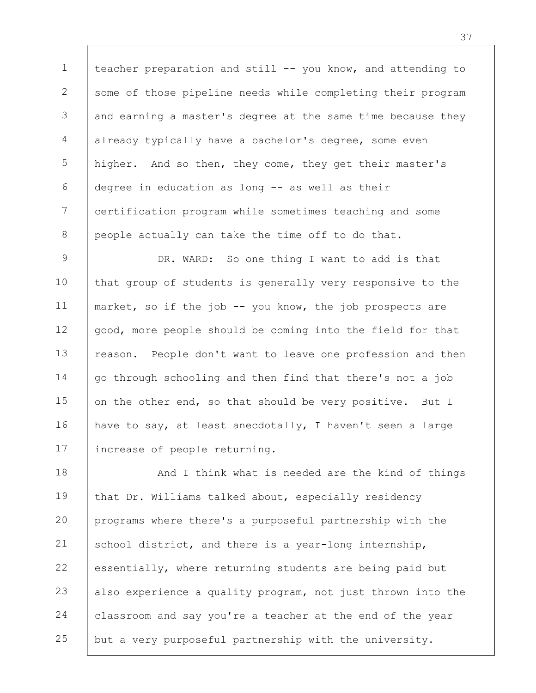1 2 3 4 5 6 7 8 teacher preparation and still -- you know, and attending to some of those pipeline needs while completing their program and earning a master's degree at the same time because they already typically have a bachelor's degree, some even higher. And so then, they come, they get their master's degree in education as long -- as well as their certification program while sometimes teaching and some people actually can take the time off to do that.

9 10 11 12 13 14 15 16 17 DR. WARD: So one thing I want to add is that that group of students is generally very responsive to the market, so if the job -- you know, the job prospects are good, more people should be coming into the field for that reason. People don't want to leave one profession and then go through schooling and then find that there's not a job on the other end, so that should be very positive. But I have to say, at least anecdotally, I haven't seen a large increase of people returning.

18 19 20 21 22 23 24 25 And I think what is needed are the kind of things that Dr. Williams talked about, especially residency programs where there's a purposeful partnership with the school district, and there is a year-long internship, essentially, where returning students are being paid but also experience a quality program, not just thrown into the classroom and say you're a teacher at the end of the year but a very purposeful partnership with the university.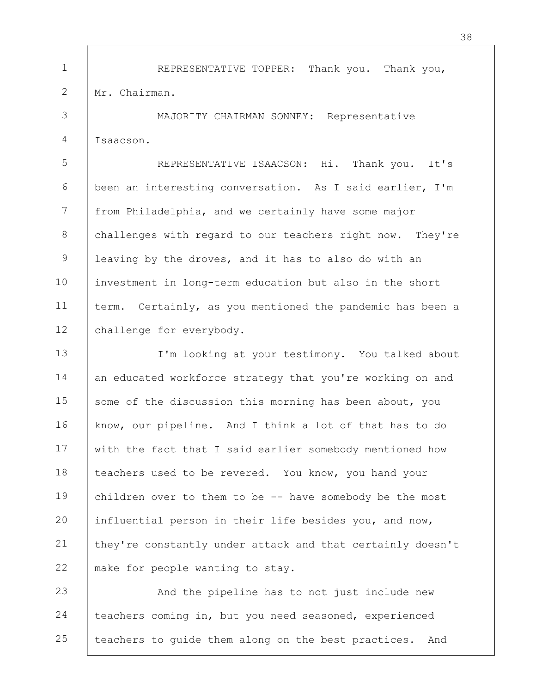1 2 REPRESENTATIVE TOPPER: Thank you. Thank you, Mr. Chairman.

3 4 MAJORITY CHAIRMAN SONNEY: Representative Isaacson.

5 6 7 8 9 10 11 12 REPRESENTATIVE ISAACSON: Hi. Thank you. It's been an interesting conversation. As I said earlier, I'm from Philadelphia, and we certainly have some major challenges with regard to our teachers right now. They're leaving by the droves, and it has to also do with an investment in long-term education but also in the short term. Certainly, as you mentioned the pandemic has been a challenge for everybody.

13 14 15 16 17 18 19 20 21 22 I'm looking at your testimony. You talked about an educated workforce strategy that you're working on and some of the discussion this morning has been about, you know, our pipeline. And I think a lot of that has to do with the fact that I said earlier somebody mentioned how teachers used to be revered. You know, you hand your children over to them to be -- have somebody be the most influential person in their life besides you, and now, they're constantly under attack and that certainly doesn't make for people wanting to stay.

23 24 25 And the pipeline has to not just include new teachers coming in, but you need seasoned, experienced teachers to guide them along on the best practices. And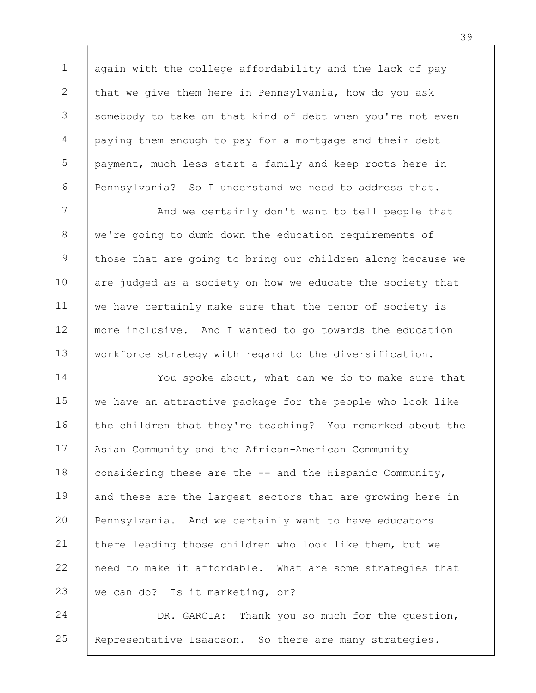1 2 3 4 5 6 again with the college affordability and the lack of pay that we give them here in Pennsylvania, how do you ask somebody to take on that kind of debt when you're not even paying them enough to pay for a mortgage and their debt payment, much less start a family and keep roots here in Pennsylvania? So I understand we need to address that.

7 8 9 10 11 12 13 And we certainly don't want to tell people that we're going to dumb down the education requirements of those that are going to bring our children along because we are judged as a society on how we educate the society that we have certainly make sure that the tenor of society is more inclusive. And I wanted to go towards the education workforce strategy with regard to the diversification.

14 15 16 17 18 19 20 21 22 23 You spoke about, what can we do to make sure that we have an attractive package for the people who look like the children that they're teaching? You remarked about the Asian Community and the African-American Community considering these are the -- and the Hispanic Community, and these are the largest sectors that are growing here in Pennsylvania. And we certainly want to have educators there leading those children who look like them, but we need to make it affordable. What are some strategies that we can do? Is it marketing, or?

24 25 DR. GARCIA: Thank you so much for the question, Representative Isaacson. So there are many strategies.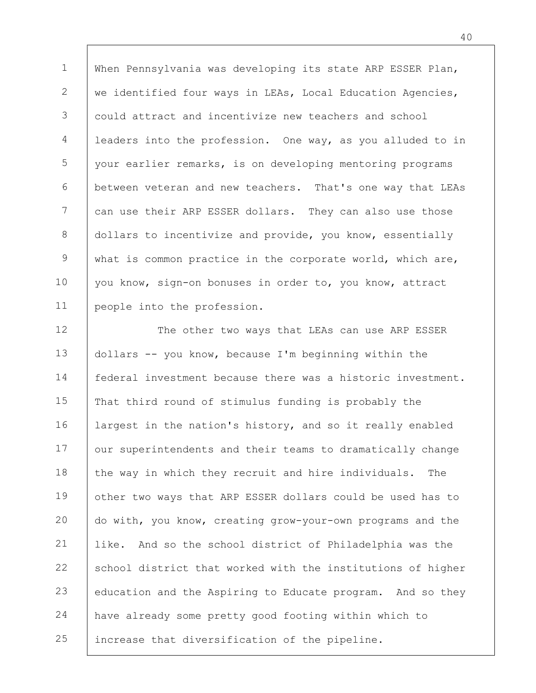1 2 3 4 5 6 7 8 9 10 11 When Pennsylvania was developing its state ARP ESSER Plan, we identified four ways in LEAs, Local Education Agencies, could attract and incentivize new teachers and school leaders into the profession. One way, as you alluded to in your earlier remarks, is on developing mentoring programs between veteran and new teachers. That's one way that LEAs can use their ARP ESSER dollars. They can also use those dollars to incentivize and provide, you know, essentially what is common practice in the corporate world, which are, you know, sign-on bonuses in order to, you know, attract people into the profession.

12 13 14 15 16 17 18 19 20 21 22 23 24 25 The other two ways that LEAs can use ARP ESSER dollars -- you know, because I'm beginning within the federal investment because there was a historic investment. That third round of stimulus funding is probably the largest in the nation's history, and so it really enabled our superintendents and their teams to dramatically change the way in which they recruit and hire individuals. The other two ways that ARP ESSER dollars could be used has to do with, you know, creating grow-your-own programs and the like. And so the school district of Philadelphia was the school district that worked with the institutions of higher education and the Aspiring to Educate program. And so they have already some pretty good footing within which to increase that diversification of the pipeline.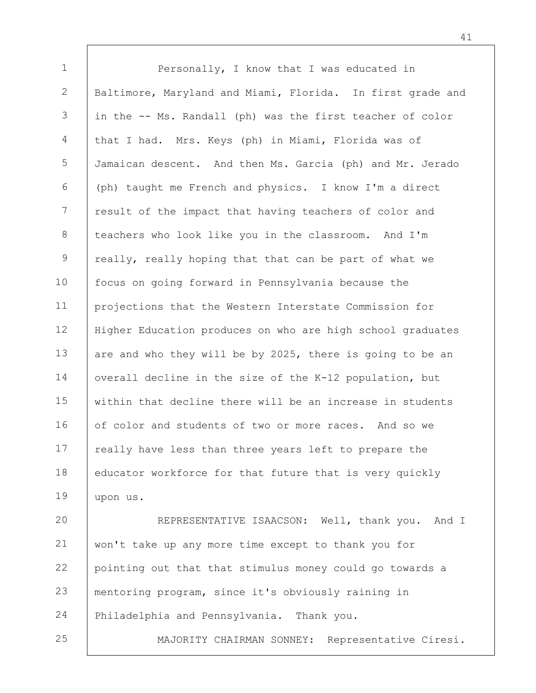1 2 3 4 5 6 7 8 9 10 11 12 13 14 15 16 17 18 19 20 21 22 Personally, I know that I was educated in Baltimore, Maryland and Miami, Florida. In first grade and in the -- Ms. Randall (ph) was the first teacher of color that I had. Mrs. Keys (ph) in Miami, Florida was of Jamaican descent. And then Ms. Garcia (ph) and Mr. Jerado (ph) taught me French and physics. I know I'm a direct result of the impact that having teachers of color and teachers who look like you in the classroom. And I'm really, really hoping that that can be part of what we focus on going forward in Pennsylvania because the projections that the Western Interstate Commission for Higher Education produces on who are high school graduates are and who they will be by 2025, there is going to be an overall decline in the size of the K-12 population, but within that decline there will be an increase in students of color and students of two or more races. And so we really have less than three years left to prepare the educator workforce for that future that is very quickly upon us. REPRESENTATIVE ISAACSON: Well, thank you. And I won't take up any more time except to thank you for pointing out that that stimulus money could go towards a

23 mentoring program, since it's obviously raining in

24 Philadelphia and Pennsylvania. Thank you.

25

MAJORITY CHAIRMAN SONNEY: Representative Ciresi.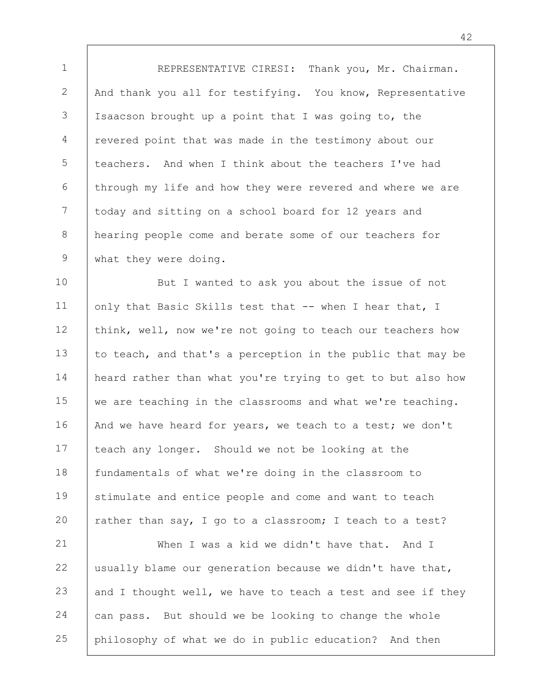1 2 3 4 5 6 7 8 9 REPRESENTATIVE CIRESI: Thank you, Mr. Chairman. And thank you all for testifying. You know, Representative Isaacson brought up a point that I was going to, the revered point that was made in the testimony about our teachers. And when I think about the teachers I've had through my life and how they were revered and where we are today and sitting on a school board for 12 years and hearing people come and berate some of our teachers for what they were doing.

10 11 12 13 14 15 16 17 18 19 20 But I wanted to ask you about the issue of not only that Basic Skills test that -- when I hear that, I think, well, now we're not going to teach our teachers how to teach, and that's a perception in the public that may be heard rather than what you're trying to get to but also how we are teaching in the classrooms and what we're teaching. And we have heard for years, we teach to a test; we don't teach any longer. Should we not be looking at the fundamentals of what we're doing in the classroom to stimulate and entice people and come and want to teach rather than say, I go to a classroom; I teach to a test?

21 22 23 24 25 When I was a kid we didn't have that. And I usually blame our generation because we didn't have that, and I thought well, we have to teach a test and see if they can pass. But should we be looking to change the whole philosophy of what we do in public education? And then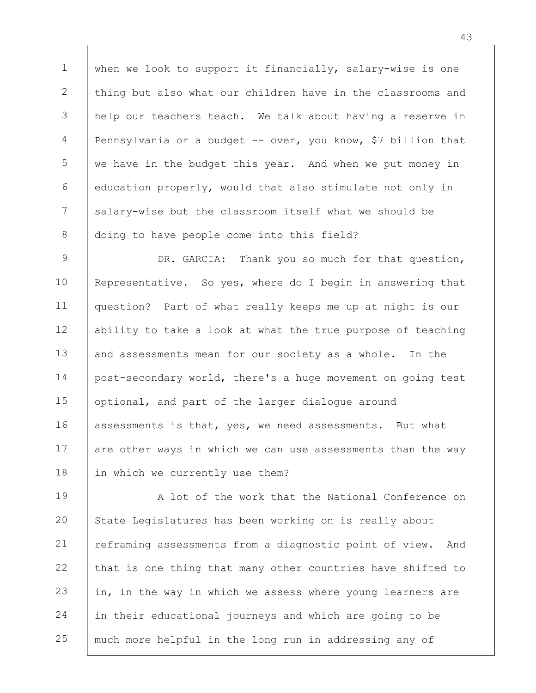1 2 3 4 5 6 7 8 when we look to support it financially, salary-wise is one thing but also what our children have in the classrooms and help our teachers teach. We talk about having a reserve in Pennsylvania or a budget -- over, you know, \$7 billion that we have in the budget this year. And when we put money in education properly, would that also stimulate not only in salary-wise but the classroom itself what we should be doing to have people come into this field?

9 10 11 12 13 14 15 16 17 18 DR. GARCIA: Thank you so much for that question, Representative. So yes, where do I begin in answering that question? Part of what really keeps me up at night is our ability to take a look at what the true purpose of teaching and assessments mean for our society as a whole. In the post-secondary world, there's a huge movement on going test optional, and part of the larger dialogue around assessments is that, yes, we need assessments. But what are other ways in which we can use assessments than the way in which we currently use them?

19 20 21 22 23 24 25 A lot of the work that the National Conference on State Legislatures has been working on is really about reframing assessments from a diagnostic point of view. And that is one thing that many other countries have shifted to in, in the way in which we assess where young learners are in their educational journeys and which are going to be much more helpful in the long run in addressing any of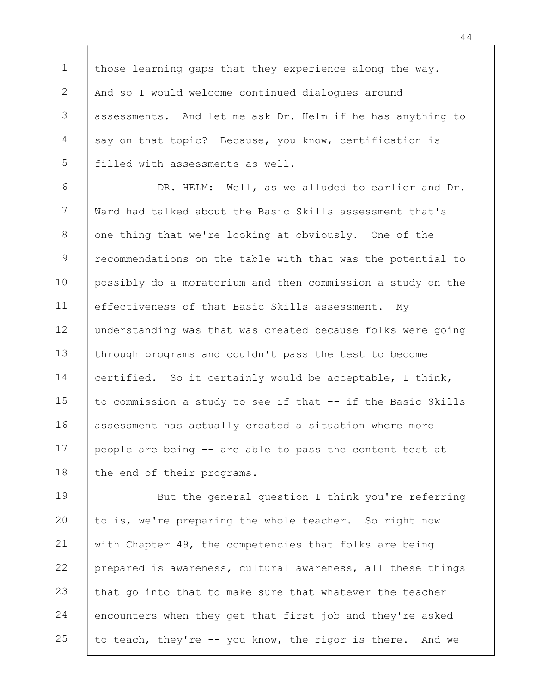1 2 3 4 5 those learning gaps that they experience along the way. And so I would welcome continued dialogues around assessments. And let me ask Dr. Helm if he has anything to say on that topic? Because, you know, certification is filled with assessments as well.

6 7 8 9 10 11 12 13 14 15 16 17 18 DR. HELM: Well, as we alluded to earlier and Dr. Ward had talked about the Basic Skills assessment that's one thing that we're looking at obviously. One of the recommendations on the table with that was the potential to possibly do a moratorium and then commission a study on the effectiveness of that Basic Skills assessment. My understanding was that was created because folks were going through programs and couldn't pass the test to become certified. So it certainly would be acceptable, I think, to commission a study to see if that -- if the Basic Skills assessment has actually created a situation where more people are being -- are able to pass the content test at the end of their programs.

19 20 21 22 23 24 25 But the general question I think you're referring to is, we're preparing the whole teacher. So right now with Chapter 49, the competencies that folks are being prepared is awareness, cultural awareness, all these things that go into that to make sure that whatever the teacher encounters when they get that first job and they're asked to teach, they're -- you know, the rigor is there. And we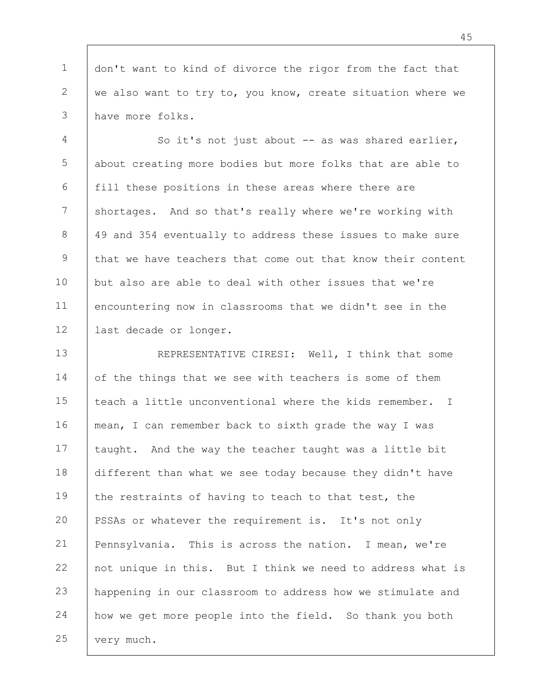1 2 3 don't want to kind of divorce the rigor from the fact that we also want to try to, you know, create situation where we have more folks.

4 5 6 7 8 9 10 11 12 So it's not just about -- as was shared earlier, about creating more bodies but more folks that are able to fill these positions in these areas where there are shortages. And so that's really where we're working with 49 and 354 eventually to address these issues to make sure that we have teachers that come out that know their content but also are able to deal with other issues that we're encountering now in classrooms that we didn't see in the last decade or longer.

13 14 15 16 17 18 19 20 21 22 23 24 25 REPRESENTATIVE CIRESI: Well, I think that some of the things that we see with teachers is some of them teach a little unconventional where the kids remember. I mean, I can remember back to sixth grade the way I was taught. And the way the teacher taught was a little bit different than what we see today because they didn't have the restraints of having to teach to that test, the PSSAs or whatever the requirement is. It's not only Pennsylvania. This is across the nation. I mean, we're not unique in this. But I think we need to address what is happening in our classroom to address how we stimulate and how we get more people into the field. So thank you both very much.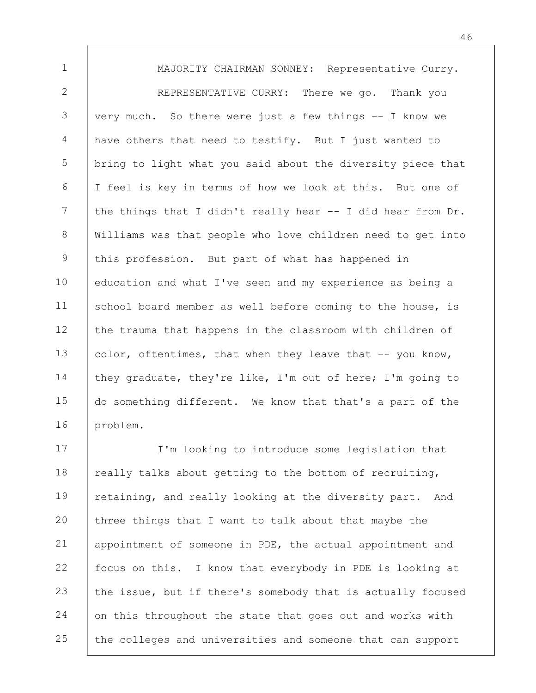1 2 3 4 5 6 7 8 9 10 11 12 13 14 15 16 MAJORITY CHAIRMAN SONNEY: Representative Curry. REPRESENTATIVE CURRY: There we go. Thank you very much. So there were just a few things -- I know we have others that need to testify. But I just wanted to bring to light what you said about the diversity piece that I feel is key in terms of how we look at this. But one of the things that I didn't really hear -- I did hear from Dr. Williams was that people who love children need to get into this profession. But part of what has happened in education and what I've seen and my experience as being a school board member as well before coming to the house, is the trauma that happens in the classroom with children of color, oftentimes, that when they leave that -- you know, they graduate, they're like, I'm out of here; I'm going to do something different. We know that that's a part of the problem.

17 18 19 20 21 22 23 24 25 I'm looking to introduce some legislation that really talks about getting to the bottom of recruiting, retaining, and really looking at the diversity part. And three things that I want to talk about that maybe the appointment of someone in PDE, the actual appointment and focus on this. I know that everybody in PDE is looking at the issue, but if there's somebody that is actually focused on this throughout the state that goes out and works with the colleges and universities and someone that can support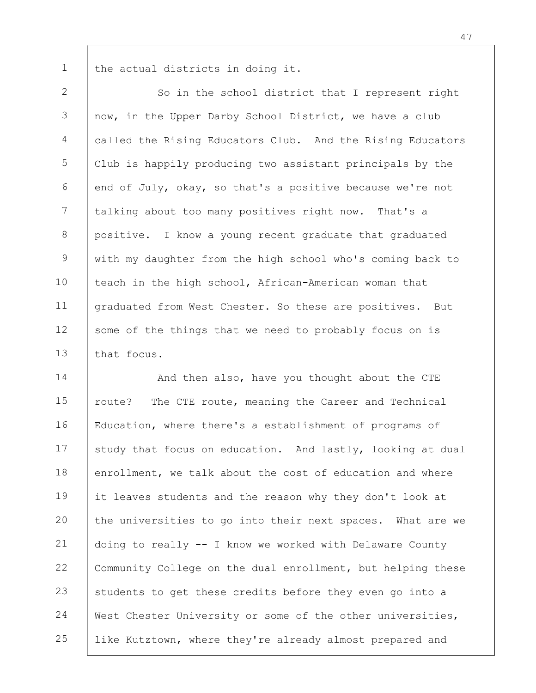the actual districts in doing it.

1

2 3 4 5 6 7 8 9 10 11 12 13 So in the school district that I represent right now, in the Upper Darby School District, we have a club called the Rising Educators Club. And the Rising Educators Club is happily producing two assistant principals by the end of July, okay, so that's a positive because we're not talking about too many positives right now. That's a positive. I know a young recent graduate that graduated with my daughter from the high school who's coming back to teach in the high school, African-American woman that graduated from West Chester. So these are positives. But some of the things that we need to probably focus on is that focus.

14 15 16 17 18 19 20 21 22 23 24 25 And then also, have you thought about the CTE route? The CTE route, meaning the Career and Technical Education, where there's a establishment of programs of study that focus on education. And lastly, looking at dual enrollment, we talk about the cost of education and where it leaves students and the reason why they don't look at the universities to go into their next spaces. What are we doing to really -- I know we worked with Delaware County Community College on the dual enrollment, but helping these students to get these credits before they even go into a West Chester University or some of the other universities, like Kutztown, where they're already almost prepared and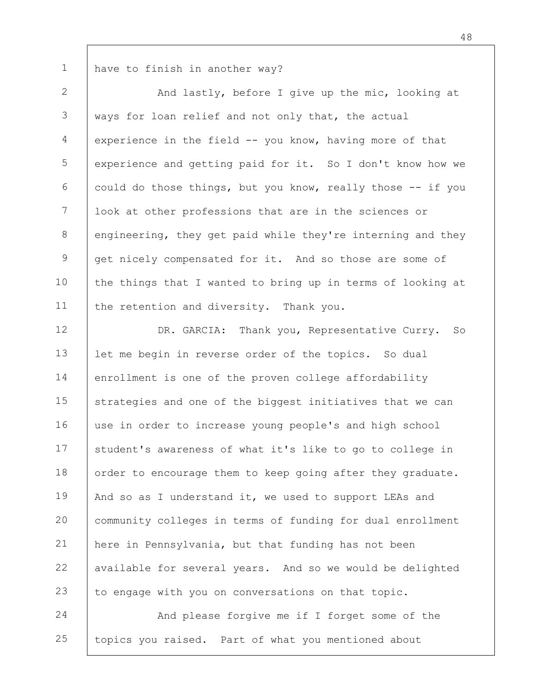have to finish in another way?

1

2 3 4 5 6 7 8 9 10 11 And lastly, before I give up the mic, looking at ways for loan relief and not only that, the actual experience in the field -- you know, having more of that experience and getting paid for it. So I don't know how we could do those things, but you know, really those -- if you look at other professions that are in the sciences or engineering, they get paid while they're interning and they get nicely compensated for it. And so those are some of the things that I wanted to bring up in terms of looking at the retention and diversity. Thank you.

12 13 14 15 16 17 18 19 20 21 22 23 DR. GARCIA: Thank you, Representative Curry. So let me begin in reverse order of the topics. So dual enrollment is one of the proven college affordability strategies and one of the biggest initiatives that we can use in order to increase young people's and high school student's awareness of what it's like to go to college in order to encourage them to keep going after they graduate. And so as I understand it, we used to support LEAs and community colleges in terms of funding for dual enrollment here in Pennsylvania, but that funding has not been available for several years. And so we would be delighted to engage with you on conversations on that topic.

24 25 And please forgive me if I forget some of the topics you raised. Part of what you mentioned about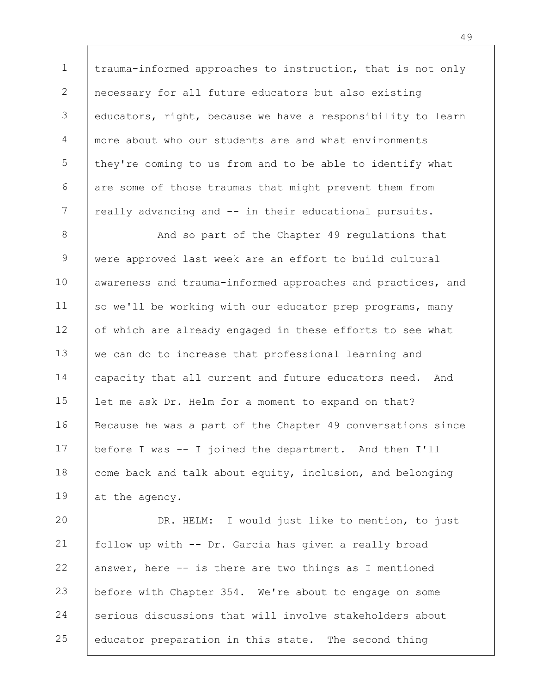1 2 3 4 5 6 7 trauma-informed approaches to instruction, that is not only necessary for all future educators but also existing educators, right, because we have a responsibility to learn more about who our students are and what environments they're coming to us from and to be able to identify what are some of those traumas that might prevent them from really advancing and -- in their educational pursuits.

8 9 10 11 12 13 14 15 16 17 18 19 And so part of the Chapter 49 regulations that were approved last week are an effort to build cultural awareness and trauma-informed approaches and practices, and so we'll be working with our educator prep programs, many of which are already engaged in these efforts to see what we can do to increase that professional learning and capacity that all current and future educators need. And let me ask Dr. Helm for a moment to expand on that? Because he was a part of the Chapter 49 conversations since before I was -- I joined the department. And then I'll come back and talk about equity, inclusion, and belonging at the agency.

20 21 22 23 24 25 DR. HELM: I would just like to mention, to just follow up with -- Dr. Garcia has given a really broad answer, here -- is there are two things as I mentioned before with Chapter 354. We're about to engage on some serious discussions that will involve stakeholders about educator preparation in this state. The second thing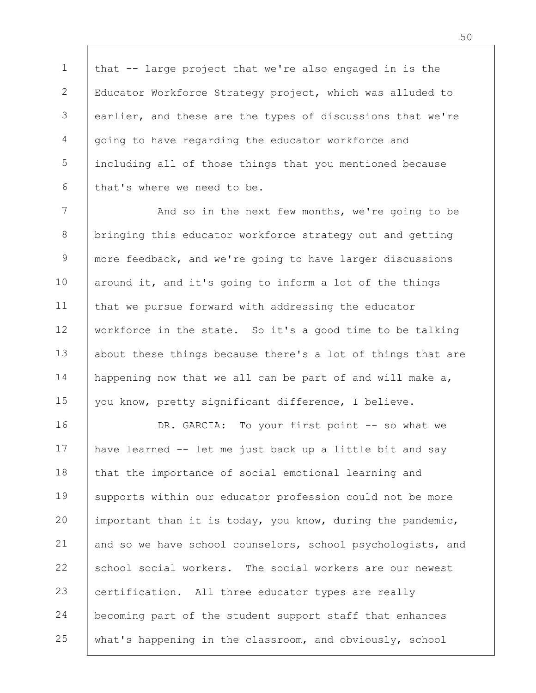1 2 3 4 5 6 that -- large project that we're also engaged in is the Educator Workforce Strategy project, which was alluded to earlier, and these are the types of discussions that we're going to have regarding the educator workforce and including all of those things that you mentioned because that's where we need to be.

7 8 9 10 11 12 13 14 15 And so in the next few months, we're going to be bringing this educator workforce strategy out and getting more feedback, and we're going to have larger discussions around it, and it's going to inform a lot of the things that we pursue forward with addressing the educator workforce in the state. So it's a good time to be talking about these things because there's a lot of things that are happening now that we all can be part of and will make a, you know, pretty significant difference, I believe.

16 17 18 19 20 21 22 23 24 25 DR. GARCIA: To your first point -- so what we have learned -- let me just back up a little bit and say that the importance of social emotional learning and supports within our educator profession could not be more important than it is today, you know, during the pandemic, and so we have school counselors, school psychologists, and school social workers. The social workers are our newest certification. All three educator types are really becoming part of the student support staff that enhances what's happening in the classroom, and obviously, school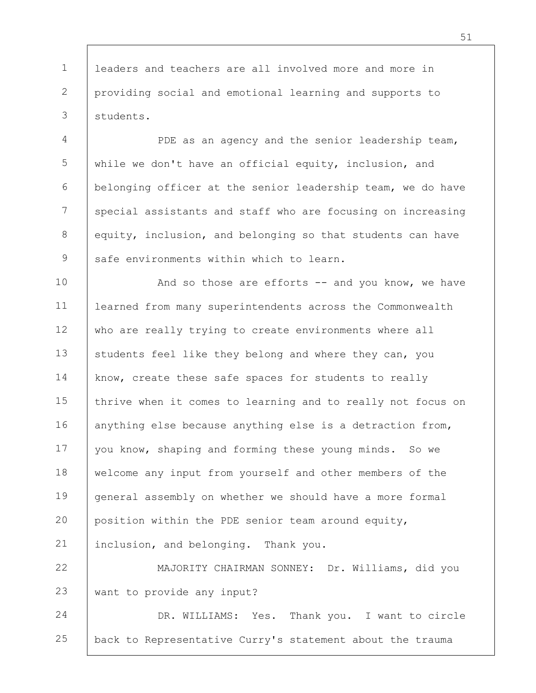1 2 3 leaders and teachers are all involved more and more in providing social and emotional learning and supports to students.

4 5 6 7 8 9 PDE as an agency and the senior leadership team, while we don't have an official equity, inclusion, and belonging officer at the senior leadership team, we do have special assistants and staff who are focusing on increasing equity, inclusion, and belonging so that students can have safe environments within which to learn.

10 11 12 13 14 15 16 17 18 19 20 21 And so those are efforts  $--$  and you know, we have learned from many superintendents across the Commonwealth who are really trying to create environments where all students feel like they belong and where they can, you know, create these safe spaces for students to really thrive when it comes to learning and to really not focus on anything else because anything else is a detraction from, you know, shaping and forming these young minds. So we welcome any input from yourself and other members of the general assembly on whether we should have a more formal position within the PDE senior team around equity, inclusion, and belonging. Thank you.

22 23 MAJORITY CHAIRMAN SONNEY: Dr. Williams, did you want to provide any input?

24 25 DR. WILLIAMS: Yes. Thank you. I want to circle back to Representative Curry's statement about the trauma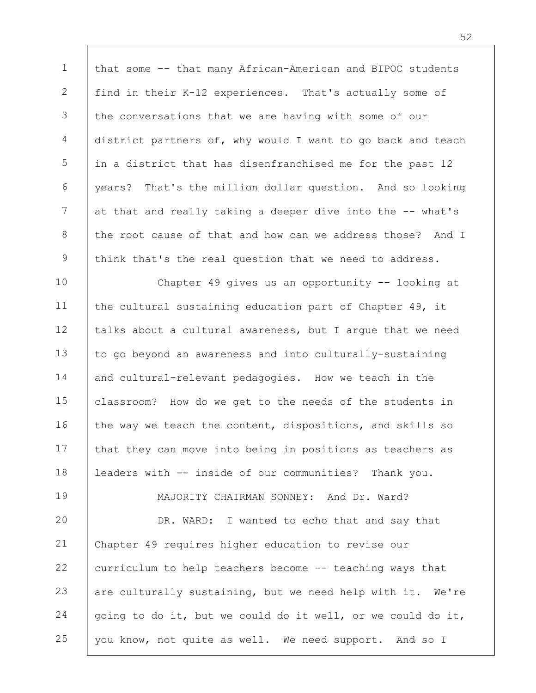1 2 3 4 5 6 7 8 9 10 11 12 13 14 15 16 17 18 19 20 21 22 23 24 25 that some -- that many African-American and BIPOC students find in their K-12 experiences. That's actually some of the conversations that we are having with some of our district partners of, why would I want to go back and teach in a district that has disenfranchised me for the past 12 years? That's the million dollar question. And so looking at that and really taking a deeper dive into the -- what's the root cause of that and how can we address those? And I think that's the real question that we need to address. Chapter 49 gives us an opportunity -- looking at the cultural sustaining education part of Chapter 49, it talks about a cultural awareness, but I argue that we need to go beyond an awareness and into culturally-sustaining and cultural-relevant pedagogies. How we teach in the classroom? How do we get to the needs of the students in the way we teach the content, dispositions, and skills so that they can move into being in positions as teachers as leaders with -- inside of our communities? Thank you. MAJORITY CHAIRMAN SONNEY: And Dr. Ward? DR. WARD: I wanted to echo that and say that Chapter 49 requires higher education to revise our curriculum to help teachers become -- teaching ways that are culturally sustaining, but we need help with it. We're going to do it, but we could do it well, or we could do it, you know, not quite as well. We need support. And so I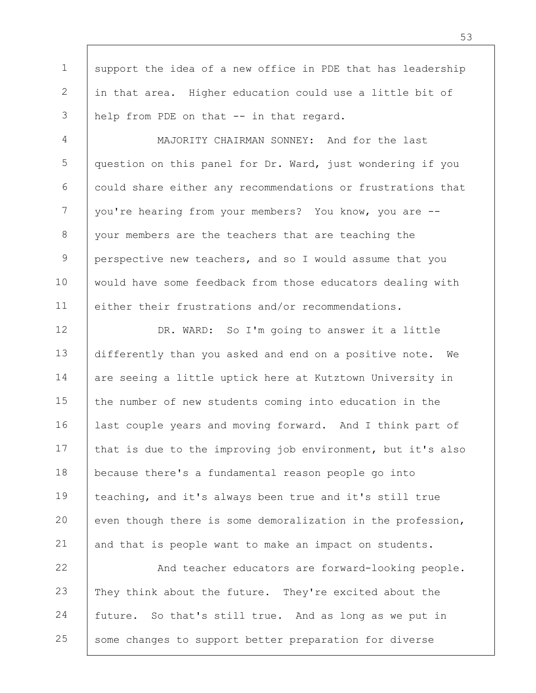1 2 3 support the idea of a new office in PDE that has leadership in that area. Higher education could use a little bit of help from PDE on that -- in that regard.

4 5 6 7 8 9 10 11 MAJORITY CHAIRMAN SONNEY: And for the last question on this panel for Dr. Ward, just wondering if you could share either any recommendations or frustrations that you're hearing from your members? You know, you are - your members are the teachers that are teaching the perspective new teachers, and so I would assume that you would have some feedback from those educators dealing with either their frustrations and/or recommendations.

12 13 14 15 16 17 18 19 20 21 DR. WARD: So I'm going to answer it a little differently than you asked and end on a positive note. We are seeing a little uptick here at Kutztown University in the number of new students coming into education in the last couple years and moving forward. And I think part of that is due to the improving job environment, but it's also because there's a fundamental reason people go into teaching, and it's always been true and it's still true even though there is some demoralization in the profession, and that is people want to make an impact on students.

22 23 24 25 And teacher educators are forward-looking people. They think about the future. They're excited about the future. So that's still true. And as long as we put in some changes to support better preparation for diverse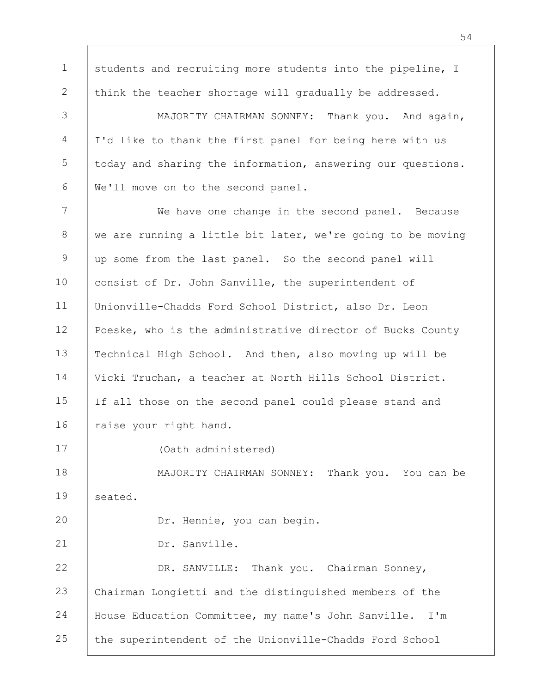1 2 3 4 5 6 7 8 9 10 11 12 13 14 15 16 17 18 19 20 21 22 23 24 25 students and recruiting more students into the pipeline, I think the teacher shortage will gradually be addressed. MAJORITY CHAIRMAN SONNEY: Thank you. And again, I'd like to thank the first panel for being here with us today and sharing the information, answering our questions. We'll move on to the second panel. We have one change in the second panel. Because we are running a little bit later, we're going to be moving up some from the last panel. So the second panel will consist of Dr. John Sanville, the superintendent of Unionville-Chadds Ford School District, also Dr. Leon Poeske, who is the administrative director of Bucks County Technical High School. And then, also moving up will be Vicki Truchan, a teacher at North Hills School District. If all those on the second panel could please stand and raise your right hand. (Oath administered) MAJORITY CHAIRMAN SONNEY: Thank you. You can be seated. Dr. Hennie, you can begin. Dr. Sanville. DR. SANVILLE: Thank you. Chairman Sonney, Chairman Longietti and the distinguished members of the House Education Committee, my name's John Sanville. I'm the superintendent of the Unionville-Chadds Ford School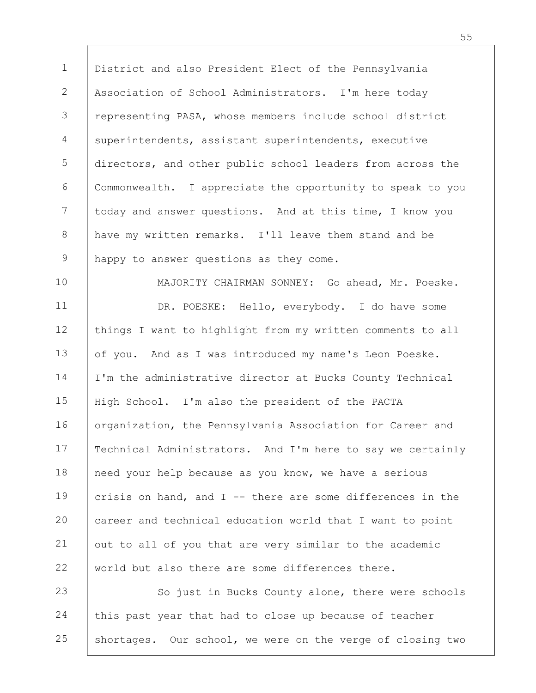1 2 3 4 5 6 7 8 9 10 11 12 District and also President Elect of the Pennsylvania Association of School Administrators. I'm here today representing PASA, whose members include school district superintendents, assistant superintendents, executive directors, and other public school leaders from across the Commonwealth. I appreciate the opportunity to speak to you today and answer questions. And at this time, I know you have my written remarks. I'll leave them stand and be happy to answer questions as they come. MAJORITY CHAIRMAN SONNEY: Go ahead, Mr. Poeske. DR. POESKE: Hello, everybody. I do have some

things I want to highlight from my written comments to all

13 14 15 16 17 18 19 20 21 22 of you. And as I was introduced my name's Leon Poeske. I'm the administrative director at Bucks County Technical High School. I'm also the president of the PACTA organization, the Pennsylvania Association for Career and Technical Administrators. And I'm here to say we certainly need your help because as you know, we have a serious crisis on hand, and  $I$  -- there are some differences in the career and technical education world that I want to point out to all of you that are very similar to the academic world but also there are some differences there.

23 24 25 So just in Bucks County alone, there were schools this past year that had to close up because of teacher shortages. Our school, we were on the verge of closing two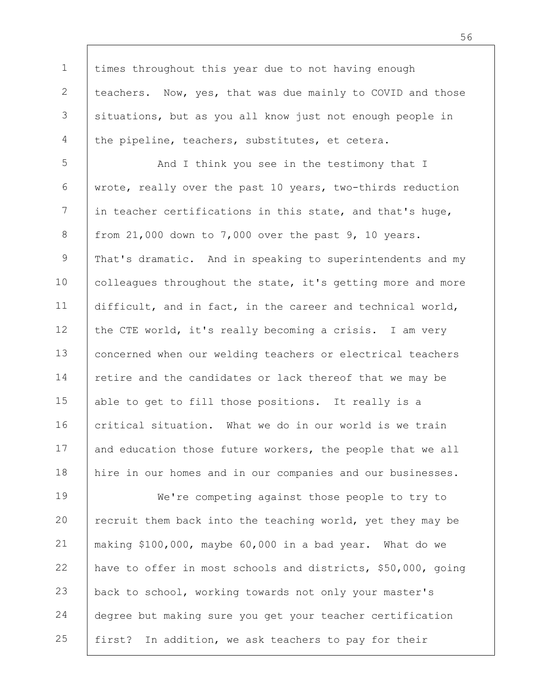times throughout this year due to not having enough teachers. Now, yes, that was due mainly to COVID and those situations, but as you all know just not enough people in the pipeline, teachers, substitutes, et cetera.

1

2

3

4

5 6 7 8 9 10 11 12 13 14 15 16 17 18 And I think you see in the testimony that I wrote, really over the past 10 years, two-thirds reduction in teacher certifications in this state, and that's huge, from 21,000 down to 7,000 over the past 9, 10 years. That's dramatic. And in speaking to superintendents and my colleagues throughout the state, it's getting more and more difficult, and in fact, in the career and technical world, the CTE world, it's really becoming a crisis. I am very concerned when our welding teachers or electrical teachers retire and the candidates or lack thereof that we may be able to get to fill those positions. It really is a critical situation. What we do in our world is we train and education those future workers, the people that we all hire in our homes and in our companies and our businesses.

19 20 21 22 23 24 25 We're competing against those people to try to recruit them back into the teaching world, yet they may be making \$100,000, maybe 60,000 in a bad year. What do we have to offer in most schools and districts, \$50,000, going back to school, working towards not only your master's degree but making sure you get your teacher certification first? In addition, we ask teachers to pay for their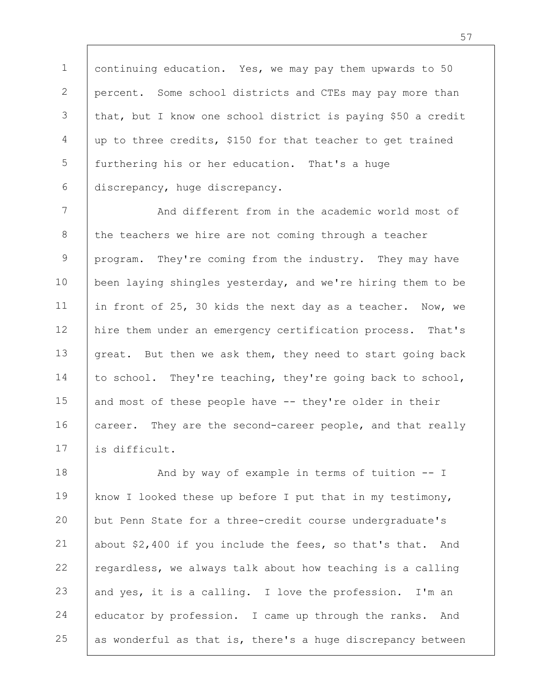1 2 3 4 5 6 continuing education. Yes, we may pay them upwards to 50 percent. Some school districts and CTEs may pay more than that, but I know one school district is paying \$50 a credit up to three credits, \$150 for that teacher to get trained furthering his or her education. That's a huge discrepancy, huge discrepancy.

7 8 9 10 11 12 13 14 15 16 17 And different from in the academic world most of the teachers we hire are not coming through a teacher program. They're coming from the industry. They may have been laying shingles yesterday, and we're hiring them to be in front of 25, 30 kids the next day as a teacher. Now, we hire them under an emergency certification process. That's great. But then we ask them, they need to start going back to school. They're teaching, they're going back to school, and most of these people have -- they're older in their career. They are the second-career people, and that really is difficult.

18 19 20 21 22 23 24 25 And by way of example in terms of tuition -- I know I looked these up before I put that in my testimony, but Penn State for a three-credit course undergraduate's about \$2,400 if you include the fees, so that's that. And regardless, we always talk about how teaching is a calling and yes, it is a calling. I love the profession. I'm an educator by profession. I came up through the ranks. And as wonderful as that is, there's a huge discrepancy between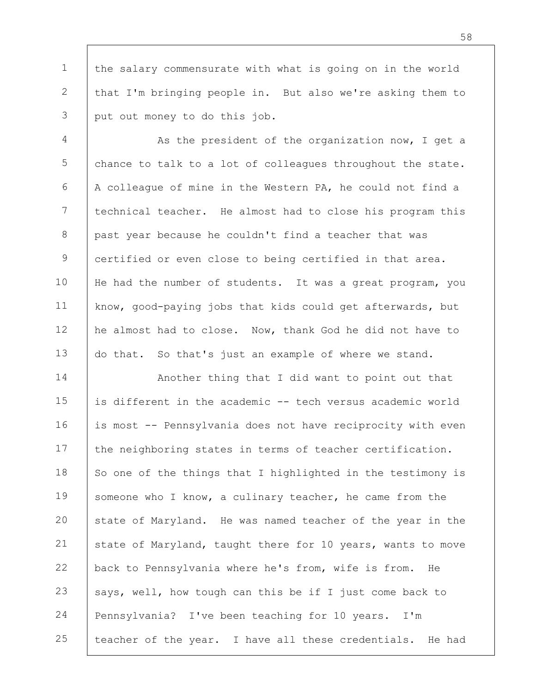1 2 3 the salary commensurate with what is going on in the world that I'm bringing people in. But also we're asking them to put out money to do this job.

4 5 6 7 8 9 10 11 12 13 As the president of the organization now, I get a chance to talk to a lot of colleagues throughout the state. A colleague of mine in the Western PA, he could not find a technical teacher. He almost had to close his program this past year because he couldn't find a teacher that was certified or even close to being certified in that area. He had the number of students. It was a great program, you know, good-paying jobs that kids could get afterwards, but he almost had to close. Now, thank God he did not have to do that. So that's just an example of where we stand.

14 15 16 17 18 19 20 21 22 23 24 25 Another thing that I did want to point out that is different in the academic -- tech versus academic world is most -- Pennsylvania does not have reciprocity with even the neighboring states in terms of teacher certification. So one of the things that I highlighted in the testimony is someone who I know, a culinary teacher, he came from the state of Maryland. He was named teacher of the year in the state of Maryland, taught there for 10 years, wants to move back to Pennsylvania where he's from, wife is from. He says, well, how tough can this be if I just come back to Pennsylvania? I've been teaching for 10 years. I'm teacher of the year. I have all these credentials. He had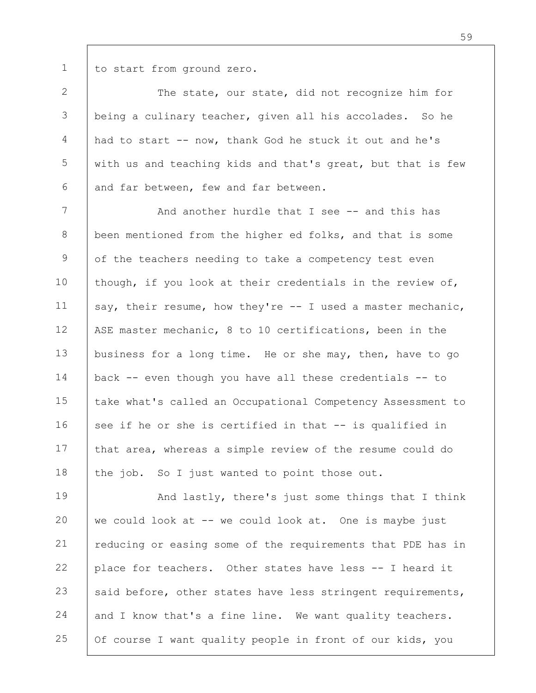1

to start from ground zero.

2 3 4 5 6 The state, our state, did not recognize him for being a culinary teacher, given all his accolades. So he had to start -- now, thank God he stuck it out and he's with us and teaching kids and that's great, but that is few and far between, few and far between.

7 8 9 10 11 12 13 14 15 16 17 18 And another hurdle that I see -- and this has been mentioned from the higher ed folks, and that is some of the teachers needing to take a competency test even though, if you look at their credentials in the review of, say, their resume, how they're  $-$  I used a master mechanic, ASE master mechanic, 8 to 10 certifications, been in the business for a long time. He or she may, then, have to go back -- even though you have all these credentials -- to take what's called an Occupational Competency Assessment to see if he or she is certified in that -- is qualified in that area, whereas a simple review of the resume could do the job. So I just wanted to point those out.

19 20 21 22 23 24 25 And lastly, there's just some things that I think we could look at -- we could look at. One is maybe just reducing or easing some of the requirements that PDE has in place for teachers. Other states have less -- I heard it said before, other states have less stringent requirements, and I know that's a fine line. We want quality teachers. Of course I want quality people in front of our kids, you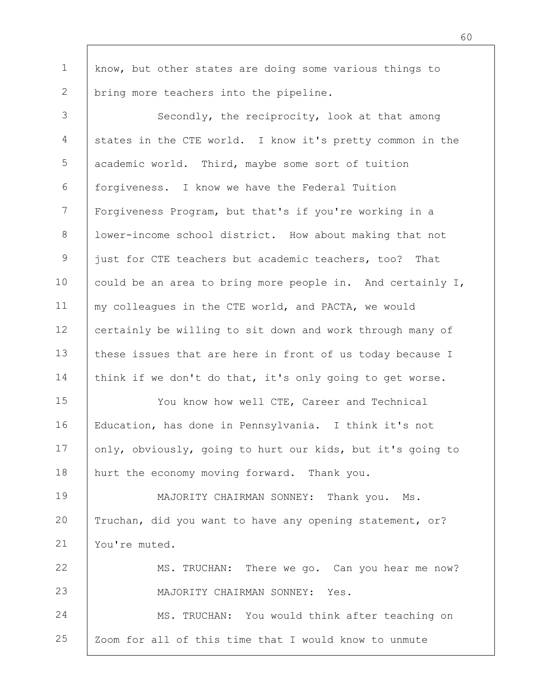1 2 know, but other states are doing some various things to bring more teachers into the pipeline.

3 4 5 6 7 8 9 10 11 12 13 14 Secondly, the reciprocity, look at that among states in the CTE world. I know it's pretty common in the academic world. Third, maybe some sort of tuition forgiveness. I know we have the Federal Tuition Forgiveness Program, but that's if you're working in a lower-income school district. How about making that not just for CTE teachers but academic teachers, too? That could be an area to bring more people in. And certainly I, my colleagues in the CTE world, and PACTA, we would certainly be willing to sit down and work through many of these issues that are here in front of us today because I think if we don't do that, it's only going to get worse.

15 16 17 18 You know how well CTE, Career and Technical Education, has done in Pennsylvania. I think it's not only, obviously, going to hurt our kids, but it's going to hurt the economy moving forward. Thank you.

19 20 21 MAJORITY CHAIRMAN SONNEY: Thank you. Ms. Truchan, did you want to have any opening statement, or? You're muted.

22 23 24 MS. TRUCHAN: There we go. Can you hear me now? MAJORITY CHAIRMAN SONNEY: Yes. MS. TRUCHAN: You would think after teaching on

25 Zoom for all of this time that I would know to unmute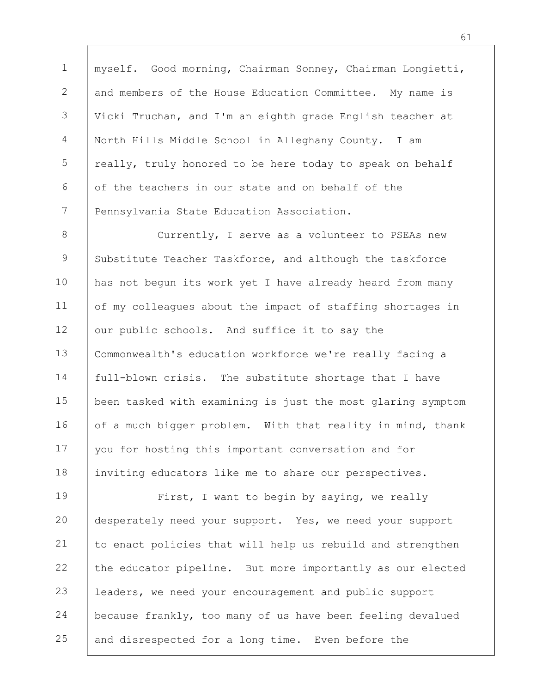1 2 3 4 5 6 7 myself. Good morning, Chairman Sonney, Chairman Longietti, and members of the House Education Committee. My name is Vicki Truchan, and I'm an eighth grade English teacher at North Hills Middle School in Alleghany County. I am really, truly honored to be here today to speak on behalf of the teachers in our state and on behalf of the Pennsylvania State Education Association.

8 9 10 11 12 13 14 15 16 17 18 Currently, I serve as a volunteer to PSEAs new Substitute Teacher Taskforce, and although the taskforce has not begun its work yet I have already heard from many of my colleagues about the impact of staffing shortages in our public schools. And suffice it to say the Commonwealth's education workforce we're really facing a full-blown crisis. The substitute shortage that I have been tasked with examining is just the most glaring symptom of a much bigger problem. With that reality in mind, thank you for hosting this important conversation and for inviting educators like me to share our perspectives.

19 20 21 22 23 24 25 First, I want to begin by saying, we really desperately need your support. Yes, we need your support to enact policies that will help us rebuild and strengthen the educator pipeline. But more importantly as our elected leaders, we need your encouragement and public support because frankly, too many of us have been feeling devalued and disrespected for a long time. Even before the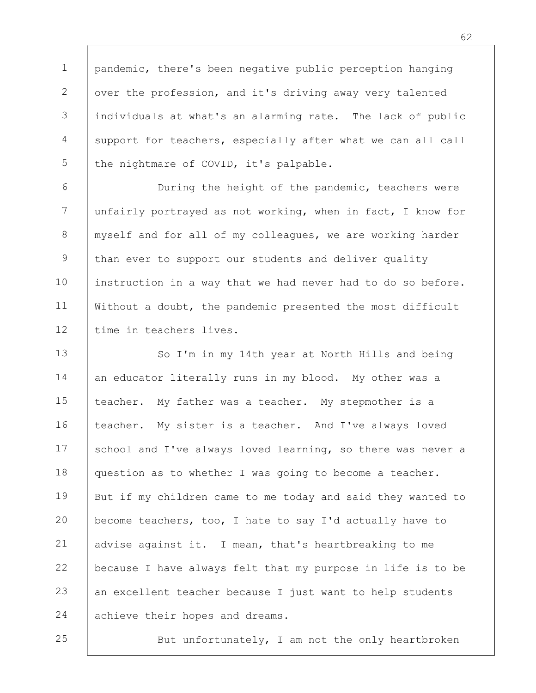1 2 3 4 5 pandemic, there's been negative public perception hanging over the profession, and it's driving away very talented individuals at what's an alarming rate. The lack of public support for teachers, especially after what we can all call the nightmare of COVID, it's palpable.

6 7 8 9 10 11 12 During the height of the pandemic, teachers were unfairly portrayed as not working, when in fact, I know for myself and for all of my colleagues, we are working harder than ever to support our students and deliver quality instruction in a way that we had never had to do so before. Without a doubt, the pandemic presented the most difficult time in teachers lives.

13 14 15 16 17 18 19 20 21 22 23 24 So I'm in my 14th year at North Hills and being an educator literally runs in my blood. My other was a teacher. My father was a teacher. My stepmother is a teacher. My sister is a teacher. And I've always loved school and I've always loved learning, so there was never a question as to whether I was going to become a teacher. But if my children came to me today and said they wanted to become teachers, too, I hate to say I'd actually have to advise against it. I mean, that's heartbreaking to me because I have always felt that my purpose in life is to be an excellent teacher because I just want to help students achieve their hopes and dreams.

25

But unfortunately, I am not the only heartbroken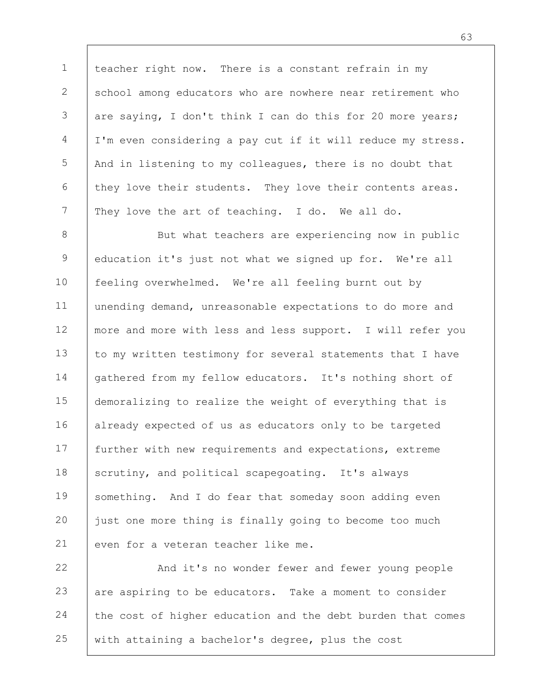1 2 3 4 5 6 7 teacher right now. There is a constant refrain in my school among educators who are nowhere near retirement who are saying, I don't think I can do this for 20 more years; I'm even considering a pay cut if it will reduce my stress. And in listening to my colleagues, there is no doubt that they love their students. They love their contents areas. They love the art of teaching. I do. We all do.

8 9 10 11 12 13 14 15 16 17 18 19 20 21 But what teachers are experiencing now in public education it's just not what we signed up for. We're all feeling overwhelmed. We're all feeling burnt out by unending demand, unreasonable expectations to do more and more and more with less and less support. I will refer you to my written testimony for several statements that I have gathered from my fellow educators. It's nothing short of demoralizing to realize the weight of everything that is already expected of us as educators only to be targeted further with new requirements and expectations, extreme scrutiny, and political scapegoating. It's always something. And I do fear that someday soon adding even just one more thing is finally going to become too much even for a veteran teacher like me.

22 23 24 25 And it's no wonder fewer and fewer young people are aspiring to be educators. Take a moment to consider the cost of higher education and the debt burden that comes with attaining a bachelor's degree, plus the cost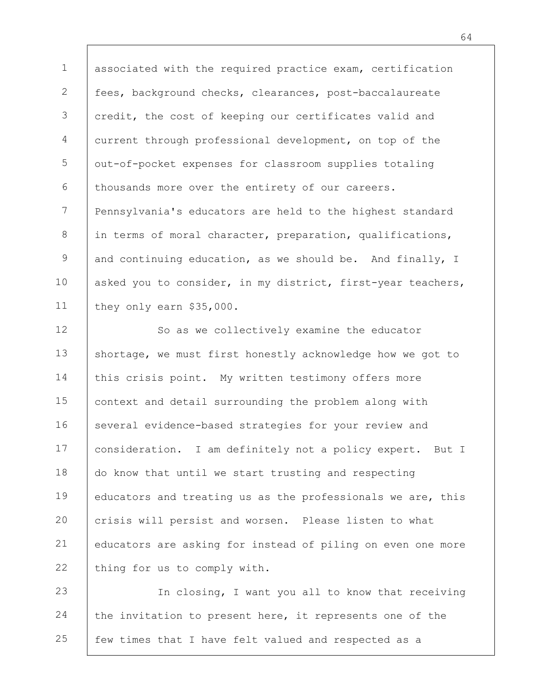1 2 3 4 5 6 7 8 9 10 11 associated with the required practice exam, certification fees, background checks, clearances, post-baccalaureate credit, the cost of keeping our certificates valid and current through professional development, on top of the out-of-pocket expenses for classroom supplies totaling thousands more over the entirety of our careers. Pennsylvania's educators are held to the highest standard in terms of moral character, preparation, qualifications, and continuing education, as we should be. And finally, I asked you to consider, in my district, first-year teachers, they only earn \$35,000.

12 13 14 15 16 17 18 19 20 21 22 So as we collectively examine the educator shortage, we must first honestly acknowledge how we got to this crisis point. My written testimony offers more context and detail surrounding the problem along with several evidence-based strategies for your review and consideration. I am definitely not a policy expert. But I do know that until we start trusting and respecting educators and treating us as the professionals we are, this crisis will persist and worsen. Please listen to what educators are asking for instead of piling on even one more thing for us to comply with.

23 24 25 In closing, I want you all to know that receiving the invitation to present here, it represents one of the few times that I have felt valued and respected as a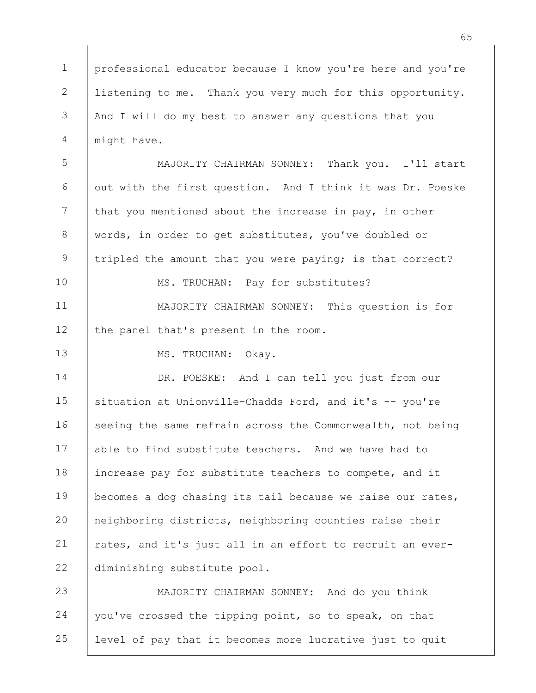1 2 3 4 5 6 7 8 9 10 11 12 13 14 15 16 17 18 19 20 21 22 23 24 25 professional educator because I know you're here and you're listening to me. Thank you very much for this opportunity. And I will do my best to answer any questions that you might have. MAJORITY CHAIRMAN SONNEY: Thank you. I'll start out with the first question. And I think it was Dr. Poeske that you mentioned about the increase in pay, in other words, in order to get substitutes, you've doubled or tripled the amount that you were paying; is that correct? MS. TRUCHAN: Pay for substitutes? MAJORITY CHAIRMAN SONNEY: This question is for the panel that's present in the room. MS. TRUCHAN: Okay. DR. POESKE: And I can tell you just from our situation at Unionville-Chadds Ford, and it's -- you're seeing the same refrain across the Commonwealth, not being able to find substitute teachers. And we have had to increase pay for substitute teachers to compete, and it becomes a dog chasing its tail because we raise our rates, neighboring districts, neighboring counties raise their rates, and it's just all in an effort to recruit an everdiminishing substitute pool. MAJORITY CHAIRMAN SONNEY: And do you think you've crossed the tipping point, so to speak, on that level of pay that it becomes more lucrative just to quit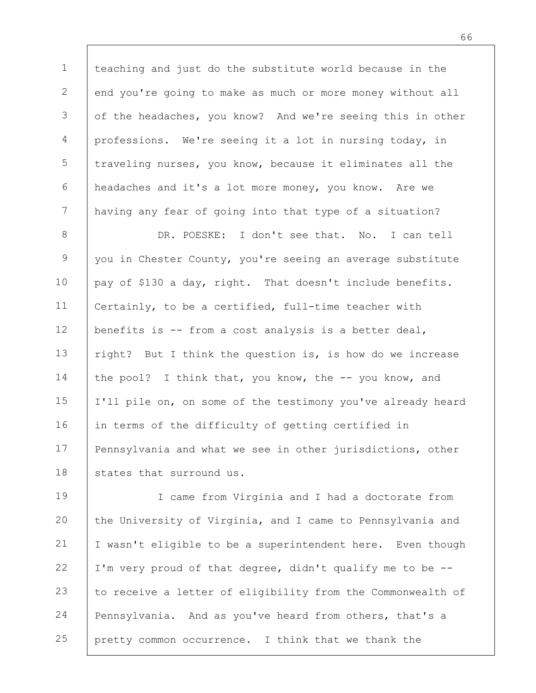1 2 3 4 5 6 7 teaching and just do the substitute world because in the end you're going to make as much or more money without all of the headaches, you know? And we're seeing this in other professions. We're seeing it a lot in nursing today, in traveling nurses, you know, because it eliminates all the headaches and it's a lot more money, you know. Are we having any fear of going into that type of a situation?

8 9 10 11 12 13 14 15 16 17 18 DR. POESKE: I don't see that. No. I can tell you in Chester County, you're seeing an average substitute pay of \$130 a day, right. That doesn't include benefits. Certainly, to be a certified, full-time teacher with benefits is -- from a cost analysis is a better deal, right? But I think the question is, is how do we increase the pool? I think that, you know, the -- you know, and I'll pile on, on some of the testimony you've already heard in terms of the difficulty of getting certified in Pennsylvania and what we see in other jurisdictions, other states that surround us.

19 20 21 22 23 24 25 I came from Virginia and I had a doctorate from the University of Virginia, and I came to Pennsylvania and I wasn't eligible to be a superintendent here. Even though I'm very proud of that degree, didn't qualify me to be - to receive a letter of eligibility from the Commonwealth of Pennsylvania. And as you've heard from others, that's a pretty common occurrence. I think that we thank the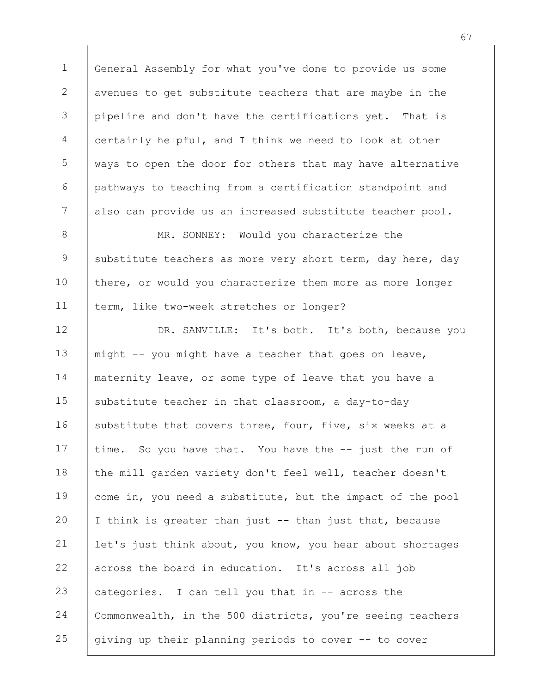1 2 3 4 5 6 7 General Assembly for what you've done to provide us some avenues to get substitute teachers that are maybe in the pipeline and don't have the certifications yet. That is certainly helpful, and I think we need to look at other ways to open the door for others that may have alternative pathways to teaching from a certification standpoint and also can provide us an increased substitute teacher pool.

8 9 10 11 MR. SONNEY: Would you characterize the substitute teachers as more very short term, day here, day there, or would you characterize them more as more longer term, like two-week stretches or longer?

12 13 14 15 16 17 18 19 20 21 22 23 24 25 DR. SANVILLE: It's both. It's both, because you might -- you might have a teacher that goes on leave, maternity leave, or some type of leave that you have a substitute teacher in that classroom, a day-to-day substitute that covers three, four, five, six weeks at a time. So you have that. You have the -- just the run of the mill garden variety don't feel well, teacher doesn't come in, you need a substitute, but the impact of the pool I think is greater than just -- than just that, because let's just think about, you know, you hear about shortages across the board in education. It's across all job categories. I can tell you that in -- across the Commonwealth, in the 500 districts, you're seeing teachers giving up their planning periods to cover -- to cover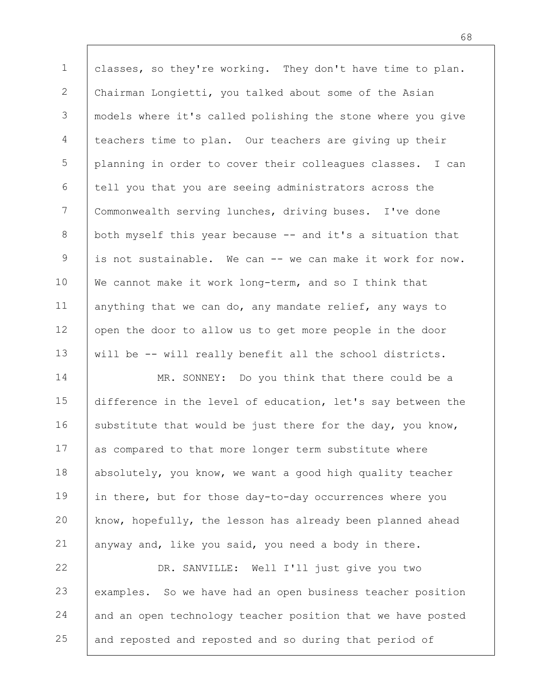1 2 3 4 5 6 7 8 9 10 11 12 13 classes, so they're working. They don't have time to plan. Chairman Longietti, you talked about some of the Asian models where it's called polishing the stone where you give teachers time to plan. Our teachers are giving up their planning in order to cover their colleagues classes. I can tell you that you are seeing administrators across the Commonwealth serving lunches, driving buses. I've done both myself this year because -- and it's a situation that is not sustainable. We can -- we can make it work for now. We cannot make it work long-term, and so I think that anything that we can do, any mandate relief, any ways to open the door to allow us to get more people in the door will be -- will really benefit all the school districts.

14 15 16 17 18 19 20 21 MR. SONNEY: Do you think that there could be a difference in the level of education, let's say between the substitute that would be just there for the day, you know, as compared to that more longer term substitute where absolutely, you know, we want a good high quality teacher in there, but for those day-to-day occurrences where you know, hopefully, the lesson has already been planned ahead anyway and, like you said, you need a body in there.

22 23 24 25 DR. SANVILLE: Well I'll just give you two examples. So we have had an open business teacher position and an open technology teacher position that we have posted and reposted and reposted and so during that period of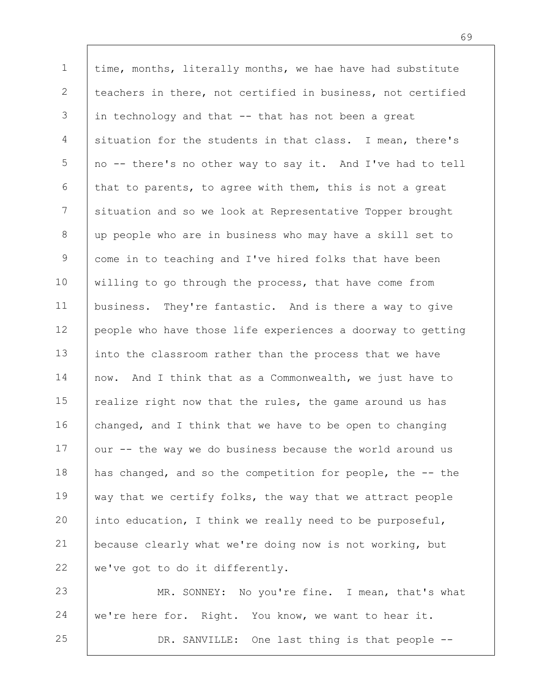1 2 3 4 5 6 7 8 9 10 11 12 13 14 15 16 17 18 19 20 21 22 time, months, literally months, we hae have had substitute teachers in there, not certified in business, not certified in technology and that -- that has not been a great situation for the students in that class. I mean, there's no -- there's no other way to say it. And I've had to tell that to parents, to agree with them, this is not a great situation and so we look at Representative Topper brought up people who are in business who may have a skill set to come in to teaching and I've hired folks that have been willing to go through the process, that have come from business. They're fantastic. And is there a way to give people who have those life experiences a doorway to getting into the classroom rather than the process that we have now. And I think that as a Commonwealth, we just have to realize right now that the rules, the game around us has changed, and I think that we have to be open to changing our -- the way we do business because the world around us has changed, and so the competition for people, the -- the way that we certify folks, the way that we attract people into education, I think we really need to be purposeful, because clearly what we're doing now is not working, but we've got to do it differently.

23 24 25 MR. SONNEY: No you're fine. I mean, that's what we're here for. Right. You know, we want to hear it. DR. SANVILLE: One last thing is that people --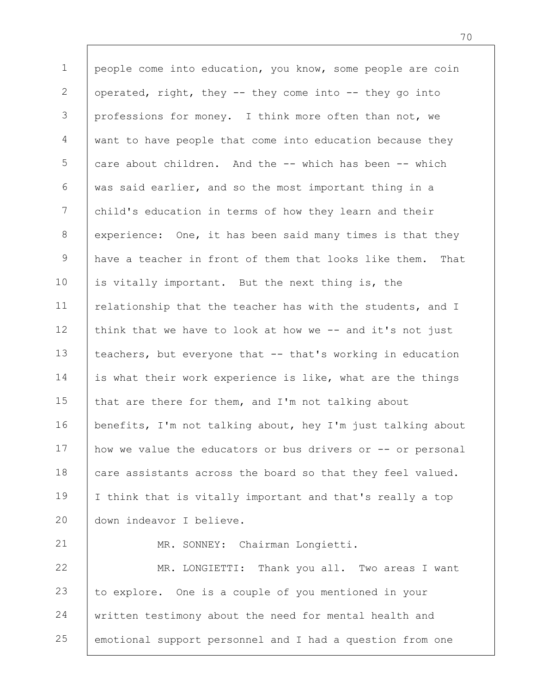1 2 3 4 5 6 7 8 9 10 11 12 13 14 15 16 17 18 19 20 21 22 23 people come into education, you know, some people are coin operated, right, they -- they come into -- they go into professions for money. I think more often than not, we want to have people that come into education because they care about children. And the -- which has been -- which was said earlier, and so the most important thing in a child's education in terms of how they learn and their experience: One, it has been said many times is that they have a teacher in front of them that looks like them. That is vitally important. But the next thing is, the relationship that the teacher has with the students, and I think that we have to look at how we -- and it's not just teachers, but everyone that -- that's working in education is what their work experience is like, what are the things that are there for them, and I'm not talking about benefits, I'm not talking about, hey I'm just talking about how we value the educators or bus drivers or -- or personal care assistants across the board so that they feel valued. I think that is vitally important and that's really a top down indeavor I believe. MR. SONNEY: Chairman Longietti. MR. LONGIETTI: Thank you all. Two areas I want to explore. One is a couple of you mentioned in your

24 25 written testimony about the need for mental health and emotional support personnel and I had a question from one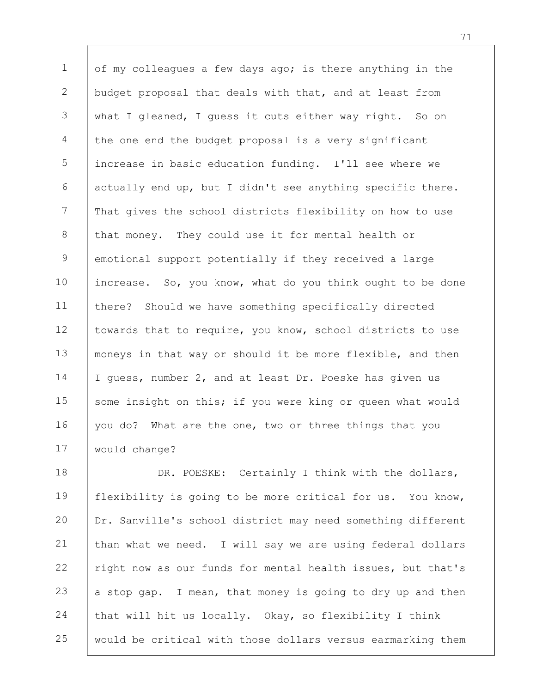1 2 3 4 5 6 7 8 9 10 11 12 13 14 15 16 17 of my colleagues a few days ago; is there anything in the budget proposal that deals with that, and at least from what I gleaned, I guess it cuts either way right. So on the one end the budget proposal is a very significant increase in basic education funding. I'll see where we actually end up, but I didn't see anything specific there. That gives the school districts flexibility on how to use that money. They could use it for mental health or emotional support potentially if they received a large increase. So, you know, what do you think ought to be done there? Should we have something specifically directed towards that to require, you know, school districts to use moneys in that way or should it be more flexible, and then I guess, number 2, and at least Dr. Poeske has given us some insight on this; if you were king or queen what would you do? What are the one, two or three things that you would change?

18 19 20 21 22 23 24 25 DR. POESKE: Certainly I think with the dollars, flexibility is going to be more critical for us. You know, Dr. Sanville's school district may need something different than what we need. I will say we are using federal dollars right now as our funds for mental health issues, but that's a stop gap. I mean, that money is going to dry up and then that will hit us locally. Okay, so flexibility I think would be critical with those dollars versus earmarking them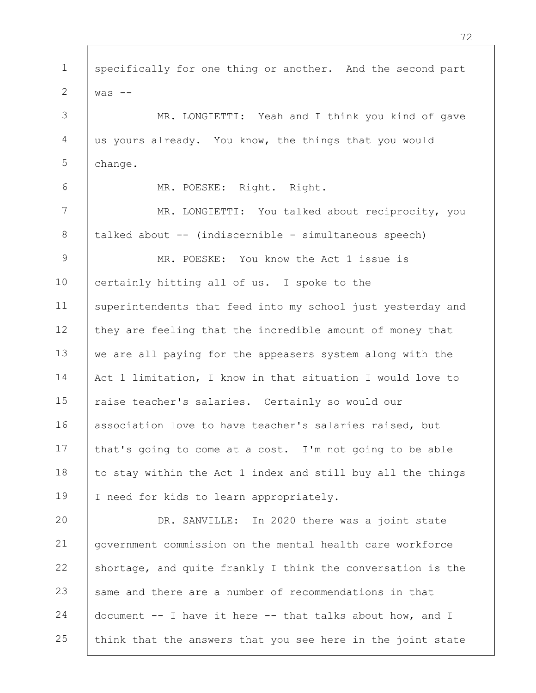1 2 3 4 5 6 7 8 9 10 11 12 13 14 15 16 17 18 19 20 21 22 23 24 25 specifically for one thing or another. And the second part  $was$   $-$ MR. LONGIETTI: Yeah and I think you kind of gave us yours already. You know, the things that you would change. MR. POESKE: Right. Right. MR. LONGIETTI: You talked about reciprocity, you talked about -- (indiscernible - simultaneous speech) MR. POESKE: You know the Act 1 issue is certainly hitting all of us. I spoke to the superintendents that feed into my school just yesterday and they are feeling that the incredible amount of money that we are all paying for the appeasers system along with the Act 1 limitation, I know in that situation I would love to raise teacher's salaries. Certainly so would our association love to have teacher's salaries raised, but that's going to come at a cost. I'm not going to be able to stay within the Act 1 index and still buy all the things I need for kids to learn appropriately. DR. SANVILLE: In 2020 there was a joint state government commission on the mental health care workforce shortage, and quite frankly I think the conversation is the same and there are a number of recommendations in that document -- I have it here -- that talks about how, and I think that the answers that you see here in the joint state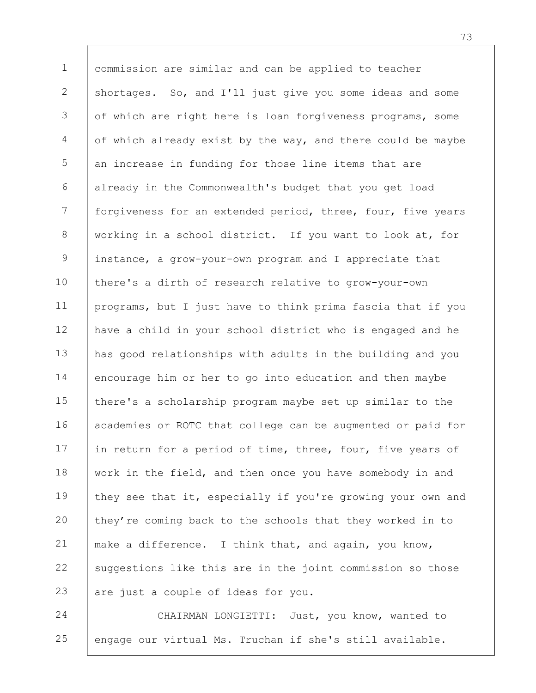1 2 3 4 5 6 7 8 9 10 11 12 13 14 15 16 17 18 19 20 21 22 23 commission are similar and can be applied to teacher shortages. So, and I'll just give you some ideas and some of which are right here is loan forgiveness programs, some of which already exist by the way, and there could be maybe an increase in funding for those line items that are already in the Commonwealth's budget that you get load forgiveness for an extended period, three, four, five years working in a school district. If you want to look at, for instance, a grow-your-own program and I appreciate that there's a dirth of research relative to grow-your-own programs, but I just have to think prima fascia that if you have a child in your school district who is engaged and he has good relationships with adults in the building and you encourage him or her to go into education and then maybe there's a scholarship program maybe set up similar to the academies or ROTC that college can be augmented or paid for in return for a period of time, three, four, five years of work in the field, and then once you have somebody in and they see that it, especially if you're growing your own and they're coming back to the schools that they worked in to make a difference. I think that, and again, you know, suggestions like this are in the joint commission so those are just a couple of ideas for you.

24 25 CHAIRMAN LONGIETTI: Just, you know, wanted to engage our virtual Ms. Truchan if she's still available.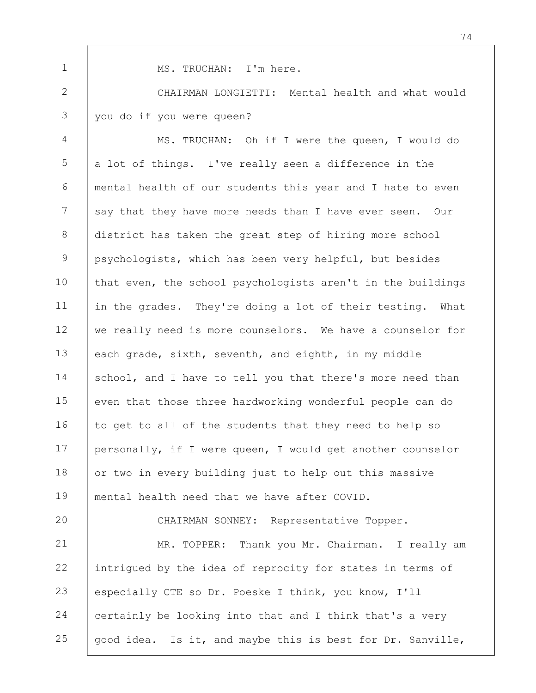MS. TRUCHAN: I'm here.

1

2 3 CHAIRMAN LONGIETTI: Mental health and what would you do if you were queen?

4 5 6 7 8 9 10 11 12 13 14 15 16 17 18 19 MS. TRUCHAN: Oh if I were the queen, I would do a lot of things. I've really seen a difference in the mental health of our students this year and I hate to even say that they have more needs than I have ever seen. Our district has taken the great step of hiring more school psychologists, which has been very helpful, but besides that even, the school psychologists aren't in the buildings in the grades. They're doing a lot of their testing. What we really need is more counselors. We have a counselor for each grade, sixth, seventh, and eighth, in my middle school, and I have to tell you that there's more need than even that those three hardworking wonderful people can do to get to all of the students that they need to help so personally, if I were queen, I would get another counselor or two in every building just to help out this massive mental health need that we have after COVID.

20 21 22 23 24 25 CHAIRMAN SONNEY: Representative Topper. MR. TOPPER: Thank you Mr. Chairman. I really am intrigued by the idea of reprocity for states in terms of especially CTE so Dr. Poeske I think, you know, I'll certainly be looking into that and I think that's a very good idea. Is it, and maybe this is best for Dr. Sanville,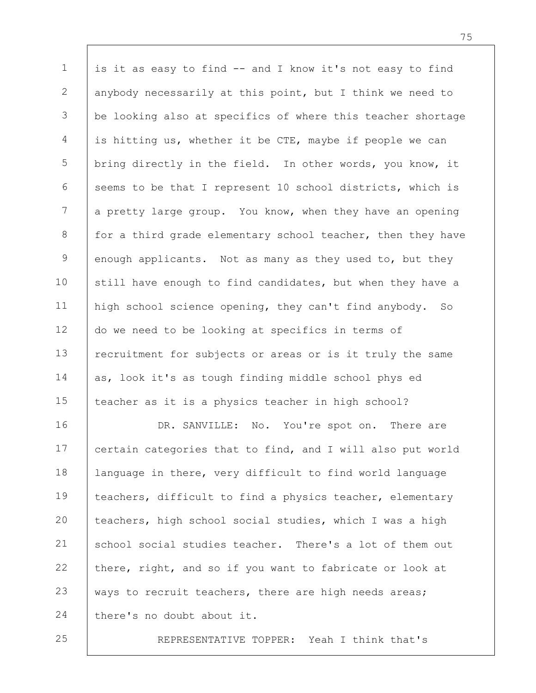1 2 3 4 5 6 7 8 9 10 11 12 13 14 15 16 is it as easy to find -- and I know it's not easy to find anybody necessarily at this point, but I think we need to be looking also at specifics of where this teacher shortage is hitting us, whether it be CTE, maybe if people we can bring directly in the field. In other words, you know, it seems to be that I represent 10 school districts, which is a pretty large group. You know, when they have an opening for a third grade elementary school teacher, then they have enough applicants. Not as many as they used to, but they still have enough to find candidates, but when they have a high school science opening, they can't find anybody. So do we need to be looking at specifics in terms of recruitment for subjects or areas or is it truly the same as, look it's as tough finding middle school phys ed teacher as it is a physics teacher in high school? DR. SANVILLE: No. You're spot on. There are

17 18 19 20 21 22 23 24 certain categories that to find, and I will also put world language in there, very difficult to find world language teachers, difficult to find a physics teacher, elementary teachers, high school social studies, which I was a high school social studies teacher. There's a lot of them out there, right, and so if you want to fabricate or look at ways to recruit teachers, there are high needs areas; there's no doubt about it.

25

REPRESENTATIVE TOPPER: Yeah I think that's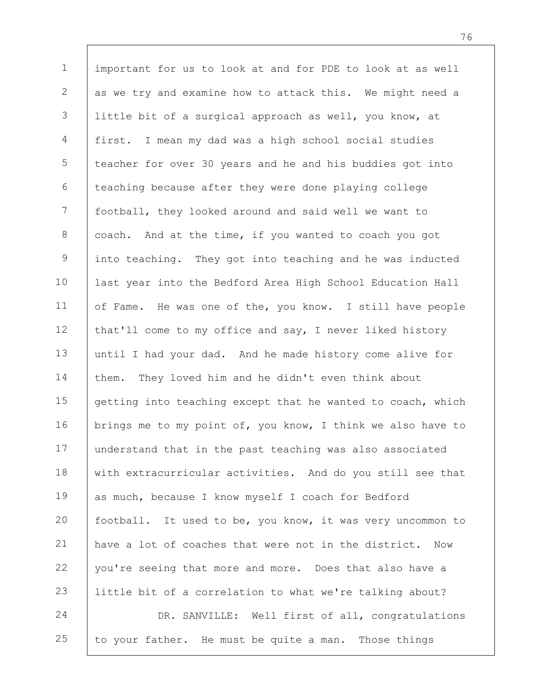1 2 3 4 5 6 7 8 9 10 11 12 13 14 15 16 17 18 19 20 21 22 23 24 25 important for us to look at and for PDE to look at as well as we try and examine how to attack this. We might need a little bit of a surgical approach as well, you know, at first. I mean my dad was a high school social studies teacher for over 30 years and he and his buddies got into teaching because after they were done playing college football, they looked around and said well we want to coach. And at the time, if you wanted to coach you got into teaching. They got into teaching and he was inducted last year into the Bedford Area High School Education Hall of Fame. He was one of the, you know. I still have people that'll come to my office and say, I never liked history until I had your dad. And he made history come alive for them. They loved him and he didn't even think about getting into teaching except that he wanted to coach, which brings me to my point of, you know, I think we also have to understand that in the past teaching was also associated with extracurricular activities. And do you still see that as much, because I know myself I coach for Bedford football. It used to be, you know, it was very uncommon to have a lot of coaches that were not in the district. Now you're seeing that more and more. Does that also have a little bit of a correlation to what we're talking about? DR. SANVILLE: Well first of all, congratulations to your father. He must be quite a man. Those things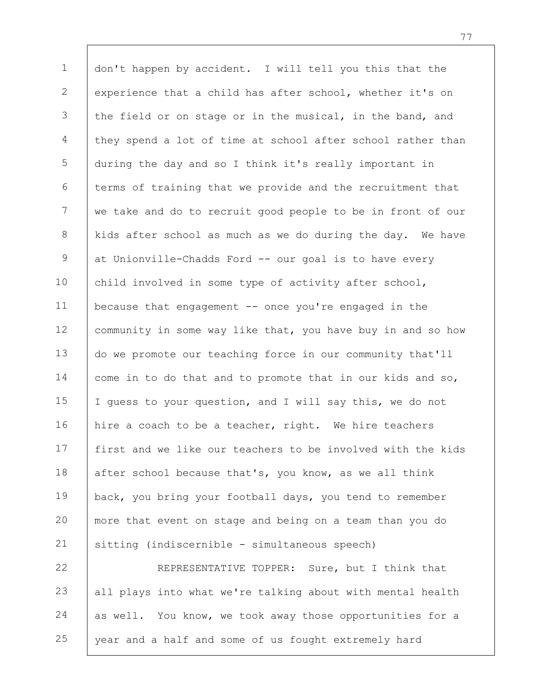1 2 3 4 5 6 7 8 9 10 11 12 13 14 15 16 17 18 19 20 21 22 23 don't happen by accident. I will tell you this that the experience that a child has after school, whether it's on the field or on stage or in the musical, in the band, and they spend a lot of time at school after school rather than during the day and so I think it's really important in terms of training that we provide and the recruitment that we take and do to recruit good people to be in front of our kids after school as much as we do during the day. We have at Unionville-Chadds Ford -- our goal is to have every child involved in some type of activity after school, because that engagement  $-$  once you're engaged in the community in some way like that, you have buy in and so how do we promote our teaching force in our community that'll come in to do that and to promote that in our kids and so, I guess to your question, and I will say this, we do not hire a coach to be a teacher, right. We hire teachers first and we like our teachers to be involved with the kids after school because that's, you know, as we all think back, you bring your football days, you tend to remember more that event on stage and being on a team than you do sitting (indiscernible - simultaneous speech) REPRESENTATIVE TOPPER: Sure, but I think that all plays into what we're talking about with mental health

24 25 as well. You know, we took away those opportunities for a year and a half and some of us fought extremely hard

77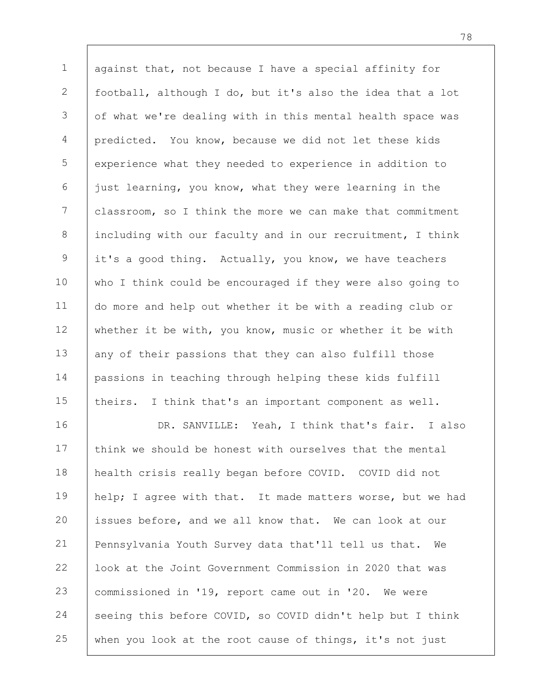1 2 3 4 5 6 7 8 9 10 11 12 13 14 15 16 17 against that, not because I have a special affinity for football, although I do, but it's also the idea that a lot of what we're dealing with in this mental health space was predicted. You know, because we did not let these kids experience what they needed to experience in addition to just learning, you know, what they were learning in the classroom, so I think the more we can make that commitment including with our faculty and in our recruitment, I think it's a good thing. Actually, you know, we have teachers who I think could be encouraged if they were also going to do more and help out whether it be with a reading club or whether it be with, you know, music or whether it be with any of their passions that they can also fulfill those passions in teaching through helping these kids fulfill theirs. I think that's an important component as well. DR. SANVILLE: Yeah, I think that's fair. I also think we should be honest with ourselves that the mental health crisis really began before COVID. COVID did not

18 19 20 21 22 23 24 25 help; I agree with that. It made matters worse, but we had issues before, and we all know that. We can look at our Pennsylvania Youth Survey data that'll tell us that. We look at the Joint Government Commission in 2020 that was commissioned in '19, report came out in '20. We were seeing this before COVID, so COVID didn't help but I think when you look at the root cause of things, it's not just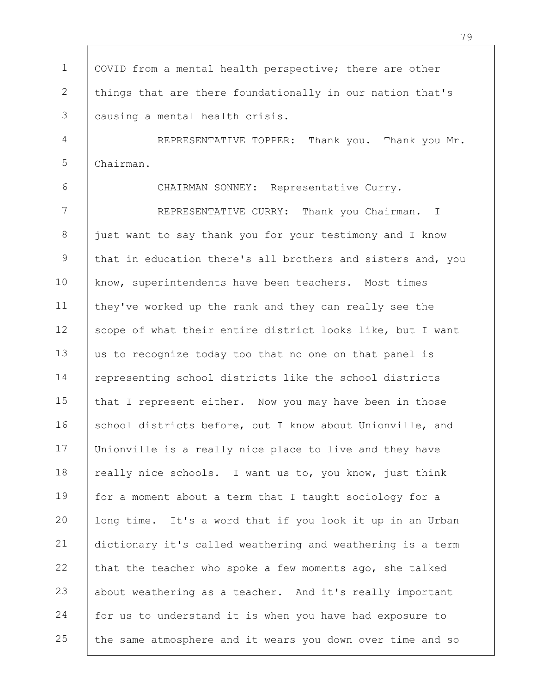1 2 3 4 5 6 7 8 9 10 11 12 13 14 15 16 17 18 19 20 21 22 23 24 25 COVID from a mental health perspective; there are other things that are there foundationally in our nation that's causing a mental health crisis. REPRESENTATIVE TOPPER: Thank you. Thank you Mr. Chairman. CHAIRMAN SONNEY: Representative Curry. REPRESENTATIVE CURRY: Thank you Chairman. I just want to say thank you for your testimony and I know that in education there's all brothers and sisters and, you know, superintendents have been teachers. Most times they've worked up the rank and they can really see the scope of what their entire district looks like, but I want us to recognize today too that no one on that panel is representing school districts like the school districts that I represent either. Now you may have been in those school districts before, but I know about Unionville, and Unionville is a really nice place to live and they have really nice schools. I want us to, you know, just think for a moment about a term that I taught sociology for a long time. It's a word that if you look it up in an Urban dictionary it's called weathering and weathering is a term that the teacher who spoke a few moments ago, she talked about weathering as a teacher. And it's really important for us to understand it is when you have had exposure to the same atmosphere and it wears you down over time and so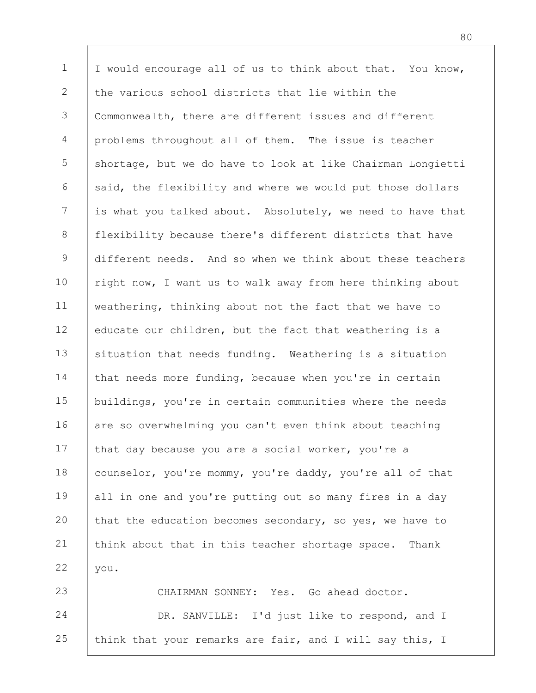1 2 3 4 5 6 7 8 9 10 11 12 13 14 15 16 17 18 19 20 21 22 23 I would encourage all of us to think about that. You know, the various school districts that lie within the Commonwealth, there are different issues and different problems throughout all of them. The issue is teacher shortage, but we do have to look at like Chairman Longietti said, the flexibility and where we would put those dollars is what you talked about. Absolutely, we need to have that flexibility because there's different districts that have different needs. And so when we think about these teachers right now, I want us to walk away from here thinking about weathering, thinking about not the fact that we have to educate our children, but the fact that weathering is a situation that needs funding. Weathering is a situation that needs more funding, because when you're in certain buildings, you're in certain communities where the needs are so overwhelming you can't even think about teaching that day because you are a social worker, you're a counselor, you're mommy, you're daddy, you're all of that all in one and you're putting out so many fires in a day that the education becomes secondary, so yes, we have to think about that in this teacher shortage space. Thank you. CHAIRMAN SONNEY: Yes. Go ahead doctor.

24 25 DR. SANVILLE: I'd just like to respond, and I think that your remarks are fair, and I will say this, I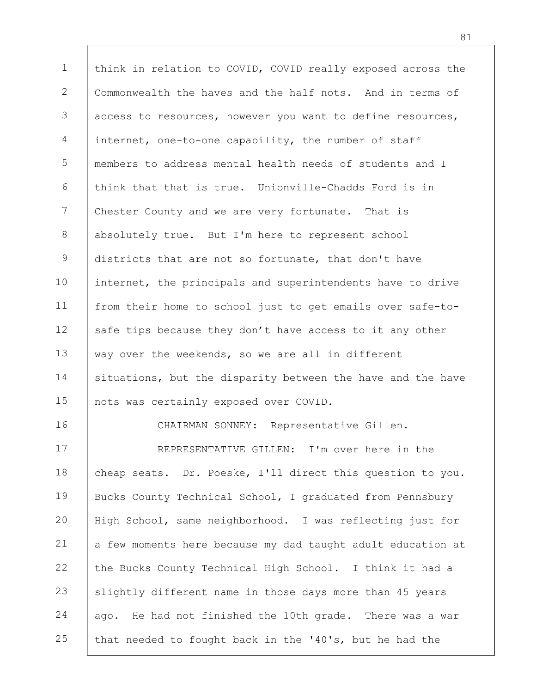1 2 3 4 5 6 7 8 9 10 11 12 13 14 15 16 17 18 19 20 21 22 23 24 25 think in relation to COVID, COVID really exposed across the Commonwealth the haves and the half nots. And in terms of access to resources, however you want to define resources, internet, one-to-one capability, the number of staff members to address mental health needs of students and I think that that is true. Unionville-Chadds Ford is in Chester County and we are very fortunate. That is absolutely true. But I'm here to represent school districts that are not so fortunate, that don't have internet, the principals and superintendents have to drive from their home to school just to get emails over safe-tosafe tips because they don't have access to it any other way over the weekends, so we are all in different situations, but the disparity between the have and the have nots was certainly exposed over COVID. CHAIRMAN SONNEY: Representative Gillen. REPRESENTATIVE GILLEN: I'm over here in the cheap seats. Dr. Poeske, I'll direct this question to you. Bucks County Technical School, I graduated from Pennsbury High School, same neighborhood. I was reflecting just for a few moments here because my dad taught adult education at the Bucks County Technical High School. I think it had a slightly different name in those days more than 45 years ago. He had not finished the 10th grade. There was a war that needed to fought back in the '40's, but he had the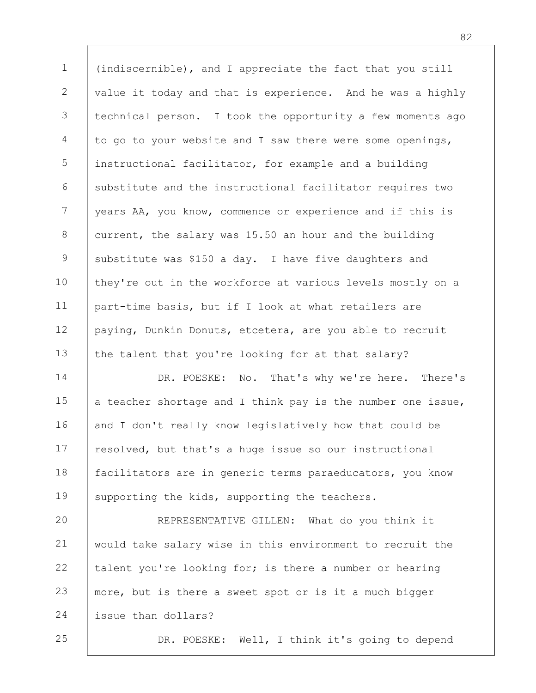1 2 3 4 5 6 7 8 9 10 11 12 13 (indiscernible), and I appreciate the fact that you still value it today and that is experience. And he was a highly technical person. I took the opportunity a few moments ago to go to your website and I saw there were some openings, instructional facilitator, for example and a building substitute and the instructional facilitator requires two years AA, you know, commence or experience and if this is current, the salary was 15.50 an hour and the building substitute was \$150 a day. I have five daughters and they're out in the workforce at various levels mostly on a part-time basis, but if I look at what retailers are paying, Dunkin Donuts, etcetera, are you able to recruit the talent that you're looking for at that salary?

14 15 16 17 18 19 DR. POESKE: No. That's why we're here. There's a teacher shortage and I think pay is the number one issue, and I don't really know legislatively how that could be resolved, but that's a huge issue so our instructional facilitators are in generic terms paraeducators, you know supporting the kids, supporting the teachers.

20 21 22 23 24 REPRESENTATIVE GILLEN: What do you think it would take salary wise in this environment to recruit the talent you're looking for; is there a number or hearing more, but is there a sweet spot or is it a much bigger issue than dollars?

25

DR. POESKE: Well, I think it's going to depend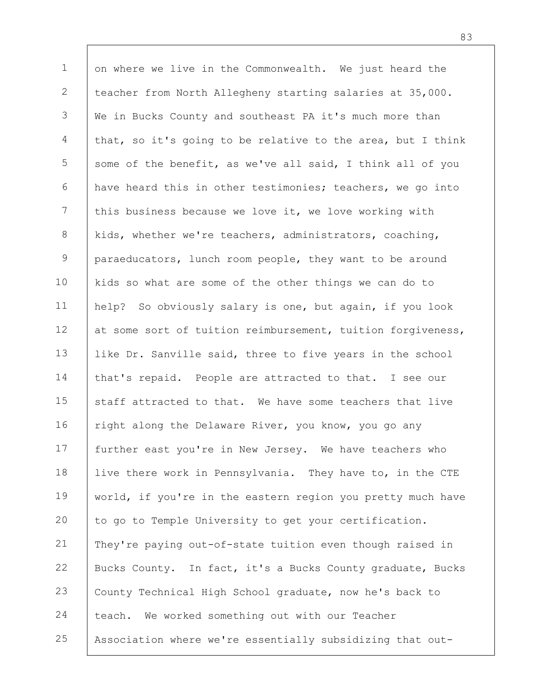1 2 3 4 5 6 7 8 9 10 11 12 13 14 15 16 17 18 19 20 21 22 23 24 25 on where we live in the Commonwealth. We just heard the teacher from North Allegheny starting salaries at 35,000. We in Bucks County and southeast PA it's much more than that, so it's going to be relative to the area, but I think some of the benefit, as we've all said, I think all of you have heard this in other testimonies; teachers, we go into this business because we love it, we love working with kids, whether we're teachers, administrators, coaching, paraeducators, lunch room people, they want to be around kids so what are some of the other things we can do to help? So obviously salary is one, but again, if you look at some sort of tuition reimbursement, tuition forgiveness, like Dr. Sanville said, three to five years in the school that's repaid. People are attracted to that. I see our staff attracted to that. We have some teachers that live right along the Delaware River, you know, you go any further east you're in New Jersey. We have teachers who live there work in Pennsylvania. They have to, in the CTE world, if you're in the eastern region you pretty much have to go to Temple University to get your certification. They're paying out-of-state tuition even though raised in Bucks County. In fact, it's a Bucks County graduate, Bucks County Technical High School graduate, now he's back to teach. We worked something out with our Teacher Association where we're essentially subsidizing that out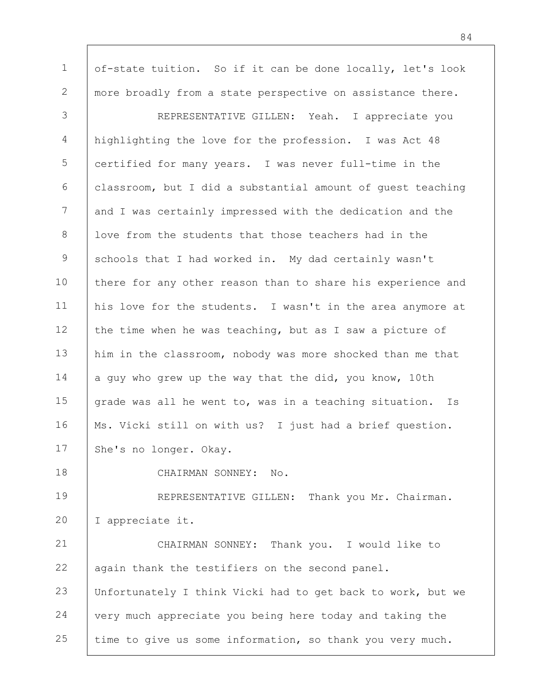1 2 of-state tuition. So if it can be done locally, let's look more broadly from a state perspective on assistance there.

3 4 5 6 7 8 9 10 11 12 13 14 15 16 17 REPRESENTATIVE GILLEN: Yeah. I appreciate you highlighting the love for the profession. I was Act 48 certified for many years. I was never full-time in the classroom, but I did a substantial amount of guest teaching and I was certainly impressed with the dedication and the love from the students that those teachers had in the schools that I had worked in. My dad certainly wasn't there for any other reason than to share his experience and his love for the students. I wasn't in the area anymore at the time when he was teaching, but as I saw a picture of him in the classroom, nobody was more shocked than me that a guy who grew up the way that the did, you know, 10th grade was all he went to, was in a teaching situation. Is Ms. Vicki still on with us? I just had a brief question. She's no longer. Okay.

18

CHAIRMAN SONNEY: No.

19 20 REPRESENTATIVE GILLEN: Thank you Mr. Chairman. I appreciate it.

21 22 23 24 25 CHAIRMAN SONNEY: Thank you. I would like to again thank the testifiers on the second panel. Unfortunately I think Vicki had to get back to work, but we very much appreciate you being here today and taking the time to give us some information, so thank you very much.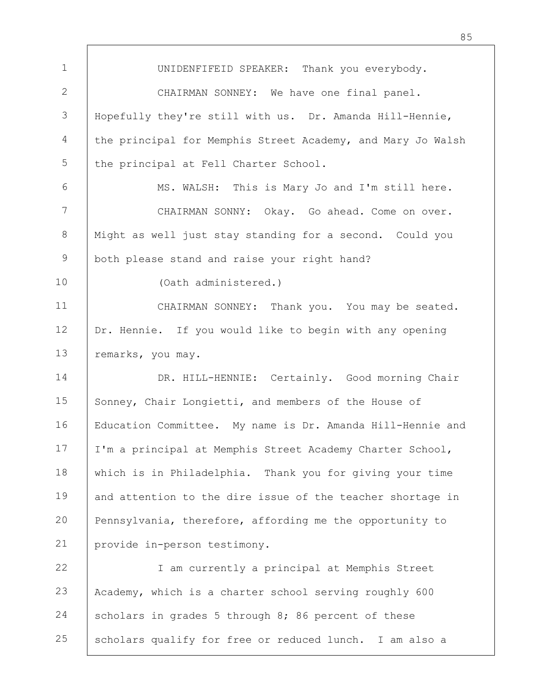1 2 3 4 5 6 7 8 9 10 11 12 13 14 15 16 17 18 19 20 21 22 23 24 25 UNIDENFIFEID SPEAKER: Thank you everybody. CHAIRMAN SONNEY: We have one final panel. Hopefully they're still with us. Dr. Amanda Hill-Hennie, the principal for Memphis Street Academy, and Mary Jo Walsh the principal at Fell Charter School. MS. WALSH: This is Mary Jo and I'm still here. CHAIRMAN SONNY: Okay. Go ahead. Come on over. Might as well just stay standing for a second. Could you both please stand and raise your right hand? (Oath administered.) CHAIRMAN SONNEY: Thank you. You may be seated. Dr. Hennie. If you would like to begin with any opening remarks, you may. DR. HILL-HENNIE: Certainly. Good morning Chair Sonney, Chair Longietti, and members of the House of Education Committee. My name is Dr. Amanda Hill-Hennie and I'm a principal at Memphis Street Academy Charter School, which is in Philadelphia. Thank you for giving your time and attention to the dire issue of the teacher shortage in Pennsylvania, therefore, affording me the opportunity to provide in-person testimony. I am currently a principal at Memphis Street Academy, which is a charter school serving roughly 600 scholars in grades 5 through 8; 86 percent of these scholars qualify for free or reduced lunch. I am also a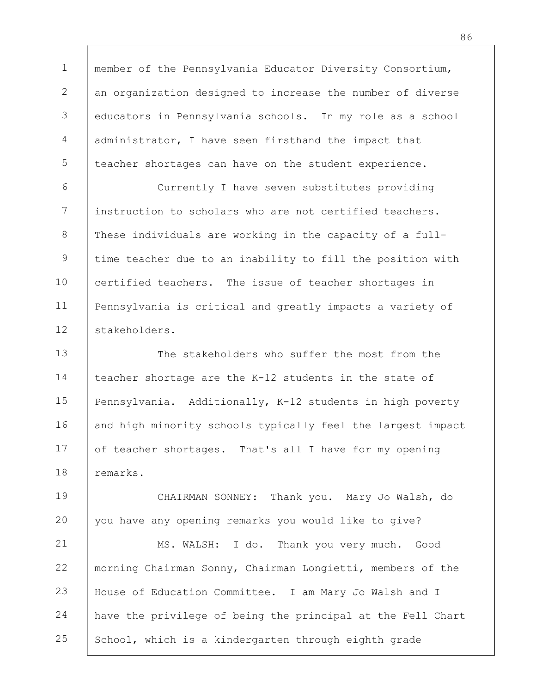1 2 3 4 5 member of the Pennsylvania Educator Diversity Consortium, an organization designed to increase the number of diverse educators in Pennsylvania schools. In my role as a school administrator, I have seen firsthand the impact that teacher shortages can have on the student experience.

6 7 8 9 10 11 12 Currently I have seven substitutes providing instruction to scholars who are not certified teachers. These individuals are working in the capacity of a fulltime teacher due to an inability to fill the position with certified teachers. The issue of teacher shortages in Pennsylvania is critical and greatly impacts a variety of stakeholders.

13 14 15 16 17 18 The stakeholders who suffer the most from the teacher shortage are the K-12 students in the state of Pennsylvania. Additionally, K-12 students in high poverty and high minority schools typically feel the largest impact of teacher shortages. That's all I have for my opening remarks.

19 20 CHAIRMAN SONNEY: Thank you. Mary Jo Walsh, do you have any opening remarks you would like to give?

21 22 23 24 25 MS. WALSH: I do. Thank you very much. Good morning Chairman Sonny, Chairman Longietti, members of the House of Education Committee. I am Mary Jo Walsh and I have the privilege of being the principal at the Fell Chart School, which is a kindergarten through eighth grade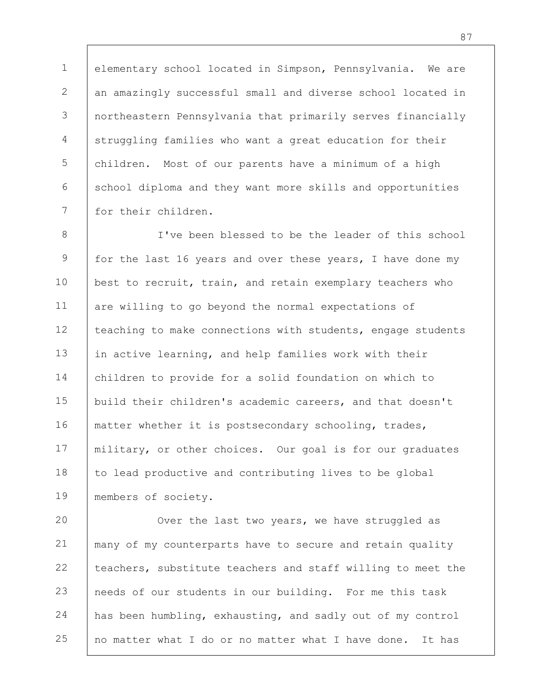1 2 3 4 5 6 7 elementary school located in Simpson, Pennsylvania. We are an amazingly successful small and diverse school located in northeastern Pennsylvania that primarily serves financially struggling families who want a great education for their children. Most of our parents have a minimum of a high school diploma and they want more skills and opportunities for their children.

8 9 10 11 12 13 14 15 16 17 18 19 I've been blessed to be the leader of this school for the last 16 years and over these years, I have done my best to recruit, train, and retain exemplary teachers who are willing to go beyond the normal expectations of teaching to make connections with students, engage students in active learning, and help families work with their children to provide for a solid foundation on which to build their children's academic careers, and that doesn't matter whether it is postsecondary schooling, trades, military, or other choices. Our goal is for our graduates to lead productive and contributing lives to be global members of society.

20 21 22 23 24 25 Over the last two years, we have struggled as many of my counterparts have to secure and retain quality teachers, substitute teachers and staff willing to meet the needs of our students in our building. For me this task has been humbling, exhausting, and sadly out of my control no matter what I do or no matter what I have done. It has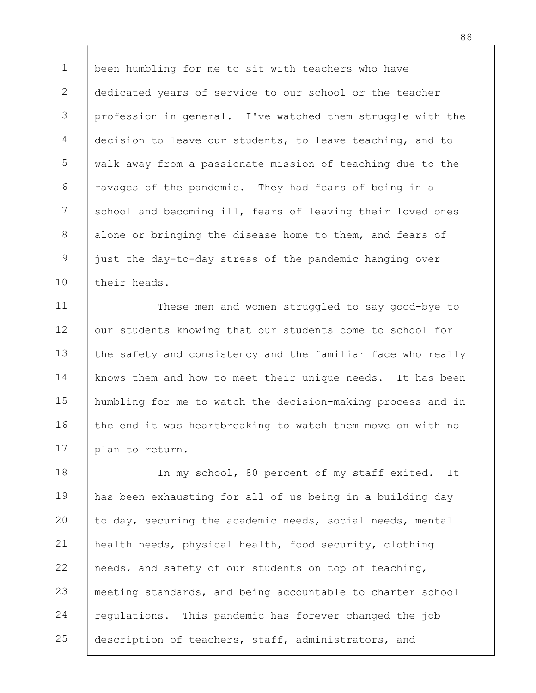1 2 3 4 5 6 7 8 9 10 been humbling for me to sit with teachers who have dedicated years of service to our school or the teacher profession in general. I've watched them struggle with the decision to leave our students, to leave teaching, and to walk away from a passionate mission of teaching due to the ravages of the pandemic. They had fears of being in a school and becoming ill, fears of leaving their loved ones alone or bringing the disease home to them, and fears of just the day-to-day stress of the pandemic hanging over their heads.

11 12 13 14 15 16 17 These men and women struggled to say good-bye to our students knowing that our students come to school for the safety and consistency and the familiar face who really knows them and how to meet their unique needs. It has been humbling for me to watch the decision-making process and in the end it was heartbreaking to watch them move on with no plan to return.

18 19 20 21 22 23 24 25 In my school, 80 percent of my staff exited. It has been exhausting for all of us being in a building day to day, securing the academic needs, social needs, mental health needs, physical health, food security, clothing needs, and safety of our students on top of teaching, meeting standards, and being accountable to charter school regulations. This pandemic has forever changed the job description of teachers, staff, administrators, and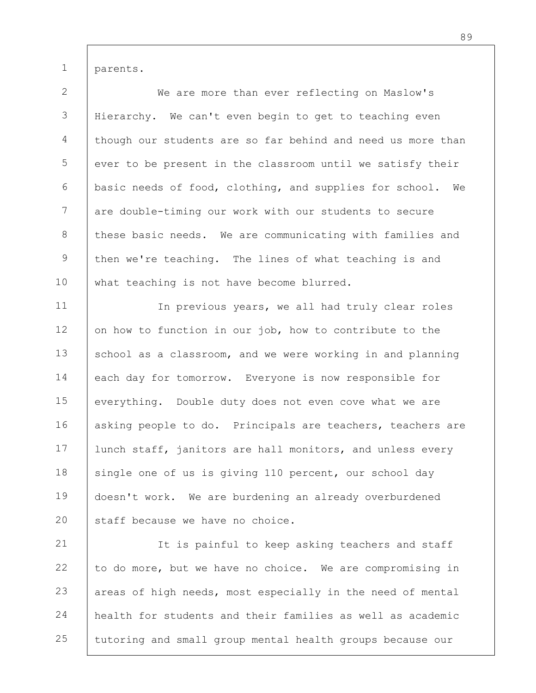1

parents.

2 3 4 5 6 7 8 9 10 We are more than ever reflecting on Maslow's Hierarchy. We can't even begin to get to teaching even though our students are so far behind and need us more than ever to be present in the classroom until we satisfy their basic needs of food, clothing, and supplies for school. We are double-timing our work with our students to secure these basic needs. We are communicating with families and then we're teaching. The lines of what teaching is and what teaching is not have become blurred.

11 12 13 14 15 16 17 18 19 20 In previous years, we all had truly clear roles on how to function in our job, how to contribute to the school as a classroom, and we were working in and planning each day for tomorrow. Everyone is now responsible for everything. Double duty does not even cove what we are asking people to do. Principals are teachers, teachers are lunch staff, janitors are hall monitors, and unless every single one of us is giving 110 percent, our school day doesn't work. We are burdening an already overburdened staff because we have no choice.

21 22 23 24 25 It is painful to keep asking teachers and staff to do more, but we have no choice. We are compromising in areas of high needs, most especially in the need of mental health for students and their families as well as academic tutoring and small group mental health groups because our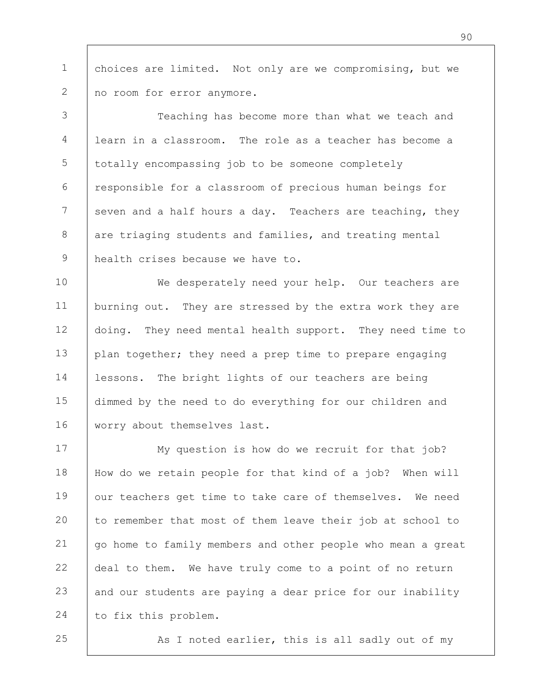1 2 choices are limited. Not only are we compromising, but we no room for error anymore.

3 4 5 6 7 8 9 Teaching has become more than what we teach and learn in a classroom. The role as a teacher has become a totally encompassing job to be someone completely responsible for a classroom of precious human beings for seven and a half hours a day. Teachers are teaching, they are triaging students and families, and treating mental health crises because we have to.

10 11 12 13 14 15 16 We desperately need your help. Our teachers are burning out. They are stressed by the extra work they are doing. They need mental health support. They need time to plan together; they need a prep time to prepare engaging lessons. The bright lights of our teachers are being dimmed by the need to do everything for our children and worry about themselves last.

17 18 19 20 21 22 23 24 My question is how do we recruit for that job? How do we retain people for that kind of a job? When will our teachers get time to take care of themselves. We need to remember that most of them leave their job at school to go home to family members and other people who mean a great deal to them. We have truly come to a point of no return and our students are paying a dear price for our inability to fix this problem.

25

As I noted earlier, this is all sadly out of my

90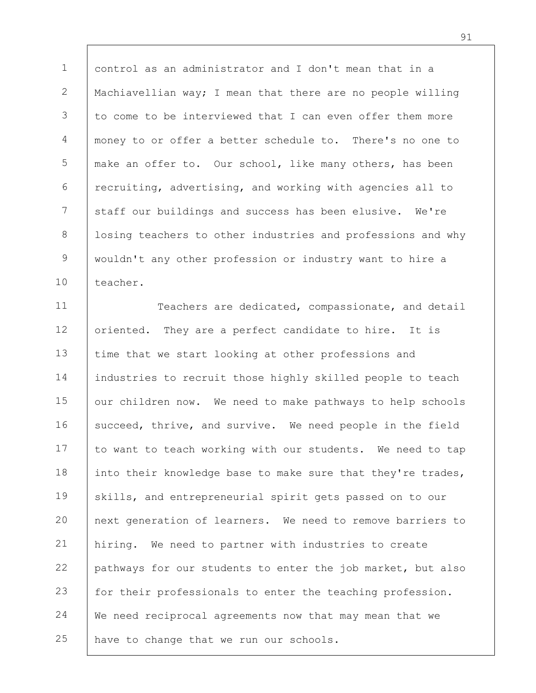1 2 3 4 5 6 7 8 9 10 control as an administrator and I don't mean that in a Machiavellian way; I mean that there are no people willing to come to be interviewed that I can even offer them more money to or offer a better schedule to. There's no one to make an offer to. Our school, like many others, has been recruiting, advertising, and working with agencies all to staff our buildings and success has been elusive. We're losing teachers to other industries and professions and why wouldn't any other profession or industry want to hire a teacher.

11 12 13 14 15 16 17 18 19 20 21 22 23 24 25 Teachers are dedicated, compassionate, and detail oriented. They are a perfect candidate to hire. It is time that we start looking at other professions and industries to recruit those highly skilled people to teach our children now. We need to make pathways to help schools succeed, thrive, and survive. We need people in the field to want to teach working with our students. We need to tap into their knowledge base to make sure that they're trades, skills, and entrepreneurial spirit gets passed on to our next generation of learners. We need to remove barriers to hiring. We need to partner with industries to create pathways for our students to enter the job market, but also for their professionals to enter the teaching profession. We need reciprocal agreements now that may mean that we have to change that we run our schools.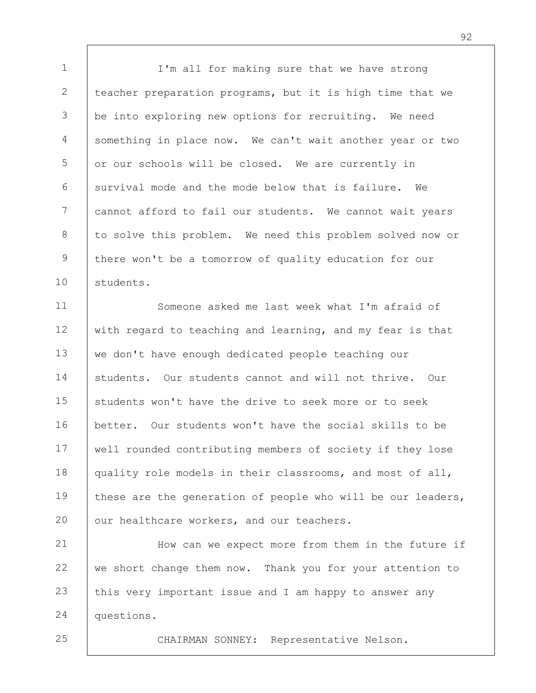1 2 3 4 5 6 7 8 9 10 I'm all for making sure that we have strong teacher preparation programs, but it is high time that we be into exploring new options for recruiting. We need something in place now. We can't wait another year or two or our schools will be closed. We are currently in survival mode and the mode below that is failure. We cannot afford to fail our students. We cannot wait years to solve this problem. We need this problem solved now or there won't be a tomorrow of quality education for our students.

11 12 13 14 15 16 17 18 19 20 Someone asked me last week what I'm afraid of with regard to teaching and learning, and my fear is that we don't have enough dedicated people teaching our students. Our students cannot and will not thrive. Our students won't have the drive to seek more or to seek better. Our students won't have the social skills to be well rounded contributing members of society if they lose quality role models in their classrooms, and most of all, these are the generation of people who will be our leaders, our healthcare workers, and our teachers.

21 22 23 24 How can we expect more from them in the future if we short change them now. Thank you for your attention to this very important issue and I am happy to answer any questions.

25

CHAIRMAN SONNEY: Representative Nelson.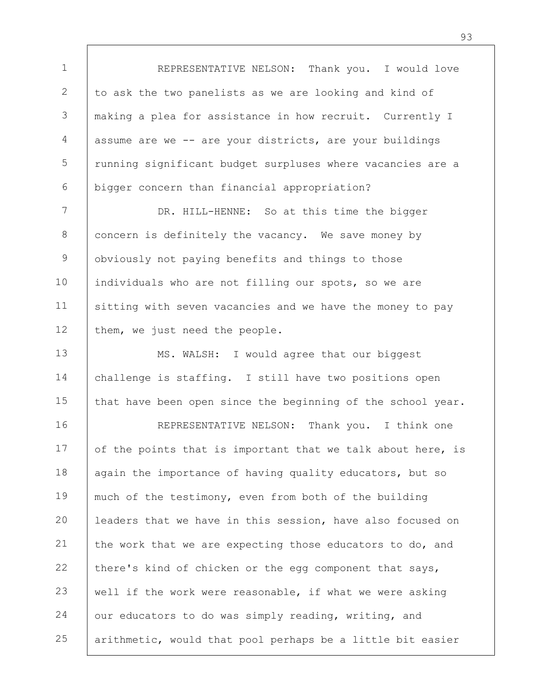1 2 3 4 5 6 7 8 9 10 11 12 13 REPRESENTATIVE NELSON: Thank you. I would love to ask the two panelists as we are looking and kind of making a plea for assistance in how recruit. Currently I assume are we -- are your districts, are your buildings running significant budget surpluses where vacancies are a bigger concern than financial appropriation? DR. HILL-HENNE: So at this time the bigger concern is definitely the vacancy. We save money by obviously not paying benefits and things to those individuals who are not filling our spots, so we are sitting with seven vacancies and we have the money to pay them, we just need the people. MS. WALSH: I would agree that our biggest

14 15 challenge is staffing. I still have two positions open that have been open since the beginning of the school year.

16 17 18 19 20 21 22 23 24 25 REPRESENTATIVE NELSON: Thank you. I think one of the points that is important that we talk about here, is again the importance of having quality educators, but so much of the testimony, even from both of the building leaders that we have in this session, have also focused on the work that we are expecting those educators to do, and there's kind of chicken or the egg component that says, well if the work were reasonable, if what we were asking our educators to do was simply reading, writing, and arithmetic, would that pool perhaps be a little bit easier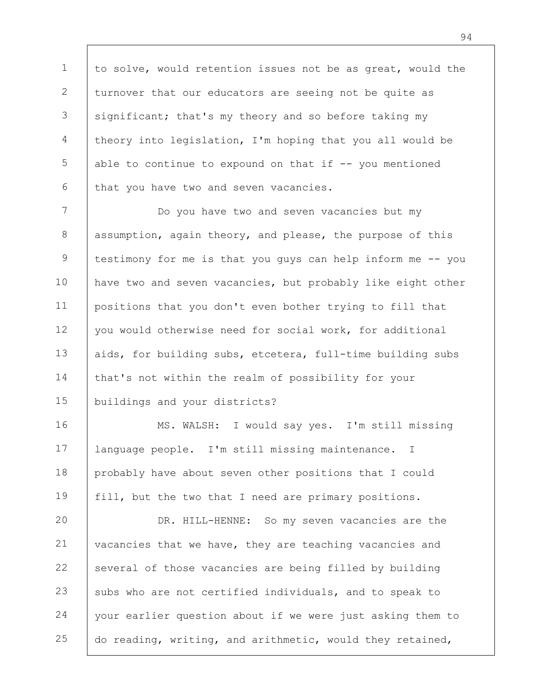1 2 3 4 5 6 to solve, would retention issues not be as great, would the turnover that our educators are seeing not be quite as significant; that's my theory and so before taking my theory into legislation, I'm hoping that you all would be able to continue to expound on that if  $-$  you mentioned that you have two and seven vacancies.

7 8 9 10 11 12 13 14 15 Do you have two and seven vacancies but my assumption, again theory, and please, the purpose of this testimony for me is that you guys can help inform me -- you have two and seven vacancies, but probably like eight other positions that you don't even bother trying to fill that you would otherwise need for social work, for additional aids, for building subs, etcetera, full-time building subs that's not within the realm of possibility for your buildings and your districts?

16 17 18 19 MS. WALSH: I would say yes. I'm still missing language people. I'm still missing maintenance. I probably have about seven other positions that I could fill, but the two that I need are primary positions.

20 21 22 23 24 25 DR. HILL-HENNE: So my seven vacancies are the vacancies that we have, they are teaching vacancies and several of those vacancies are being filled by building subs who are not certified individuals, and to speak to your earlier question about if we were just asking them to do reading, writing, and arithmetic, would they retained,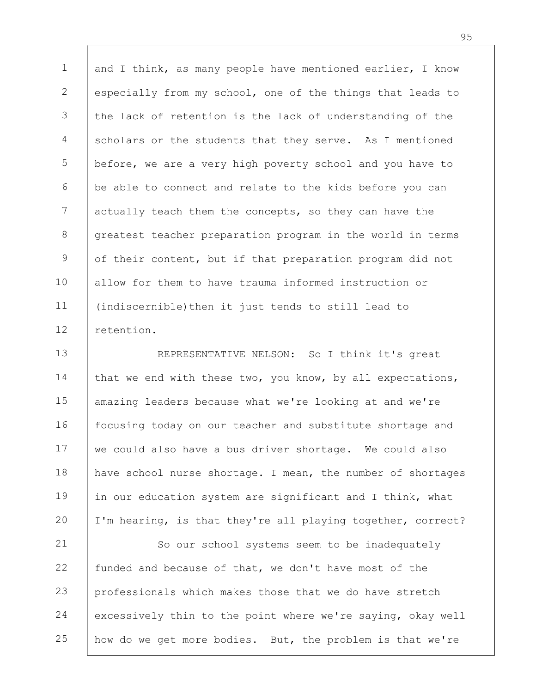1 2 3 4 5 6 7 8 9 10 11 12 and I think, as many people have mentioned earlier, I know especially from my school, one of the things that leads to the lack of retention is the lack of understanding of the scholars or the students that they serve. As I mentioned before, we are a very high poverty school and you have to be able to connect and relate to the kids before you can actually teach them the concepts, so they can have the greatest teacher preparation program in the world in terms of their content, but if that preparation program did not allow for them to have trauma informed instruction or (indiscernible)then it just tends to still lead to retention.

13 14 15 16 17 18 19 20 REPRESENTATIVE NELSON: So I think it's great that we end with these two, you know, by all expectations, amazing leaders because what we're looking at and we're focusing today on our teacher and substitute shortage and we could also have a bus driver shortage. We could also have school nurse shortage. I mean, the number of shortages in our education system are significant and I think, what I'm hearing, is that they're all playing together, correct?

21 22 23 24 25 So our school systems seem to be inadequately funded and because of that, we don't have most of the professionals which makes those that we do have stretch excessively thin to the point where we're saying, okay well how do we get more bodies. But, the problem is that we're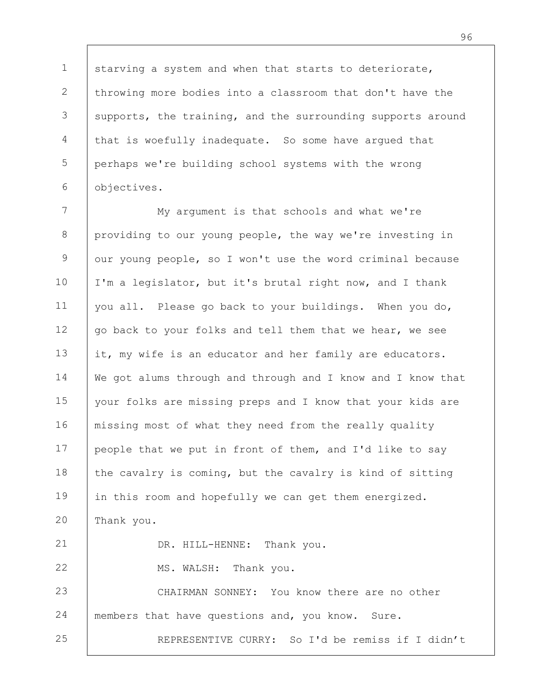1 2 3 4 5 6 starving a system and when that starts to deteriorate, throwing more bodies into a classroom that don't have the supports, the training, and the surrounding supports around that is woefully inadequate. So some have argued that perhaps we're building school systems with the wrong objectives.

7 8 9 10 11 12 13 14 15 16 17 18 19 20 21 22 23 24 25 My argument is that schools and what we're providing to our young people, the way we're investing in our young people, so I won't use the word criminal because I'm a legislator, but it's brutal right now, and I thank you all. Please go back to your buildings. When you do, go back to your folks and tell them that we hear, we see it, my wife is an educator and her family are educators. We got alums through and through and I know and I know that your folks are missing preps and I know that your kids are missing most of what they need from the really quality people that we put in front of them, and I'd like to say the cavalry is coming, but the cavalry is kind of sitting in this room and hopefully we can get them energized. Thank you. DR. HILL-HENNE: Thank you. MS. WALSH: Thank you. CHAIRMAN SONNEY: You know there are no other members that have questions and, you know. Sure. REPRESENTIVE CURRY: So I'd be remiss if I didn't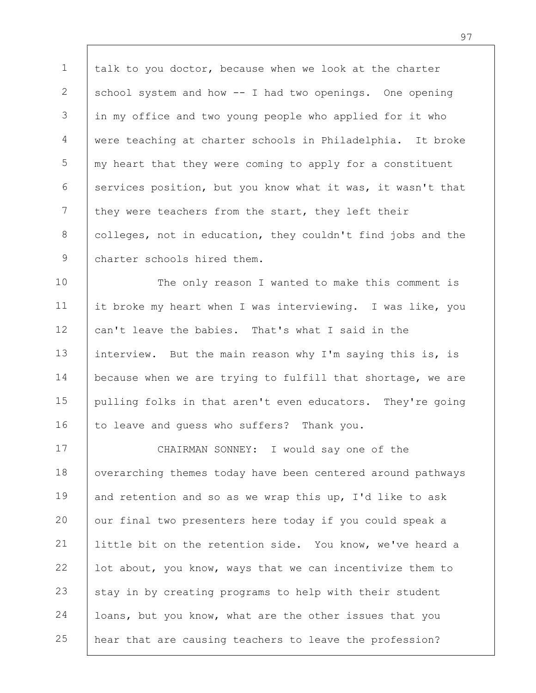1 2 3 4 5 6 7 8 9 talk to you doctor, because when we look at the charter school system and how -- I had two openings. One opening in my office and two young people who applied for it who were teaching at charter schools in Philadelphia. It broke my heart that they were coming to apply for a constituent services position, but you know what it was, it wasn't that they were teachers from the start, they left their colleges, not in education, they couldn't find jobs and the charter schools hired them.

10 11 12 13 14 15 16 The only reason I wanted to make this comment is it broke my heart when I was interviewing. I was like, you can't leave the babies. That's what I said in the interview. But the main reason why I'm saying this is, is because when we are trying to fulfill that shortage, we are pulling folks in that aren't even educators. They're going to leave and guess who suffers? Thank you.

17 18 19 20 21 22 23 24 25 CHAIRMAN SONNEY: I would say one of the overarching themes today have been centered around pathways and retention and so as we wrap this up, I'd like to ask our final two presenters here today if you could speak a little bit on the retention side. You know, we've heard a lot about, you know, ways that we can incentivize them to stay in by creating programs to help with their student loans, but you know, what are the other issues that you hear that are causing teachers to leave the profession?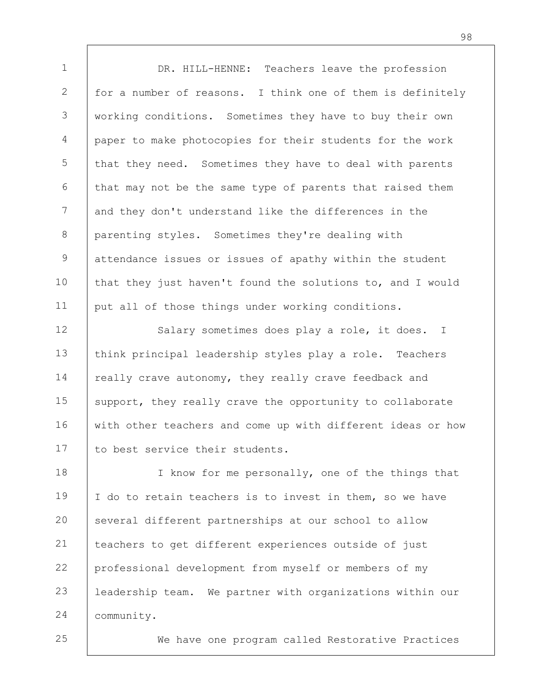1 2 3 4 5 6 7 8 9 10 11 12 13 14 15 16 17 18 19 20 21 22 23 24 25 DR. HILL-HENNE: Teachers leave the profession for a number of reasons. I think one of them is definitely working conditions. Sometimes they have to buy their own paper to make photocopies for their students for the work that they need. Sometimes they have to deal with parents that may not be the same type of parents that raised them and they don't understand like the differences in the parenting styles. Sometimes they're dealing with attendance issues or issues of apathy within the student that they just haven't found the solutions to, and I would put all of those things under working conditions. Salary sometimes does play a role, it does. I think principal leadership styles play a role. Teachers really crave autonomy, they really crave feedback and support, they really crave the opportunity to collaborate with other teachers and come up with different ideas or how to best service their students. I know for me personally, one of the things that I do to retain teachers is to invest in them, so we have several different partnerships at our school to allow teachers to get different experiences outside of just professional development from myself or members of my leadership team. We partner with organizations within our community.

We have one program called Restorative Practices

98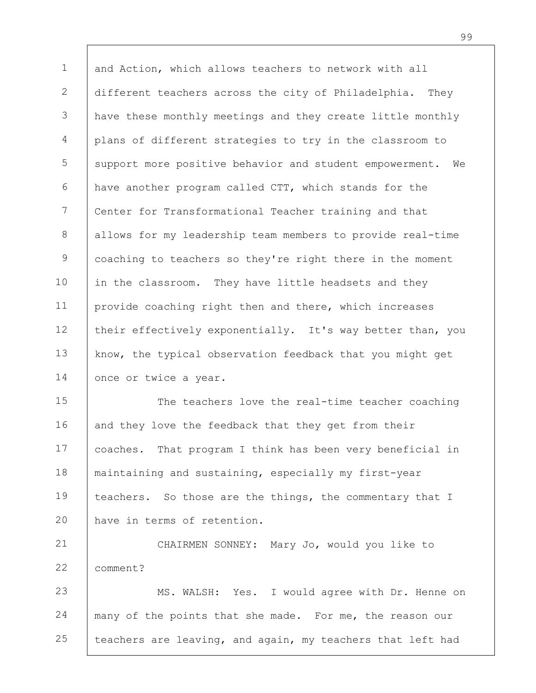1 2 3 4 5 6 7 8 9 10 11 12 13 14 and Action, which allows teachers to network with all different teachers across the city of Philadelphia. They have these monthly meetings and they create little monthly plans of different strategies to try in the classroom to support more positive behavior and student empowerment. We have another program called CTT, which stands for the Center for Transformational Teacher training and that allows for my leadership team members to provide real-time coaching to teachers so they're right there in the moment in the classroom. They have little headsets and they provide coaching right then and there, which increases their effectively exponentially. It's way better than, you know, the typical observation feedback that you might get once or twice a year.

15 16 17 18 19 20 The teachers love the real-time teacher coaching and they love the feedback that they get from their coaches. That program I think has been very beneficial in maintaining and sustaining, especially my first-year teachers. So those are the things, the commentary that I have in terms of retention.

21 22 23 24 CHAIRMEN SONNEY: Mary Jo, would you like to comment? MS. WALSH: Yes. I would agree with Dr. Henne on many of the points that she made. For me, the reason our

25 teachers are leaving, and again, my teachers that left had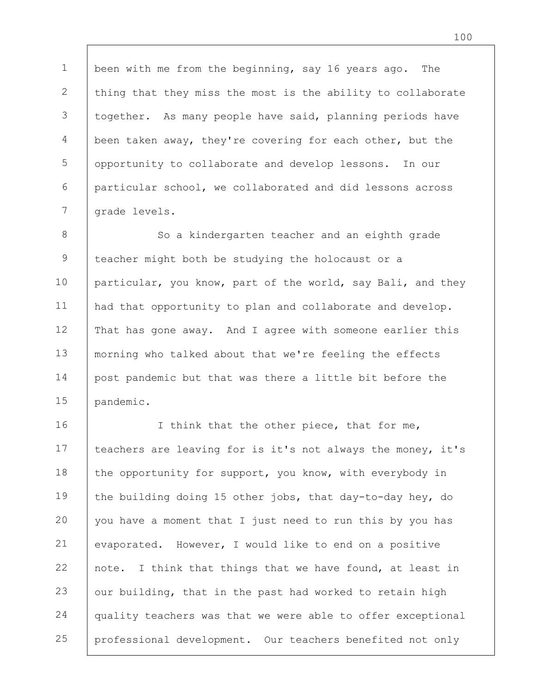1 2 3 4 5 6 7 been with me from the beginning, say 16 years ago. The thing that they miss the most is the ability to collaborate together. As many people have said, planning periods have been taken away, they're covering for each other, but the opportunity to collaborate and develop lessons. In our particular school, we collaborated and did lessons across grade levels.

8 9 10 11 12 13 14 15 So a kindergarten teacher and an eighth grade teacher might both be studying the holocaust or a particular, you know, part of the world, say Bali, and they had that opportunity to plan and collaborate and develop. That has gone away. And I agree with someone earlier this morning who talked about that we're feeling the effects post pandemic but that was there a little bit before the pandemic.

16 17 18 19 20 21 22 23 24 25 I think that the other piece, that for me, teachers are leaving for is it's not always the money, it's the opportunity for support, you know, with everybody in the building doing 15 other jobs, that day-to-day hey, do you have a moment that I just need to run this by you has evaporated. However, I would like to end on a positive note. I think that things that we have found, at least in our building, that in the past had worked to retain high quality teachers was that we were able to offer exceptional professional development. Our teachers benefited not only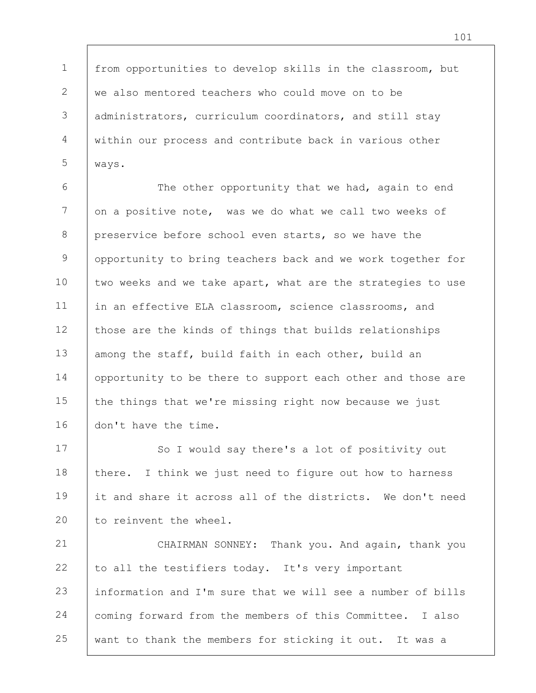from opportunities to develop skills in the classroom, but we also mentored teachers who could move on to be administrators, curriculum coordinators, and still stay within our process and contribute back in various other

1

2

3

4

5

ways.

6 7 8 9 10 11 12 13 14 15 16 The other opportunity that we had, again to end on a positive note, was we do what we call two weeks of preservice before school even starts, so we have the opportunity to bring teachers back and we work together for two weeks and we take apart, what are the strategies to use in an effective ELA classroom, science classrooms, and those are the kinds of things that builds relationships among the staff, build faith in each other, build an opportunity to be there to support each other and those are the things that we're missing right now because we just don't have the time.

17 18 19 20 So I would say there's a lot of positivity out there. I think we just need to figure out how to harness it and share it across all of the districts. We don't need to reinvent the wheel.

21 22 23 24 25 CHAIRMAN SONNEY: Thank you. And again, thank you to all the testifiers today. It's very important information and I'm sure that we will see a number of bills coming forward from the members of this Committee. I also want to thank the members for sticking it out. It was a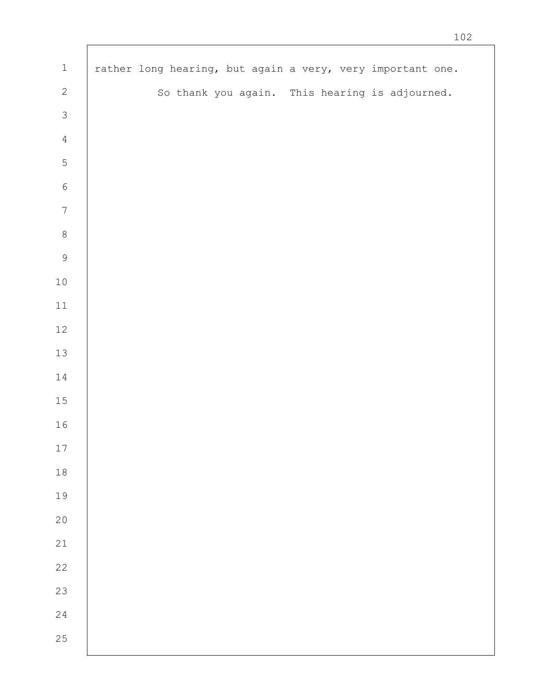| $\mathbf 1$    | rather long hearing, but again a very, very important one. |
|----------------|------------------------------------------------------------|
| $\sqrt{2}$     | So thank you again. This hearing is adjourned.             |
| $\mathcal{S}$  |                                                            |
| $\overline{4}$ |                                                            |
| $\mathsf S$    |                                                            |
| $\sqrt{6}$     |                                                            |
| $\sqrt{ }$     |                                                            |
| $\,8\,$        |                                                            |
| $\mathcal{G}$  |                                                            |
| $10$           |                                                            |
| $11\,$         |                                                            |
| 12             |                                                            |
| 13             |                                                            |
| $14\,$         |                                                            |
| $15\,$         |                                                            |
| 16             |                                                            |
| $17\,$         |                                                            |
| $1\,8$         |                                                            |
| 19             |                                                            |
| 20             |                                                            |
| 21             |                                                            |
| 22             |                                                            |
| 23             |                                                            |
| 24             |                                                            |
| 25             |                                                            |
|                |                                                            |